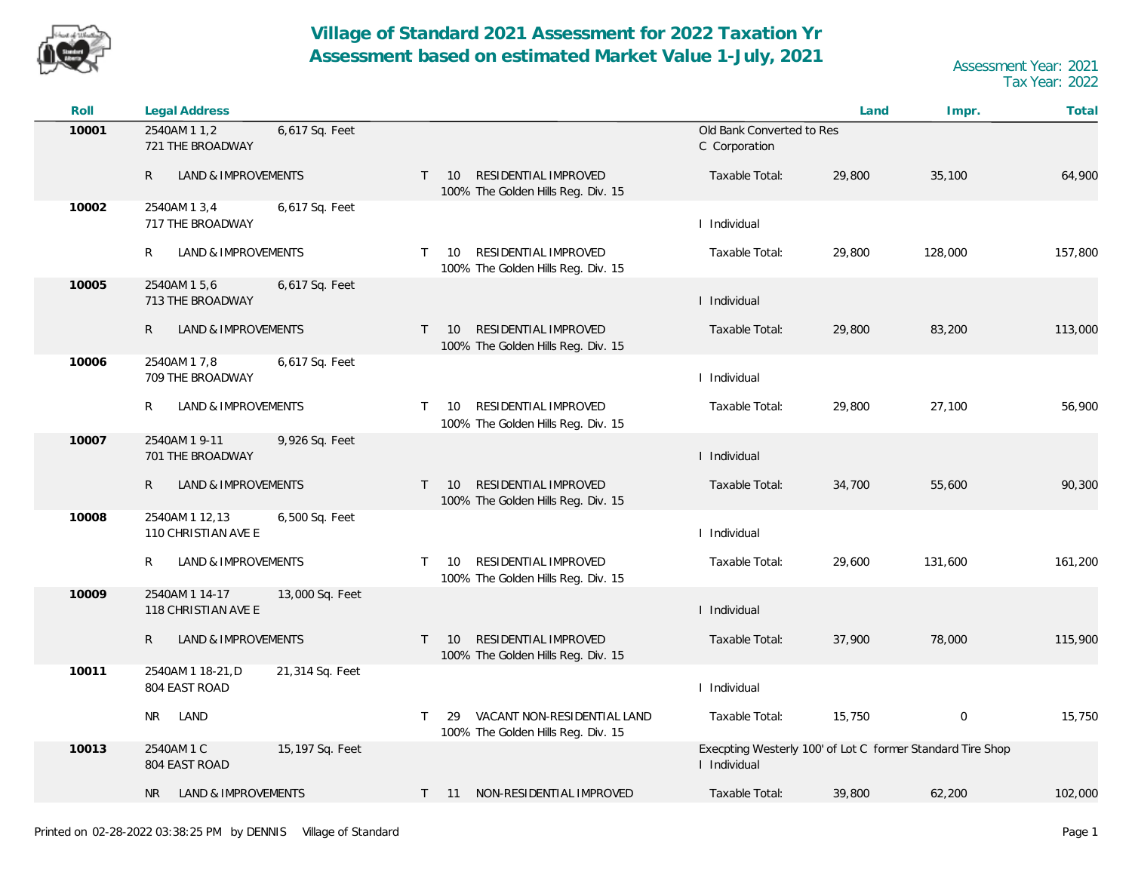

| Roll  | Legal Address                                            |                                                                                  |                                                                            | Land   | Impr.       | Total   |
|-------|----------------------------------------------------------|----------------------------------------------------------------------------------|----------------------------------------------------------------------------|--------|-------------|---------|
| 10001 | 2540AM 1 1,2<br>6,617 Sq. Feet<br>721 THE BROADWAY       |                                                                                  | Old Bank Converted to Res<br>C Corporation                                 |        |             |         |
|       | $\mathsf{R}$<br><b>LAND &amp; IMPROVEMENTS</b>           | RESIDENTIAL IMPROVED<br>$T = 10$<br>100% The Golden Hills Reg. Div. 15           | Taxable Total:                                                             | 29,800 | 35,100      | 64,900  |
| 10002 | 2540AM 1 3,4<br>6,617 Sq. Feet<br>717 THE BROADWAY       |                                                                                  | I Individual                                                               |        |             |         |
|       | R<br><b>LAND &amp; IMPROVEMENTS</b>                      | RESIDENTIAL IMPROVED<br>10<br>$\top$<br>100% The Golden Hills Reg. Div. 15       | Taxable Total:                                                             | 29,800 | 128,000     | 157,800 |
| 10005 | 2540AM 15,6<br>6,617 Sq. Feet<br>713 THE BROADWAY        |                                                                                  | I Individual                                                               |        |             |         |
|       | $\mathsf{R}$<br><b>LAND &amp; IMPROVEMENTS</b>           | RESIDENTIAL IMPROVED<br>$T = 10$<br>100% The Golden Hills Reg. Div. 15           | Taxable Total:                                                             | 29,800 | 83,200      | 113,000 |
| 10006 | 6,617 Sq. Feet<br>2540AM 1 7,8<br>709 THE BROADWAY       |                                                                                  | I Individual                                                               |        |             |         |
|       | R<br>LAND & IMPROVEMENTS                                 | RESIDENTIAL IMPROVED<br>10<br>$\mathsf{T}$<br>100% The Golden Hills Reg. Div. 15 | Taxable Total:                                                             | 29,800 | 27,100      | 56,900  |
| 10007 | 2540AM 1 9-11<br>9,926 Sq. Feet<br>701 THE BROADWAY      |                                                                                  | I Individual                                                               |        |             |         |
|       | R<br>LAND & IMPROVEMENTS                                 | RESIDENTIAL IMPROVED<br>T<br>10<br>100% The Golden Hills Reg. Div. 15            | Taxable Total:                                                             | 34,700 | 55,600      | 90,300  |
| 10008 | 2540AM 1 12,13<br>6,500 Sq. Feet<br>110 CHRISTIAN AVE E  |                                                                                  | I Individual                                                               |        |             |         |
|       | R<br>LAND & IMPROVEMENTS                                 | RESIDENTIAL IMPROVED<br>10<br>$\top$<br>100% The Golden Hills Reg. Div. 15       | Taxable Total:                                                             | 29,600 | 131,600     | 161,200 |
| 10009 | 2540AM 1 14-17<br>13,000 Sq. Feet<br>118 CHRISTIAN AVE E |                                                                                  | I Individual                                                               |        |             |         |
|       | R<br>LAND & IMPROVEMENTS                                 | RESIDENTIAL IMPROVED<br>$T = 10$<br>100% The Golden Hills Reg. Div. 15           | Taxable Total:                                                             | 37,900 | 78,000      | 115,900 |
| 10011 | 21,314 Sq. Feet<br>2540AM 1 18-21, D<br>804 EAST ROAD    |                                                                                  | I Individual                                                               |        |             |         |
|       | LAND<br>NR                                               | VACANT NON-RESIDENTIAL LAND<br>29<br>T.<br>100% The Golden Hills Reg. Div. 15    | Taxable Total:                                                             | 15,750 | $\mathbf 0$ | 15,750  |
| 10013 | 2540AM 1 C<br>15,197 Sq. Feet<br>804 EAST ROAD           |                                                                                  | Execpting Westerly 100' of Lot C former Standard Tire Shop<br>I Individual |        |             |         |
|       | LAND & IMPROVEMENTS<br>NR.                               | T 11 NON-RESIDENTIAL IMPROVED                                                    | Taxable Total:                                                             | 39,800 | 62,200      | 102,000 |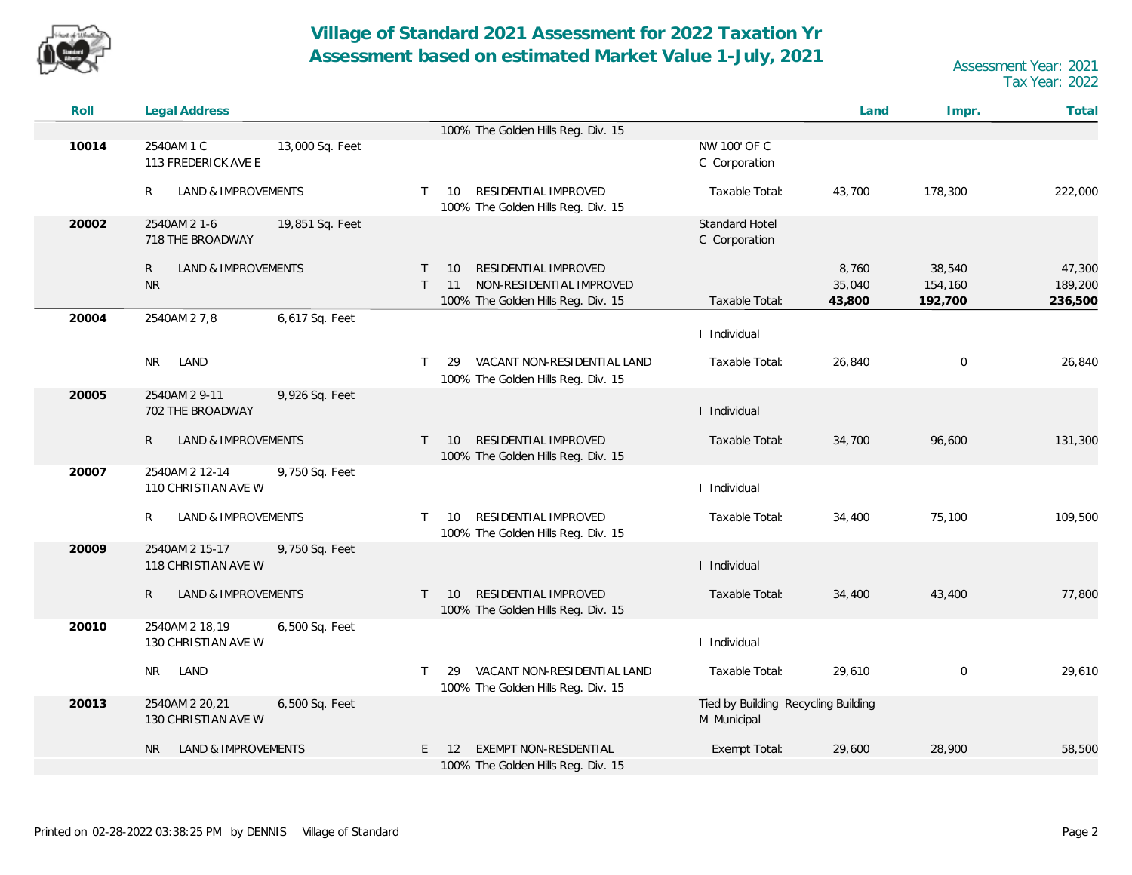

| Roll  | <b>Legal Address</b>                                    |                                                                                                                        |                                                    | Land                      | Impr.                        | Total                        |
|-------|---------------------------------------------------------|------------------------------------------------------------------------------------------------------------------------|----------------------------------------------------|---------------------------|------------------------------|------------------------------|
|       |                                                         | 100% The Golden Hills Reg. Div. 15                                                                                     |                                                    |                           |                              |                              |
| 10014 | 2540AM 1 C<br>13,000 Sq. Feet<br>113 FREDERICK AVE E    |                                                                                                                        | NW 100' OF C<br>C Corporation                      |                           |                              |                              |
|       | R<br>LAND & IMPROVEMENTS                                | RESIDENTIAL IMPROVED<br>10<br>$\top$<br>100% The Golden Hills Reg. Div. 15                                             | Taxable Total:                                     | 43,700                    | 178,300                      | 222,000                      |
| 20002 | 2540AM 2 1-6<br>19,851 Sq. Feet<br>718 THE BROADWAY     |                                                                                                                        | Standard Hotel<br>C Corporation                    |                           |                              |                              |
|       | LAND & IMPROVEMENTS<br>R<br><b>NR</b>                   | RESIDENTIAL IMPROVED<br>$\top$<br>10<br>NON-RESIDENTIAL IMPROVED<br>$\top$<br>11<br>100% The Golden Hills Reg. Div. 15 | Taxable Total:                                     | 8,760<br>35,040<br>43,800 | 38,540<br>154,160<br>192,700 | 47,300<br>189,200<br>236,500 |
| 20004 | 2540AM 2 7,8<br>6,617 Sq. Feet                          |                                                                                                                        | I Individual                                       |                           |                              |                              |
|       | LAND<br>NR.                                             | VACANT NON-RESIDENTIAL LAND<br>29<br>$\top$<br>100% The Golden Hills Reg. Div. 15                                      | Taxable Total:                                     | 26,840                    | $\mathbf 0$                  | 26,840                       |
| 20005 | 2540AM 2 9-11<br>9,926 Sq. Feet<br>702 THE BROADWAY     |                                                                                                                        | I Individual                                       |                           |                              |                              |
|       | LAND & IMPROVEMENTS<br>R                                | RESIDENTIAL IMPROVED<br>$\top$<br>10<br>100% The Golden Hills Reg. Div. 15                                             | Taxable Total:                                     | 34,700                    | 96,600                       | 131,300                      |
| 20007 | 2540AM 2 12-14<br>9,750 Sq. Feet<br>110 CHRISTIAN AVE W |                                                                                                                        | I Individual                                       |                           |                              |                              |
|       | R<br>LAND & IMPROVEMENTS                                | RESIDENTIAL IMPROVED<br>$\mathsf{T}$<br>10<br>100% The Golden Hills Reg. Div. 15                                       | Taxable Total:                                     | 34,400                    | 75,100                       | 109,500                      |
| 20009 | 2540AM 2 15-17<br>9,750 Sq. Feet<br>118 CHRISTIAN AVE W |                                                                                                                        | I Individual                                       |                           |                              |                              |
|       | $\mathsf{R}$<br>LAND & IMPROVEMENTS                     | RESIDENTIAL IMPROVED<br>$\mathsf{T}$<br>10<br>100% The Golden Hills Reg. Div. 15                                       | Taxable Total:                                     | 34,400                    | 43,400                       | 77,800                       |
| 20010 | 2540AM 2 18,19<br>6,500 Sq. Feet<br>130 CHRISTIAN AVE W |                                                                                                                        | I Individual                                       |                           |                              |                              |
|       | NR LAND                                                 | VACANT NON-RESIDENTIAL LAND<br>$\mathsf{T}$<br>29<br>100% The Golden Hills Reg. Div. 15                                | Taxable Total:                                     | 29,610                    | $\mathbf 0$                  | 29,610                       |
| 20013 | 2540AM 2 20,21<br>6,500 Sq. Feet<br>130 CHRISTIAN AVE W |                                                                                                                        | Tied by Building Recycling Building<br>M Municipal |                           |                              |                              |
|       | LAND & IMPROVEMENTS<br>NR.                              | EXEMPT NON-RESDENTIAL<br>E.<br>12<br>100% The Golden Hills Reg. Div. 15                                                | Exempt Total:                                      | 29,600                    | 28,900                       | 58,500                       |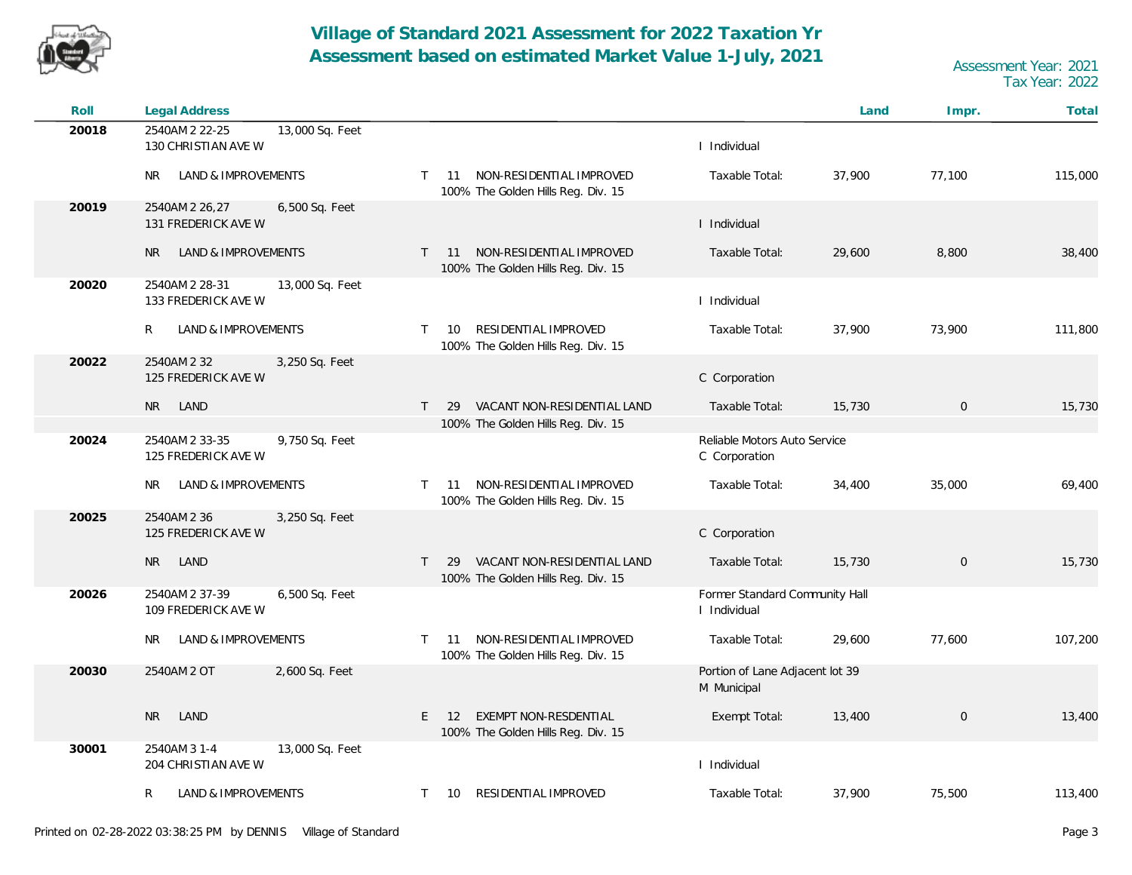

| Roll  | Legal Address                                            |                                                                                         |                                                | Land   | Impr.       | Total   |
|-------|----------------------------------------------------------|-----------------------------------------------------------------------------------------|------------------------------------------------|--------|-------------|---------|
| 20018 | 2540AM 2 22-25<br>13,000 Sq. Feet<br>130 CHRISTIAN AVE W |                                                                                         | I Individual                                   |        |             |         |
|       | LAND & IMPROVEMENTS<br>NR                                | NON-RESIDENTIAL IMPROVED<br>$T = 11$<br>100% The Golden Hills Reg. Div. 15              | Taxable Total:                                 | 37,900 | 77,100      | 115,000 |
| 20019 | 2540AM 2 26,27<br>6,500 Sq. Feet<br>131 FREDERICK AVE W  |                                                                                         | I Individual                                   |        |             |         |
|       | LAND & IMPROVEMENTS<br><b>NR</b>                         | NON-RESIDENTIAL IMPROVED<br>11<br>$\mathsf{T}$<br>100% The Golden Hills Reg. Div. 15    | Taxable Total:                                 | 29,600 | 8,800       | 38,400  |
| 20020 | 2540AM 2 28-31<br>13,000 Sq. Feet<br>133 FREDERICK AVE W |                                                                                         | I Individual                                   |        |             |         |
|       | $\mathsf{R}$<br>LAND & IMPROVEMENTS                      | RESIDENTIAL IMPROVED<br>10<br>$\top$<br>100% The Golden Hills Reg. Div. 15              | Taxable Total:                                 | 37,900 | 73,900      | 111,800 |
| 20022 | 2540AM 2 32<br>3,250 Sq. Feet<br>125 FREDERICK AVE W     |                                                                                         | C Corporation                                  |        |             |         |
|       | LAND<br><b>NR</b>                                        | VACANT NON-RESIDENTIAL LAND<br>$\mathsf{T}$<br>29<br>100% The Golden Hills Reg. Div. 15 | Taxable Total:                                 | 15,730 | $\mathbf 0$ | 15,730  |
| 20024 | 2540AM 2 33-35<br>9,750 Sq. Feet<br>125 FREDERICK AVE W  |                                                                                         | Reliable Motors Auto Service<br>C Corporation  |        |             |         |
|       | LAND & IMPROVEMENTS<br>NR.                               | NON-RESIDENTIAL IMPROVED<br>$\top$<br>11<br>100% The Golden Hills Reg. Div. 15          | Taxable Total:                                 | 34,400 | 35,000      | 69,400  |
| 20025 | 2540AM 2 36<br>3,250 Sq. Feet<br>125 FREDERICK AVE W     |                                                                                         | C Corporation                                  |        |             |         |
|       | LAND<br>NR I                                             | VACANT NON-RESIDENTIAL LAND<br>$\top$<br>29<br>100% The Golden Hills Reg. Div. 15       | Taxable Total:                                 | 15,730 | $\mathbf 0$ | 15,730  |
| 20026 | 2540AM 2 37-39<br>6,500 Sq. Feet<br>109 FREDERICK AVE W  |                                                                                         | Former Standard Community Hall<br>I Individual |        |             |         |
|       | LAND & IMPROVEMENTS<br>NR.                               | NON-RESIDENTIAL IMPROVED<br>$\top$<br>-11<br>100% The Golden Hills Reg. Div. 15         | Taxable Total:                                 | 29,600 | 77,600      | 107,200 |
| 20030 | 2540AM 2 OT<br>2,600 Sq. Feet                            |                                                                                         | Portion of Lane Adjacent lot 39<br>M Municipal |        |             |         |
|       | LAND<br><b>NR</b>                                        | EXEMPT NON-RESDENTIAL<br>E<br>12<br>100% The Golden Hills Reg. Div. 15                  | Exempt Total:                                  | 13,400 | $\mathbf 0$ | 13,400  |
| 30001 | 2540AM 3 1-4<br>13,000 Sq. Feet<br>204 CHRISTIAN AVE W   |                                                                                         | I Individual                                   |        |             |         |
|       | R<br>LAND & IMPROVEMENTS                                 | RESIDENTIAL IMPROVED<br>$\mathsf{T}$<br>10                                              | Taxable Total:                                 | 37,900 | 75,500      | 113,400 |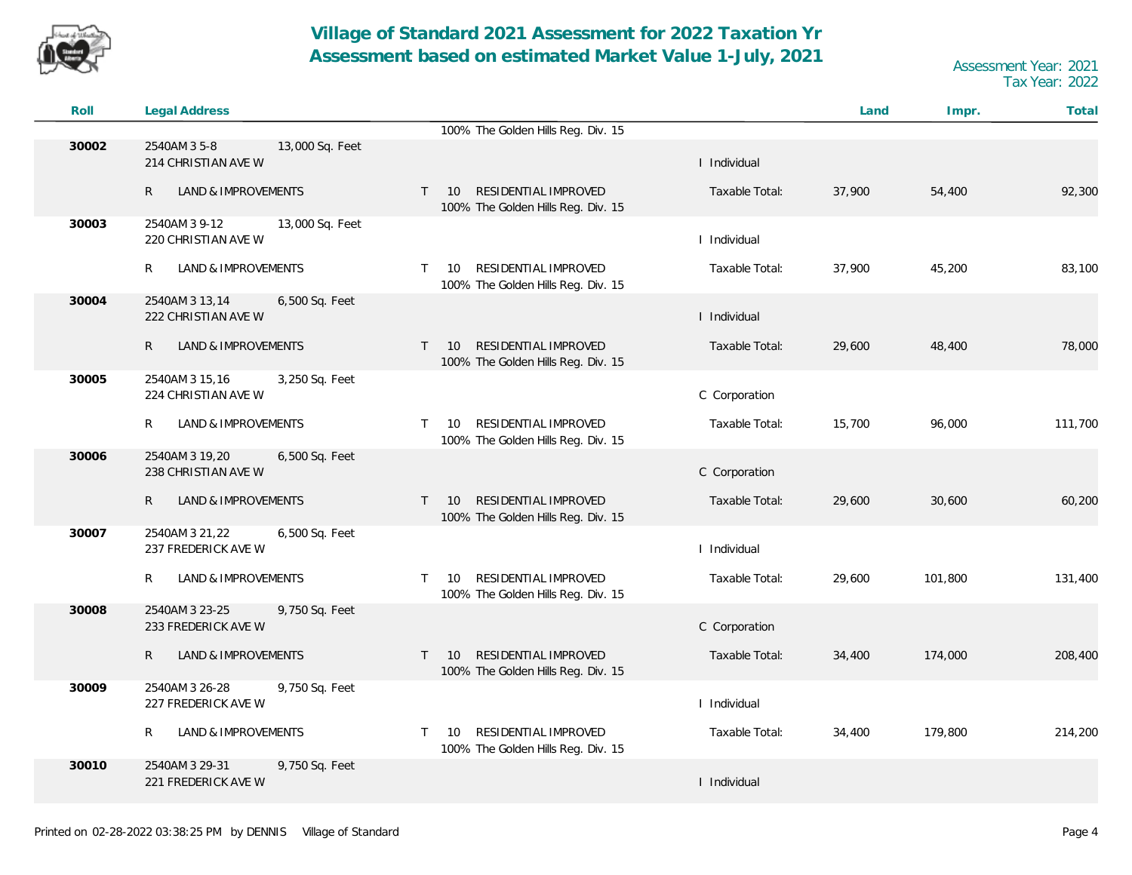

| Roll  | <b>Legal Address</b>                                    |                                                                                               |                | Land   | Impr.   | Total   |
|-------|---------------------------------------------------------|-----------------------------------------------------------------------------------------------|----------------|--------|---------|---------|
|       |                                                         | 100% The Golden Hills Reg. Div. 15                                                            |                |        |         |         |
| 30002 | 2540AM 3 5-8<br>13,000 Sq. Feet<br>214 CHRISTIAN AVE W  |                                                                                               | I Individual   |        |         |         |
|       | R<br>LAND & IMPROVEMENTS                                | RESIDENTIAL IMPROVED<br>10<br>$\mathsf{T}$<br>100% The Golden Hills Reg. Div. 15              | Taxable Total: | 37,900 | 54,400  | 92,300  |
| 30003 | 13,000 Sq. Feet<br>2540AM 3 9-12<br>220 CHRISTIAN AVE W |                                                                                               | I Individual   |        |         |         |
|       | R<br>LAND & IMPROVEMENTS                                | RESIDENTIAL IMPROVED<br>10<br>T.<br>100% The Golden Hills Reg. Div. 15                        | Taxable Total: | 37,900 | 45,200  | 83,100  |
| 30004 | 2540AM 3 13,14<br>6,500 Sq. Feet<br>222 CHRISTIAN AVE W |                                                                                               | I Individual   |        |         |         |
|       | R<br>LAND & IMPROVEMENTS                                | RESIDENTIAL IMPROVED<br>10 <sup>°</sup><br>$\mathsf{T}$<br>100% The Golden Hills Reg. Div. 15 | Taxable Total: | 29,600 | 48,400  | 78,000  |
| 30005 | 2540AM 3 15,16<br>3,250 Sq. Feet<br>224 CHRISTIAN AVE W |                                                                                               | C Corporation  |        |         |         |
|       | LAND & IMPROVEMENTS<br>R                                | RESIDENTIAL IMPROVED<br>10<br>$\mathsf{T}$<br>100% The Golden Hills Reg. Div. 15              | Taxable Total: | 15,700 | 96,000  | 111,700 |
| 30006 | 2540AM 3 19,20<br>6,500 Sq. Feet<br>238 CHRISTIAN AVE W |                                                                                               | C Corporation  |        |         |         |
|       | R<br>LAND & IMPROVEMENTS                                | RESIDENTIAL IMPROVED<br>10<br>$\mathsf{T}$<br>100% The Golden Hills Reg. Div. 15              | Taxable Total: | 29,600 | 30,600  | 60,200  |
| 30007 | 2540AM 3 21,22<br>6,500 Sq. Feet<br>237 FREDERICK AVE W |                                                                                               | I Individual   |        |         |         |
|       | R<br>LAND & IMPROVEMENTS                                | RESIDENTIAL IMPROVED<br>$\mathsf{T}$<br>10<br>100% The Golden Hills Reg. Div. 15              | Taxable Total: | 29,600 | 101,800 | 131,400 |
| 30008 | 2540AM 3 23-25<br>9,750 Sq. Feet<br>233 FREDERICK AVE W |                                                                                               | C Corporation  |        |         |         |
|       | R<br>LAND & IMPROVEMENTS                                | RESIDENTIAL IMPROVED<br>10<br>T.<br>100% The Golden Hills Reg. Div. 15                        | Taxable Total: | 34,400 | 174,000 | 208,400 |
| 30009 | 2540AM 3 26-28<br>9,750 Sq. Feet<br>227 FREDERICK AVE W |                                                                                               | I Individual   |        |         |         |
|       | LAND & IMPROVEMENTS<br>R                                | RESIDENTIAL IMPROVED<br>$\mathsf{T}$<br>10<br>100% The Golden Hills Reg. Div. 15              | Taxable Total: | 34,400 | 179,800 | 214,200 |
| 30010 | 2540AM 3 29-31<br>9,750 Sq. Feet<br>221 FREDERICK AVE W |                                                                                               | I Individual   |        |         |         |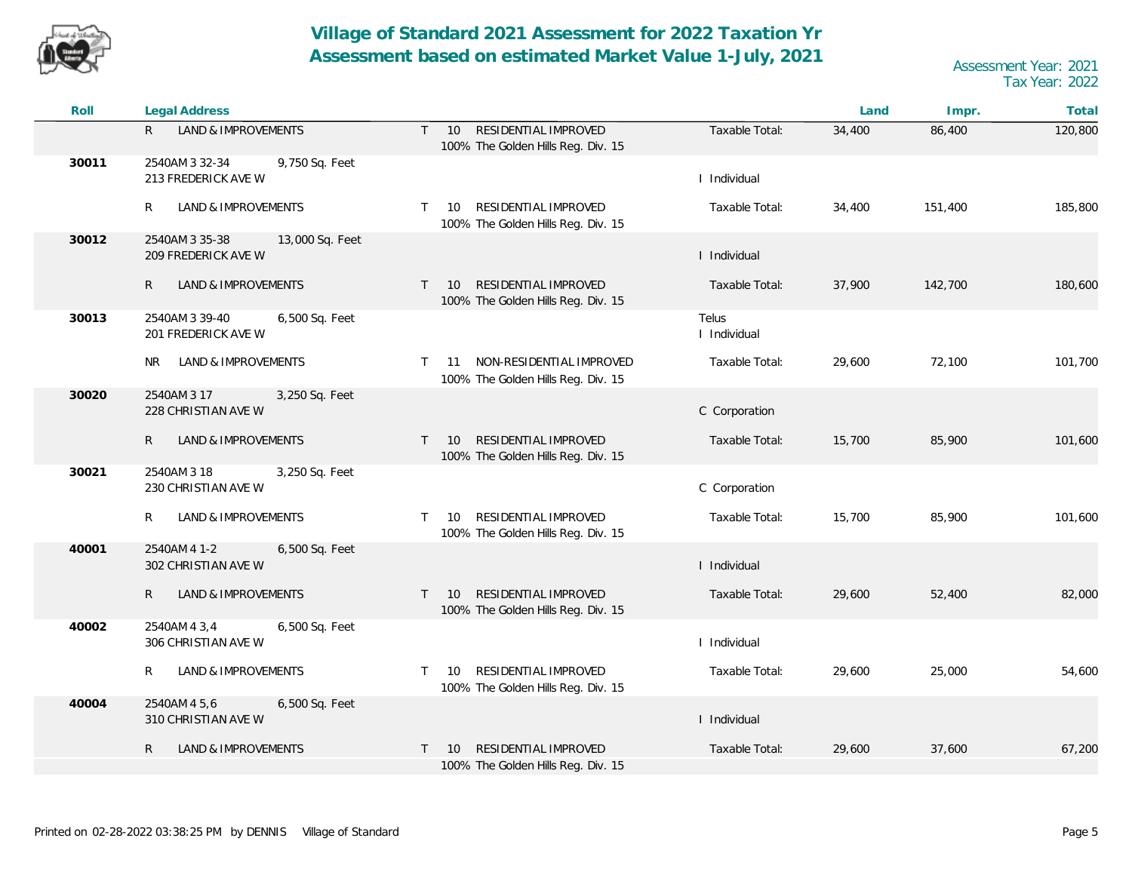

| Roll  | Legal Address                                            |                                                                                      |                       | Land   | Impr.   | Total   |
|-------|----------------------------------------------------------|--------------------------------------------------------------------------------------|-----------------------|--------|---------|---------|
|       | LAND & IMPROVEMENTS<br>R.                                | RESIDENTIAL IMPROVED<br>$T = 10$<br>100% The Golden Hills Reg. Div. 15               | Taxable Total:        | 34,400 | 86,400  | 120,800 |
| 30011 | 2540AM 3 32-34<br>9,750 Sq. Feet<br>213 FREDERICK AVE W  |                                                                                      | I Individual          |        |         |         |
|       | LAND & IMPROVEMENTS<br>R                                 | RESIDENTIAL IMPROVED<br>$\mathsf{T}$<br>10<br>100% The Golden Hills Reg. Div. 15     | Taxable Total:        | 34,400 | 151,400 | 185,800 |
| 30012 | 2540AM 3 35-38<br>13,000 Sq. Feet<br>209 FREDERICK AVE W |                                                                                      | I Individual          |        |         |         |
|       | LAND & IMPROVEMENTS<br>R.                                | RESIDENTIAL IMPROVED<br>$T = 10$<br>100% The Golden Hills Reg. Div. 15               | Taxable Total:        | 37,900 | 142,700 | 180,600 |
| 30013 | 2540AM 3 39-40<br>6,500 Sq. Feet<br>201 FREDERICK AVE W  |                                                                                      | Telus<br>I Individual |        |         |         |
|       | LAND & IMPROVEMENTS<br>NR.                               | NON-RESIDENTIAL IMPROVED<br>11<br>$\mathsf{T}$<br>100% The Golden Hills Reg. Div. 15 | Taxable Total:        | 29,600 | 72,100  | 101,700 |
| 30020 | 2540AM 3 17<br>3,250 Sq. Feet<br>228 CHRISTIAN AVE W     |                                                                                      | C Corporation         |        |         |         |
|       | $\mathsf{R}$<br>LAND & IMPROVEMENTS                      | RESIDENTIAL IMPROVED<br>10<br>$\top$<br>100% The Golden Hills Reg. Div. 15           | Taxable Total:        | 15,700 | 85,900  | 101,600 |
| 30021 | 2540AM 3 18<br>3,250 Sq. Feet<br>230 CHRISTIAN AVE W     |                                                                                      | C Corporation         |        |         |         |
|       | R.<br>LAND & IMPROVEMENTS                                | RESIDENTIAL IMPROVED<br>$\mathsf{T}$<br>10<br>100% The Golden Hills Reg. Div. 15     | Taxable Total:        | 15,700 | 85,900  | 101,600 |
| 40001 | 2540AM 4 1-2<br>6,500 Sq. Feet<br>302 CHRISTIAN AVE W    |                                                                                      | I Individual          |        |         |         |
|       | LAND & IMPROVEMENTS<br>R                                 | RESIDENTIAL IMPROVED<br>$\top$<br>10<br>100% The Golden Hills Reg. Div. 15           | Taxable Total:        | 29,600 | 52,400  | 82,000  |
| 40002 | 2540AM 4 3,4<br>6,500 Sq. Feet<br>306 CHRISTIAN AVE W    |                                                                                      | I Individual          |        |         |         |
|       | LAND & IMPROVEMENTS<br>R                                 | RESIDENTIAL IMPROVED<br>10<br>$\top$<br>100% The Golden Hills Reg. Div. 15           | Taxable Total:        | 29,600 | 25,000  | 54,600  |
| 40004 | 2540AM 4 5,6<br>6,500 Sq. Feet<br>310 CHRISTIAN AVE W    |                                                                                      | I Individual          |        |         |         |
|       | LAND & IMPROVEMENTS<br>R                                 | RESIDENTIAL IMPROVED<br>10<br>$\top$<br>100% The Golden Hills Reg. Div. 15           | Taxable Total:        | 29,600 | 37,600  | 67,200  |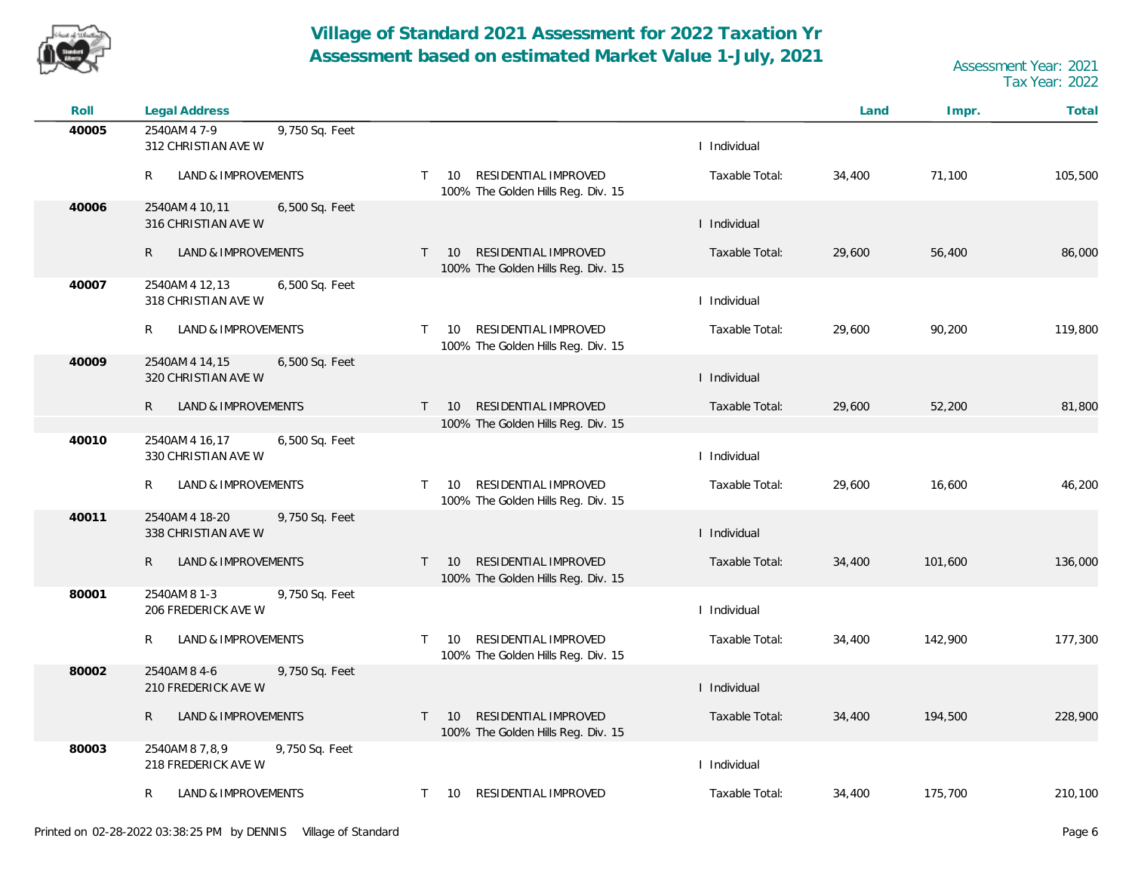

| Roll  | <b>Legal Address</b>                                    |                                                                                  |                | Land   | Impr.   | Total   |
|-------|---------------------------------------------------------|----------------------------------------------------------------------------------|----------------|--------|---------|---------|
| 40005 | 2540AM 4 7-9<br>9,750 Sq. Feet<br>312 CHRISTIAN AVE W   |                                                                                  | I Individual   |        |         |         |
|       | R<br>LAND & IMPROVEMENTS                                | RESIDENTIAL IMPROVED<br>10<br>$\top$<br>100% The Golden Hills Reg. Div. 15       | Taxable Total: | 34,400 | 71,100  | 105,500 |
| 40006 | 2540AM 4 10,11<br>6,500 Sq. Feet<br>316 CHRISTIAN AVE W |                                                                                  | I Individual   |        |         |         |
|       | $\mathsf{R}$<br>LAND & IMPROVEMENTS                     | RESIDENTIAL IMPROVED<br>$T = 10$<br>100% The Golden Hills Reg. Div. 15           | Taxable Total: | 29,600 | 56,400  | 86,000  |
| 40007 | 2540AM 4 12,13<br>6,500 Sq. Feet<br>318 CHRISTIAN AVE W |                                                                                  | I Individual   |        |         |         |
|       | LAND & IMPROVEMENTS<br>R                                | RESIDENTIAL IMPROVED<br>10<br>$\top$<br>100% The Golden Hills Reg. Div. 15       | Taxable Total: | 29,600 | 90,200  | 119,800 |
| 40009 | 6,500 Sq. Feet<br>2540AM 4 14,15<br>320 CHRISTIAN AVE W |                                                                                  | I Individual   |        |         |         |
|       | LAND & IMPROVEMENTS<br>R                                | RESIDENTIAL IMPROVED<br>$\mathsf{T}$<br>10<br>100% The Golden Hills Reg. Div. 15 | Taxable Total: | 29,600 | 52,200  | 81,800  |
| 40010 | 6,500 Sq. Feet<br>2540AM 4 16,17<br>330 CHRISTIAN AVE W |                                                                                  | I Individual   |        |         |         |
|       | LAND & IMPROVEMENTS<br>R                                | RESIDENTIAL IMPROVED<br>$\top$<br>10<br>100% The Golden Hills Reg. Div. 15       | Taxable Total: | 29,600 | 16,600  | 46,200  |
| 40011 | 2540AM 4 18-20<br>9,750 Sq. Feet<br>338 CHRISTIAN AVE W |                                                                                  | I Individual   |        |         |         |
|       | LAND & IMPROVEMENTS<br>R                                | RESIDENTIAL IMPROVED<br>$T = 10$<br>100% The Golden Hills Reg. Div. 15           | Taxable Total: | 34,400 | 101,600 | 136,000 |
| 80001 | 2540AM 8 1-3<br>9,750 Sq. Feet<br>206 FREDERICK AVE W   |                                                                                  | I Individual   |        |         |         |
|       | LAND & IMPROVEMENTS<br>R                                | RESIDENTIAL IMPROVED<br>$\mathsf{T}$<br>10<br>100% The Golden Hills Reg. Div. 15 | Taxable Total: | 34,400 | 142,900 | 177,300 |
| 80002 | 2540AM 8 4-6<br>9,750 Sq. Feet<br>210 FREDERICK AVE W   |                                                                                  | I Individual   |        |         |         |
|       | R<br>LAND & IMPROVEMENTS                                | RESIDENTIAL IMPROVED<br>10<br>$\top$<br>100% The Golden Hills Reg. Div. 15       | Taxable Total: | 34,400 | 194,500 | 228,900 |
| 80003 | 2540AM 8 7,8,9<br>9,750 Sq. Feet<br>218 FREDERICK AVE W |                                                                                  | I Individual   |        |         |         |
|       | LAND & IMPROVEMENTS<br>R                                | RESIDENTIAL IMPROVED<br>$\top$<br>10                                             | Taxable Total: | 34,400 | 175,700 | 210,100 |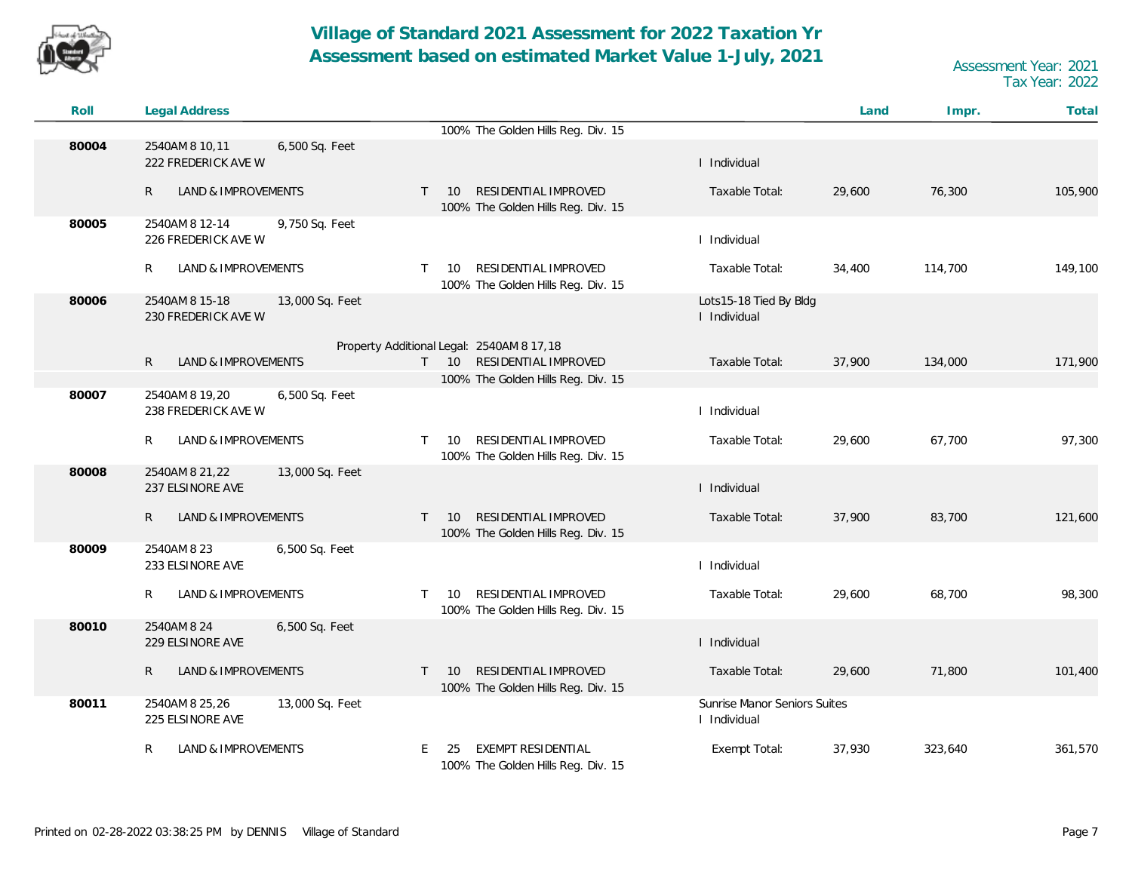

| Roll  | Legal Address                                            |                                                                                  |                                              | Land   | Impr.   | Total   |
|-------|----------------------------------------------------------|----------------------------------------------------------------------------------|----------------------------------------------|--------|---------|---------|
|       |                                                          | 100% The Golden Hills Reg. Div. 15                                               |                                              |        |         |         |
| 80004 | 2540AM 8 10,11<br>6,500 Sq. Feet<br>222 FREDERICK AVE W  |                                                                                  | I Individual                                 |        |         |         |
|       | $\mathsf{R}$<br>LAND & IMPROVEMENTS                      | RESIDENTIAL IMPROVED<br>$T = 10$<br>100% The Golden Hills Reg. Div. 15           | Taxable Total:                               | 29,600 | 76,300  | 105,900 |
| 80005 | 2540AM 8 12-14<br>9,750 Sq. Feet<br>226 FREDERICK AVE W  |                                                                                  | I Individual                                 |        |         |         |
|       | LAND & IMPROVEMENTS<br>R                                 | RESIDENTIAL IMPROVED<br>10<br>$\mathsf{T}$<br>100% The Golden Hills Reg. Div. 15 | Taxable Total:                               | 34,400 | 114,700 | 149,100 |
| 80006 | 2540AM 8 15-18<br>13,000 Sq. Feet<br>230 FREDERICK AVE W |                                                                                  | Lots15-18 Tied By Bldg<br>I Individual       |        |         |         |
|       |                                                          | Property Additional Legal: 2540AM 8 17,18                                        |                                              |        |         |         |
|       | $\mathsf{R}$<br>LAND & IMPROVEMENTS                      | RESIDENTIAL IMPROVED<br>$T = 10$                                                 | Taxable Total:                               | 37,900 | 134,000 | 171,900 |
|       |                                                          | 100% The Golden Hills Reg. Div. 15                                               |                                              |        |         |         |
| 80007 | 2540AM 8 19,20<br>6,500 Sq. Feet<br>238 FREDERICK AVE W  |                                                                                  | I Individual                                 |        |         |         |
|       | R<br>LAND & IMPROVEMENTS                                 | RESIDENTIAL IMPROVED<br>10<br>T.<br>100% The Golden Hills Reg. Div. 15           | Taxable Total:                               | 29,600 | 67,700  | 97,300  |
| 80008 | 2540AM 8 21, 22<br>13,000 Sq. Feet<br>237 ELSINORE AVE   |                                                                                  | I Individual                                 |        |         |         |
|       | $\mathsf{R}$<br>LAND & IMPROVEMENTS                      | RESIDENTIAL IMPROVED<br>10<br>$\top$<br>100% The Golden Hills Reg. Div. 15       | Taxable Total:                               | 37,900 | 83,700  | 121,600 |
| 80009 | 2540AM 8 23<br>6,500 Sq. Feet<br>233 ELSINORE AVE        |                                                                                  | I Individual                                 |        |         |         |
|       | R<br>LAND & IMPROVEMENTS                                 | RESIDENTIAL IMPROVED<br>10<br>T.<br>100% The Golden Hills Reg. Div. 15           | Taxable Total:                               | 29,600 | 68,700  | 98,300  |
| 80010 | 2540AM 8 24<br>6,500 Sq. Feet<br>229 ELSINORE AVE        |                                                                                  | I Individual                                 |        |         |         |
|       | R<br>LAND & IMPROVEMENTS                                 | RESIDENTIAL IMPROVED<br>10<br>T.<br>100% The Golden Hills Reg. Div. 15           | Taxable Total:                               | 29,600 | 71,800  | 101,400 |
| 80011 | 2540AM 8 25,26<br>13,000 Sq. Feet<br>225 ELSINORE AVE    |                                                                                  | Sunrise Manor Seniors Suites<br>I Individual |        |         |         |
|       | R<br>LAND & IMPROVEMENTS                                 | EXEMPT RESIDENTIAL<br>E.<br>25<br>100% The Golden Hills Reg. Div. 15             | Exempt Total:                                | 37,930 | 323,640 | 361,570 |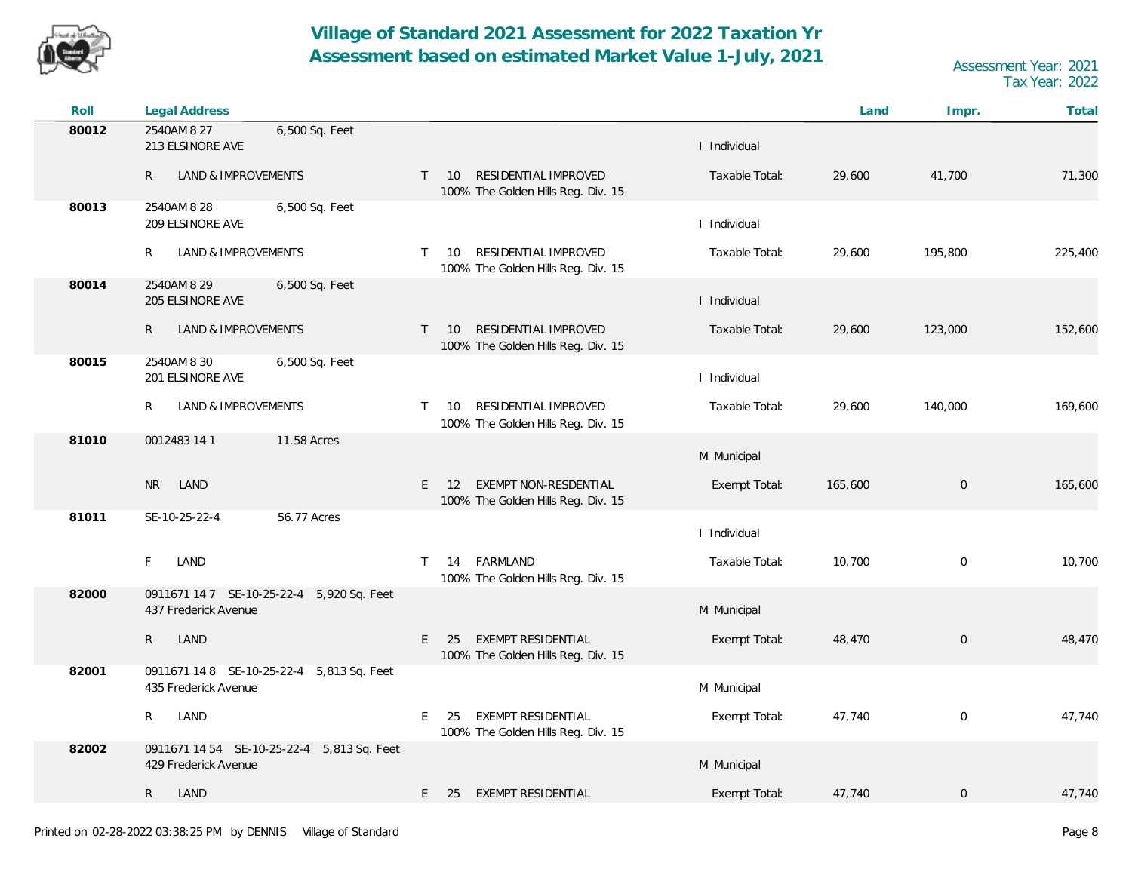

| Roll  | <b>Legal Address</b>                                               |                                                                                               |                | Land    | Impr.            | Total   |
|-------|--------------------------------------------------------------------|-----------------------------------------------------------------------------------------------|----------------|---------|------------------|---------|
| 80012 | 2540AM 8 27<br>6,500 Sq. Feet<br>213 ELSINORE AVE                  |                                                                                               | I Individual   |         |                  |         |
|       | $\mathsf{R}$<br><b>LAND &amp; IMPROVEMENTS</b>                     | RESIDENTIAL IMPROVED<br>$T = 10$<br>100% The Golden Hills Reg. Div. 15                        | Taxable Total: | 29,600  | 41,700           | 71,300  |
| 80013 | 2540AM 8 28<br>6,500 Sq. Feet<br>209 ELSINORE AVE                  |                                                                                               | I Individual   |         |                  |         |
|       | LAND & IMPROVEMENTS<br>R                                           | RESIDENTIAL IMPROVED<br>10<br>$\mathsf{T}$<br>100% The Golden Hills Reg. Div. 15              | Taxable Total: | 29,600  | 195,800          | 225,400 |
| 80014 | 2540AM 8 29<br>6,500 Sq. Feet<br>205 ELSINORE AVE                  |                                                                                               | I Individual   |         |                  |         |
|       | LAND & IMPROVEMENTS<br>R                                           | RESIDENTIAL IMPROVED<br>$\mathsf{T}$<br>10 <sup>°</sup><br>100% The Golden Hills Reg. Div. 15 | Taxable Total: | 29,600  | 123,000          | 152,600 |
| 80015 | 2540AM 8 30<br>6,500 Sq. Feet<br>201 ELSINORE AVE                  |                                                                                               | I Individual   |         |                  |         |
|       | LAND & IMPROVEMENTS<br>R                                           | RESIDENTIAL IMPROVED<br>10<br>$\mathsf{T}$<br>100% The Golden Hills Reg. Div. 15              | Taxable Total: | 29,600  | 140,000          | 169,600 |
| 81010 | 11.58 Acres<br>0012483 14 1                                        |                                                                                               | M Municipal    |         |                  |         |
|       | <b>NR</b><br>LAND                                                  | EXEMPT NON-RESDENTIAL<br>E.<br>12<br>100% The Golden Hills Reg. Div. 15                       | Exempt Total:  | 165,600 | $\boldsymbol{0}$ | 165,600 |
| 81011 | SE-10-25-22-4<br>56.77 Acres                                       |                                                                                               | I Individual   |         |                  |         |
|       | LAND<br>F                                                          | 14 FARMLAND<br>T.<br>100% The Golden Hills Reg. Div. 15                                       | Taxable Total: | 10,700  | $\mathbf 0$      | 10,700  |
| 82000 | 0911671 14 7 SE-10-25-22-4 5,920 Sq. Feet<br>437 Frederick Avenue  |                                                                                               | M Municipal    |         |                  |         |
|       | $\mathsf{R}$<br>LAND                                               | EXEMPT RESIDENTIAL<br>E.<br>25<br>100% The Golden Hills Reg. Div. 15                          | Exempt Total:  | 48,470  | $\mathbf 0$      | 48,470  |
| 82001 | 0911671 14 8 SE-10-25-22-4 5,813 Sq. Feet<br>435 Frederick Avenue  |                                                                                               | M Municipal    |         |                  |         |
|       | $\mathsf{R}$<br>LAND                                               | E<br>EXEMPT RESIDENTIAL<br>25<br>100% The Golden Hills Reg. Div. 15                           | Exempt Total:  | 47,740  | $\boldsymbol{0}$ | 47,740  |
| 82002 | 0911671 14 54 SE-10-25-22-4 5,813 Sq. Feet<br>429 Frederick Avenue |                                                                                               | M Municipal    |         |                  |         |
|       | R.<br>LAND                                                         | E<br><b>EXEMPT RESIDENTIAL</b><br>25                                                          | Exempt Total:  | 47,740  | $\mathbf 0$      | 47,740  |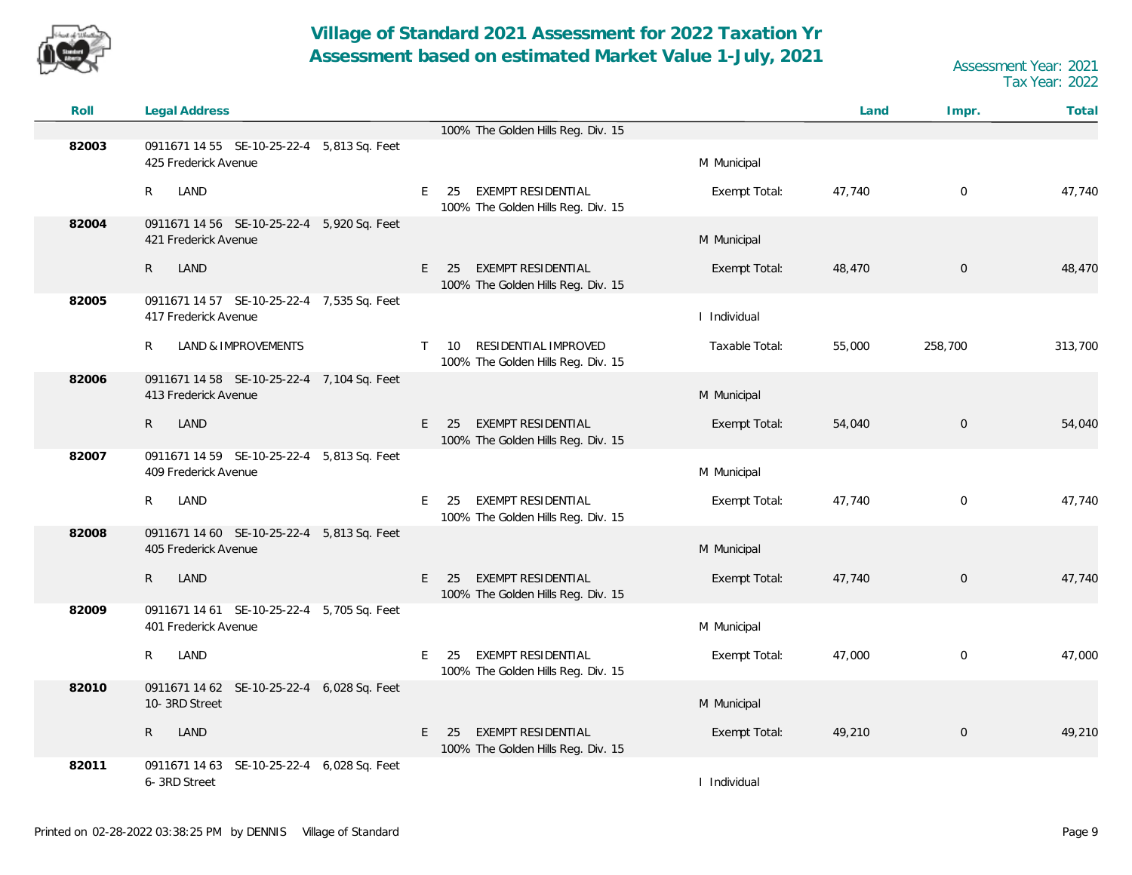

| Roll  | <b>Legal Address</b>                                               |                                                                                  |                | Land   | Impr.               | Total   |
|-------|--------------------------------------------------------------------|----------------------------------------------------------------------------------|----------------|--------|---------------------|---------|
|       |                                                                    | 100% The Golden Hills Reg. Div. 15                                               |                |        |                     |         |
| 82003 | 0911671 14 55 SE-10-25-22-4 5,813 Sq. Feet<br>425 Frederick Avenue |                                                                                  | M Municipal    |        |                     |         |
|       | R<br>LAND                                                          | E<br>EXEMPT RESIDENTIAL<br>25<br>100% The Golden Hills Reg. Div. 15              | Exempt Total:  | 47,740 | $\mathbf 0$         | 47,740  |
| 82004 | 0911671 14 56 SE-10-25-22-4 5,920 Sq. Feet<br>421 Frederick Avenue |                                                                                  | M Municipal    |        |                     |         |
|       | $\mathsf{R}$<br>LAND                                               | <b>EXEMPT RESIDENTIAL</b><br>E.<br>25<br>100% The Golden Hills Reg. Div. 15      | Exempt Total:  | 48,470 | $\mathsf{O}\xspace$ | 48,470  |
| 82005 | 0911671 14 57 SE-10-25-22-4 7,535 Sq. Feet<br>417 Frederick Avenue |                                                                                  | I Individual   |        |                     |         |
|       | <b>LAND &amp; IMPROVEMENTS</b><br>R                                | RESIDENTIAL IMPROVED<br>10<br>$\mathsf{T}$<br>100% The Golden Hills Reg. Div. 15 | Taxable Total: | 55,000 | 258,700             | 313,700 |
| 82006 | 0911671 14 58 SE-10-25-22-4 7,104 Sq. Feet<br>413 Frederick Avenue |                                                                                  | M Municipal    |        |                     |         |
|       | $\mathsf{R}$<br>LAND                                               | EXEMPT RESIDENTIAL<br>E<br>25<br>100% The Golden Hills Reg. Div. 15              | Exempt Total:  | 54,040 | $\mathbf 0$         | 54,040  |
| 82007 | 0911671 14 59 SE-10-25-22-4 5,813 Sq. Feet<br>409 Frederick Avenue |                                                                                  | M Municipal    |        |                     |         |
|       | R<br>LAND                                                          | EXEMPT RESIDENTIAL<br>E<br>25<br>100% The Golden Hills Reg. Div. 15              | Exempt Total:  | 47,740 | $\mathbf 0$         | 47,740  |
| 82008 | 0911671 14 60 SE-10-25-22-4 5,813 Sq. Feet<br>405 Frederick Avenue |                                                                                  | M Municipal    |        |                     |         |
|       | R<br>LAND                                                          | E.<br><b>EXEMPT RESIDENTIAL</b><br>25<br>100% The Golden Hills Reg. Div. 15      | Exempt Total:  | 47,740 | $\mathbf 0$         | 47,740  |
| 82009 | 0911671 14 61 SE-10-25-22-4 5,705 Sq. Feet<br>401 Frederick Avenue |                                                                                  | M Municipal    |        |                     |         |
|       | R<br>LAND                                                          | E.<br><b>EXEMPT RESIDENTIAL</b><br>25<br>100% The Golden Hills Reg. Div. 15      | Exempt Total:  | 47,000 | $\mathbf 0$         | 47,000  |
| 82010 | 0911671 14 62 SE-10-25-22-4 6,028 Sq. Feet<br>10-3RD Street        |                                                                                  | M Municipal    |        |                     |         |
|       | $\mathsf{R}$<br>LAND                                               | <b>EXEMPT RESIDENTIAL</b><br>E.<br>25<br>100% The Golden Hills Reg. Div. 15      | Exempt Total:  | 49,210 | $\mathbf 0$         | 49,210  |
| 82011 | 0911671 14 63 SE-10-25-22-4 6,028 Sq. Feet<br>6-3RD Street         |                                                                                  | I Individual   |        |                     |         |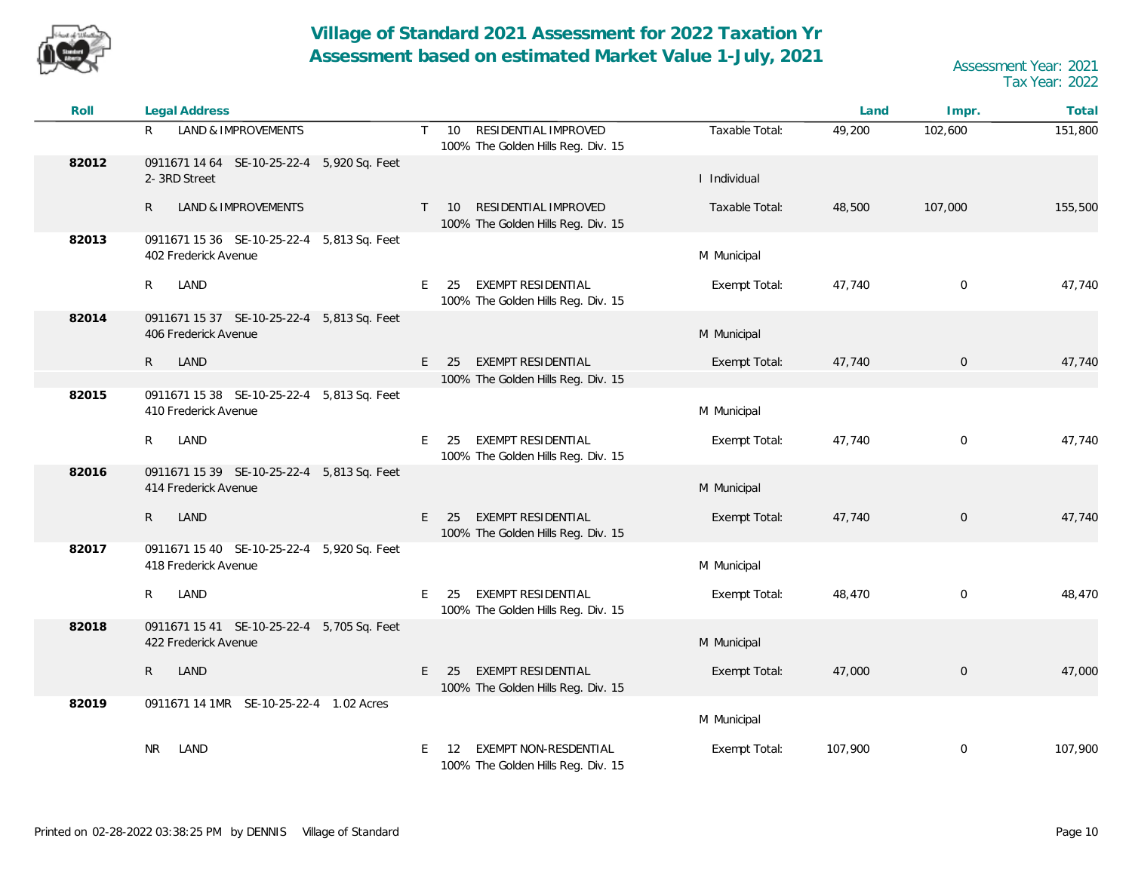

| Roll  | <b>Legal Address</b>                                               |                                                                                               |                | Land    | Impr.               | Total   |
|-------|--------------------------------------------------------------------|-----------------------------------------------------------------------------------------------|----------------|---------|---------------------|---------|
|       | R<br>LAND & IMPROVEMENTS                                           | RESIDENTIAL IMPROVED<br>10 <sup>°</sup><br>$\mathsf{T}$<br>100% The Golden Hills Reg. Div. 15 | Taxable Total: | 49,200  | 102,600             | 151,800 |
| 82012 | 0911671 14 64 SE-10-25-22-4 5,920 Sq. Feet<br>2-3RD Street         |                                                                                               | I Individual   |         |                     |         |
|       | LAND & IMPROVEMENTS<br>R                                           | RESIDENTIAL IMPROVED<br>10 <sup>1</sup><br>T<br>100% The Golden Hills Reg. Div. 15            | Taxable Total: | 48,500  | 107,000             | 155,500 |
| 82013 | 0911671 15 36 SE-10-25-22-4 5,813 Sq. Feet<br>402 Frederick Avenue |                                                                                               | M Municipal    |         |                     |         |
|       | $\mathsf{R}$<br>LAND                                               | EXEMPT RESIDENTIAL<br>E<br>25<br>100% The Golden Hills Reg. Div. 15                           | Exempt Total:  | 47,740  | $\mathbf 0$         | 47,740  |
| 82014 | 0911671 15 37 SE-10-25-22-4 5,813 Sq. Feet<br>406 Frederick Avenue |                                                                                               | M Municipal    |         |                     |         |
|       | LAND<br>$\mathsf{R}$                                               | <b>EXEMPT RESIDENTIAL</b><br>E<br>25                                                          | Exempt Total:  | 47,740  | $\mathsf{O}$        | 47,740  |
|       |                                                                    | 100% The Golden Hills Reg. Div. 15                                                            |                |         |                     |         |
| 82015 | 0911671 15 38 SE-10-25-22-4 5,813 Sq. Feet<br>410 Frederick Avenue |                                                                                               | M Municipal    |         |                     |         |
|       | LAND<br>R                                                          | EXEMPT RESIDENTIAL<br>E.<br>25<br>100% The Golden Hills Reg. Div. 15                          | Exempt Total:  | 47,740  | $\mathbf 0$         | 47,740  |
| 82016 | 0911671 15 39 SE-10-25-22-4 5,813 Sq. Feet<br>414 Frederick Avenue |                                                                                               | M Municipal    |         |                     |         |
|       | $\mathsf{R}$<br>LAND                                               | <b>EXEMPT RESIDENTIAL</b><br>E.<br>- 25<br>100% The Golden Hills Reg. Div. 15                 | Exempt Total:  | 47,740  | $\mathsf{O}\xspace$ | 47,740  |
| 82017 | 0911671 15 40 SE-10-25-22-4 5,920 Sq. Feet<br>418 Frederick Avenue |                                                                                               | M Municipal    |         |                     |         |
|       | LAND<br>R                                                          | EXEMPT RESIDENTIAL<br>E<br>25<br>100% The Golden Hills Reg. Div. 15                           | Exempt Total:  | 48,470  | $\mathbf 0$         | 48,470  |
| 82018 | 0911671 15 41 SE-10-25-22-4 5,705 Sq. Feet<br>422 Frederick Avenue |                                                                                               | M Municipal    |         |                     |         |
|       | LAND<br>$\mathsf{R}$                                               | <b>EXEMPT RESIDENTIAL</b><br>E.<br>25<br>100% The Golden Hills Reg. Div. 15                   | Exempt Total:  | 47,000  | $\mathbf 0$         | 47,000  |
| 82019 | 0911671 14 1MR SE-10-25-22-4 1.02 Acres                            |                                                                                               | M Municipal    |         |                     |         |
|       | <b>NR</b><br>LAND                                                  | EXEMPT NON-RESDENTIAL<br>E<br>12<br>100% The Golden Hills Reg. Div. 15                        | Exempt Total:  | 107,900 | $\mathbf 0$         | 107,900 |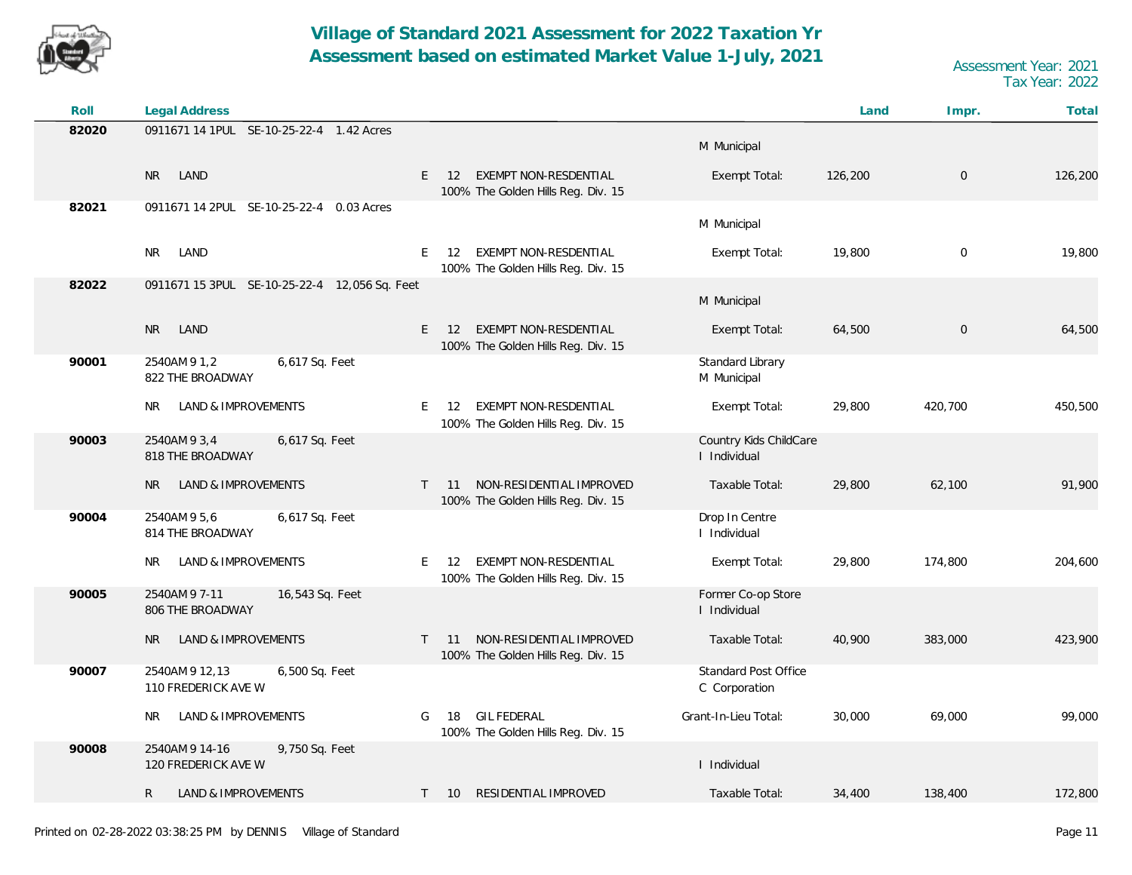

| Roll  | <b>Legal Address</b>                                    |              |                                                                                |                                              | Land    | Impr.          | Total   |
|-------|---------------------------------------------------------|--------------|--------------------------------------------------------------------------------|----------------------------------------------|---------|----------------|---------|
| 82020 | 0911671 14 1PUL SE-10-25-22-4 1.42 Acres                |              |                                                                                | M Municipal                                  |         |                |         |
|       | <b>NR</b><br>LAND                                       |              | <b>EXEMPT NON-RESDENTIAL</b><br>$E = 12$<br>100% The Golden Hills Reg. Div. 15 | Exempt Total:                                | 126,200 | $\overline{0}$ | 126,200 |
| 82021 | 0911671 14 2PUL SE-10-25-22-4 0.03 Acres                |              |                                                                                | M Municipal                                  |         |                |         |
|       | <b>NR</b><br>LAND                                       | E.           | 12 EXEMPT NON-RESDENTIAL<br>100% The Golden Hills Reg. Div. 15                 | Exempt Total:                                | 19,800  | $\mathbf{0}$   | 19,800  |
| 82022 | 0911671 15 3PUL SE-10-25-22-4 12,056 Sq. Feet           |              |                                                                                | M Municipal                                  |         |                |         |
|       | <b>NR</b><br>LAND                                       | E            | EXEMPT NON-RESDENTIAL<br>12<br>100% The Golden Hills Reg. Div. 15              | Exempt Total:                                | 64,500  | $\overline{0}$ | 64,500  |
| 90001 | 6,617 Sq. Feet<br>2540AM 9 1,2<br>822 THE BROADWAY      |              |                                                                                | Standard Library<br>M Municipal              |         |                |         |
|       | LAND & IMPROVEMENTS<br>NR.                              | E.           | EXEMPT NON-RESDENTIAL<br>12<br>100% The Golden Hills Reg. Div. 15              | Exempt Total:                                | 29,800  | 420,700        | 450,500 |
| 90003 | 2540AM 9 3,4<br>6,617 Sq. Feet<br>818 THE BROADWAY      |              |                                                                                | Country Kids ChildCare<br>I Individual       |         |                |         |
|       | LAND & IMPROVEMENTS<br><b>NR</b>                        | $\mathsf{T}$ | NON-RESIDENTIAL IMPROVED<br>11<br>100% The Golden Hills Reg. Div. 15           | Taxable Total:                               | 29,800  | 62,100         | 91,900  |
| 90004 | 2540AM 9 5,6<br>6,617 Sq. Feet<br>814 THE BROADWAY      |              |                                                                                | Drop In Centre<br>I Individual               |         |                |         |
|       | LAND & IMPROVEMENTS<br>NR.                              | E.           | EXEMPT NON-RESDENTIAL<br>-12<br>100% The Golden Hills Reg. Div. 15             | Exempt Total:                                | 29,800  | 174,800        | 204,600 |
| 90005 | 2540AM 9 7-11<br>16,543 Sq. Feet<br>806 THE BROADWAY    |              |                                                                                | Former Co-op Store<br>I Individual           |         |                |         |
|       | LAND & IMPROVEMENTS<br><b>NR</b>                        |              | NON-RESIDENTIAL IMPROVED<br>$T = 11$<br>100% The Golden Hills Reg. Div. 15     | Taxable Total:                               | 40,900  | 383,000        | 423,900 |
| 90007 | 2540AM 9 12,13<br>6,500 Sq. Feet<br>110 FREDERICK AVE W |              |                                                                                | <b>Standard Post Office</b><br>C Corporation |         |                |         |
|       | LAND & IMPROVEMENTS<br>NR.                              | G            | <b>GIL FEDERAL</b><br>18<br>100% The Golden Hills Reg. Div. 15                 | Grant-In-Lieu Total:                         | 30,000  | 69,000         | 99,000  |
| 90008 | 2540AM 9 14-16<br>9,750 Sq. Feet<br>120 FREDERICK AVE W |              |                                                                                | I Individual                                 |         |                |         |
|       | $\mathsf{R}$<br>LAND & IMPROVEMENTS                     | $\mathsf{T}$ | RESIDENTIAL IMPROVED<br><b>10</b>                                              | Taxable Total:                               | 34,400  | 138,400        | 172,800 |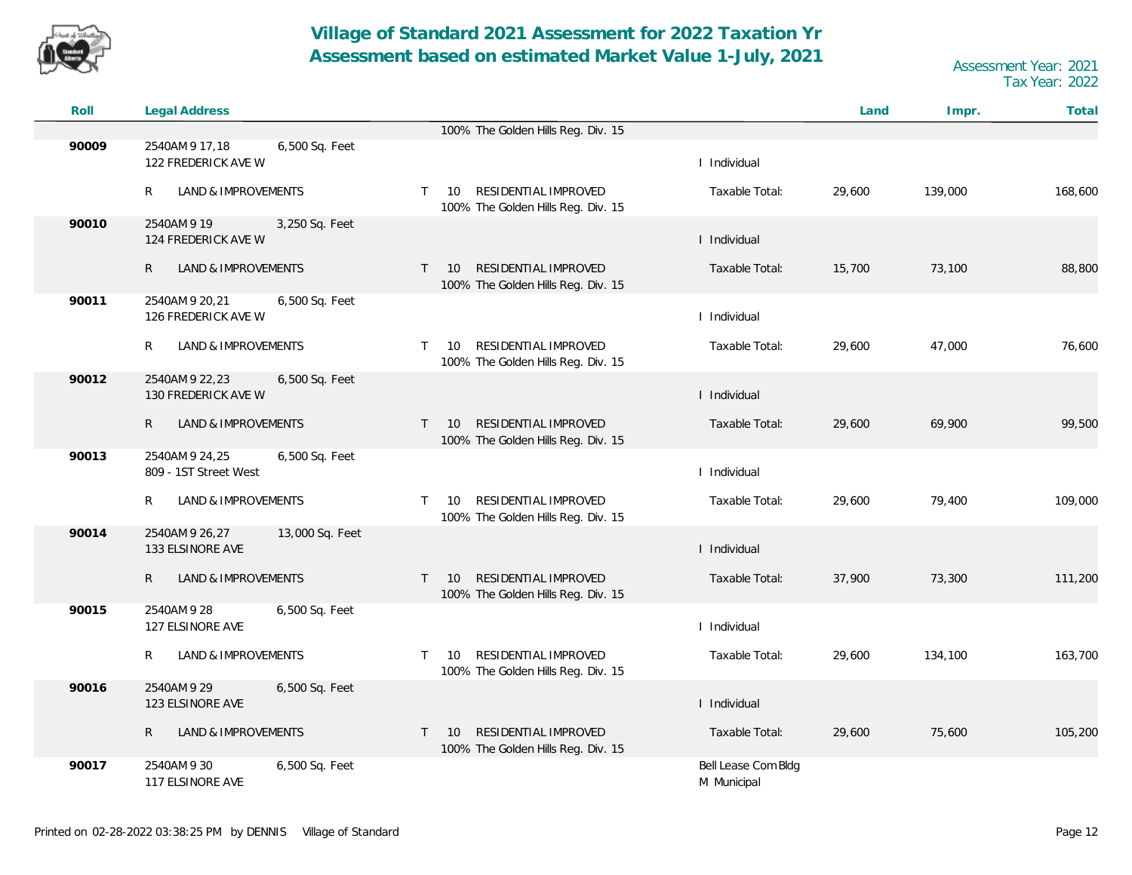

| Roll  | Legal Address                                             |                                                                                                |                                    | Land   | Impr.   | Total   |
|-------|-----------------------------------------------------------|------------------------------------------------------------------------------------------------|------------------------------------|--------|---------|---------|
|       |                                                           | 100% The Golden Hills Reg. Div. 15                                                             |                                    |        |         |         |
| 90009 | 2540AM 9 17,18<br>6,500 Sq. Feet<br>122 FREDERICK AVE W   |                                                                                                | I Individual                       |        |         |         |
|       | R<br><b>LAND &amp; IMPROVEMENTS</b>                       | RESIDENTIAL IMPROVED<br>10<br>$\mathsf{T}$<br>100% The Golden Hills Reg. Div. 15               | Taxable Total:                     | 29,600 | 139,000 | 168,600 |
| 90010 | 2540AM 9 19<br>3,250 Sq. Feet<br>124 FREDERICK AVE W      |                                                                                                | I Individual                       |        |         |         |
|       | $\mathsf{R}$<br>LAND & IMPROVEMENTS                       | RESIDENTIAL IMPROVED<br>10<br>$\mathsf{T}$<br>100% The Golden Hills Reg. Div. 15               | Taxable Total:                     | 15,700 | 73,100  | 88,800  |
| 90011 | 2540AM 9 20, 21<br>6,500 Sq. Feet<br>126 FREDERICK AVE W  |                                                                                                | I Individual                       |        |         |         |
|       | R<br>LAND & IMPROVEMENTS                                  | RESIDENTIAL IMPROVED<br>10<br>T.<br>100% The Golden Hills Reg. Div. 15                         | Taxable Total:                     | 29,600 | 47,000  | 76,600  |
| 90012 | 2540AM 9 22, 23<br>6,500 Sq. Feet<br>130 FREDERICK AVE W  |                                                                                                | I Individual                       |        |         |         |
|       | LAND & IMPROVEMENTS<br>R                                  | RESIDENTIAL IMPROVED<br>10<br>$\mathsf{T}$<br>100% The Golden Hills Reg. Div. 15               | Taxable Total:                     | 29,600 | 69,900  | 99,500  |
| 90013 | 2540AM 9 24,25<br>6,500 Sq. Feet<br>809 - 1ST Street West |                                                                                                | I Individual                       |        |         |         |
|       | <b>LAND &amp; IMPROVEMENTS</b><br>R                       | RESIDENTIAL IMPROVED<br>10<br>$\mathsf{T}$<br>100% The Golden Hills Reg. Div. 15               | Taxable Total:                     | 29,600 | 79,400  | 109,000 |
| 90014 | 2540AM 9 26,27<br>13,000 Sq. Feet<br>133 ELSINORE AVE     |                                                                                                | I Individual                       |        |         |         |
|       | $\mathsf{R}$<br>LAND & IMPROVEMENTS                       | <b>RESIDENTIAL IMPROVED</b><br>$\top$<br>10 <sup>°</sup><br>100% The Golden Hills Reg. Div. 15 | Taxable Total:                     | 37,900 | 73,300  | 111,200 |
| 90015 | 2540AM 9 28<br>6,500 Sq. Feet<br>127 ELSINORE AVE         |                                                                                                | I Individual                       |        |         |         |
|       | LAND & IMPROVEMENTS<br>R                                  | RESIDENTIAL IMPROVED<br>10<br>T.<br>100% The Golden Hills Reg. Div. 15                         | Taxable Total:                     | 29,600 | 134,100 | 163,700 |
| 90016 | 2540AM 9 29<br>6,500 Sq. Feet<br>123 ELSINORE AVE         |                                                                                                | I Individual                       |        |         |         |
|       | LAND & IMPROVEMENTS<br>R                                  | RESIDENTIAL IMPROVED<br>$T = 10$<br>100% The Golden Hills Reg. Div. 15                         | Taxable Total:                     | 29,600 | 75,600  | 105,200 |
| 90017 | 2540AM 9 30<br>6,500 Sq. Feet<br>117 ELSINORE AVE         |                                                                                                | Bell Lease Com Bldg<br>M Municipal |        |         |         |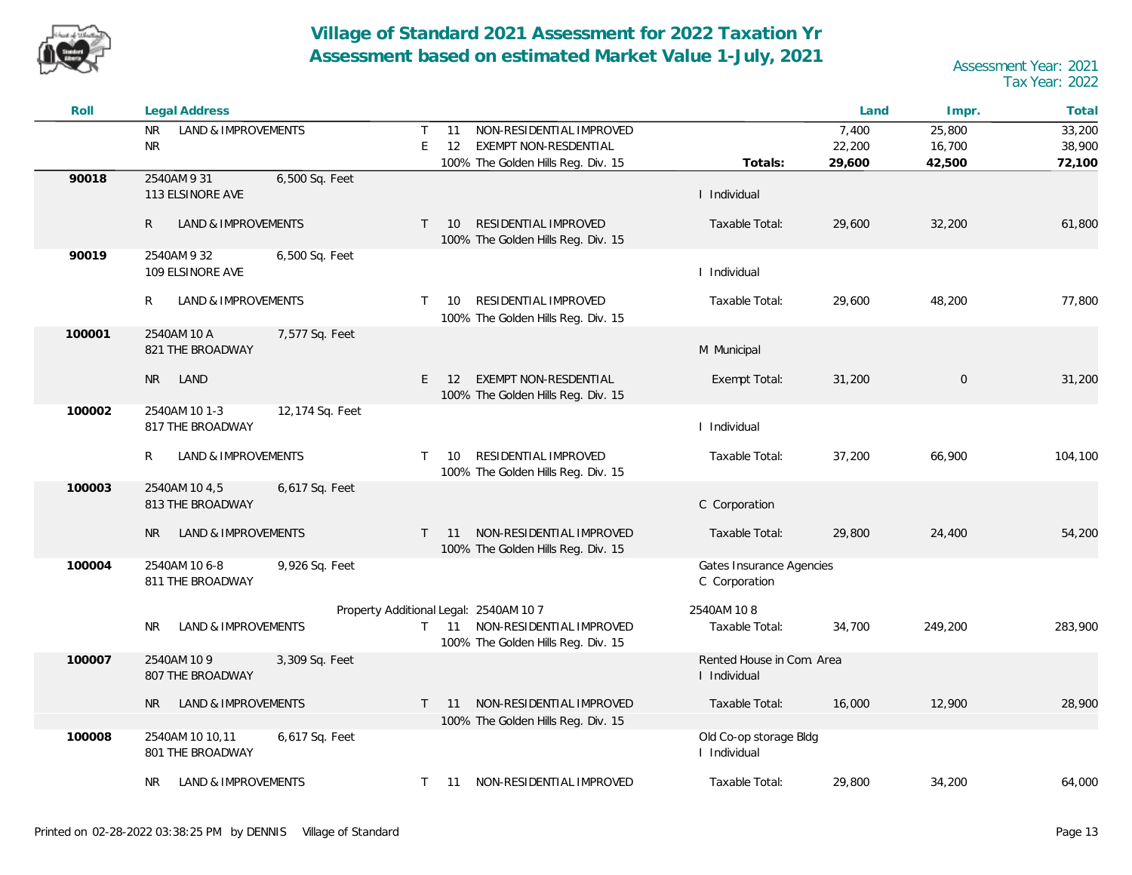![](_page_12_Picture_0.jpeg)

| Roll   | <b>Legal Address</b>                                  |                                                                                                                      |                                           | Land   | Impr.       | Total   |
|--------|-------------------------------------------------------|----------------------------------------------------------------------------------------------------------------------|-------------------------------------------|--------|-------------|---------|
|        | <b>NR</b><br>LAND & IMPROVEMENTS                      | NON-RESIDENTIAL IMPROVED<br>Τ<br>11                                                                                  |                                           | 7,400  | 25,800      | 33,200  |
|        | <b>NR</b>                                             | E<br>12<br>EXEMPT NON-RESDENTIAL                                                                                     |                                           | 22,200 | 16,700      | 38,900  |
|        |                                                       | 100% The Golden Hills Reg. Div. 15                                                                                   | Totals:                                   | 29,600 | 42,500      | 72,100  |
| 90018  | 2540AM 9 31<br>6,500 Sq. Feet<br>113 ELSINORE AVE     |                                                                                                                      | I Individual                              |        |             |         |
|        | R.<br>LAND & IMPROVEMENTS                             | RESIDENTIAL IMPROVED<br>$\top$<br>10<br>100% The Golden Hills Reg. Div. 15                                           | Taxable Total:                            | 29,600 | 32,200      | 61,800  |
| 90019  | 2540AM 9 32<br>6,500 Sq. Feet<br>109 ELSINORE AVE     |                                                                                                                      | I Individual                              |        |             |         |
|        | R<br>LAND & IMPROVEMENTS                              | RESIDENTIAL IMPROVED<br>T.<br>- 10<br>100% The Golden Hills Reg. Div. 15                                             | Taxable Total:                            | 29,600 | 48,200      | 77,800  |
| 100001 | 2540AM 10 A<br>7,577 Sq. Feet<br>821 THE BROADWAY     |                                                                                                                      | M Municipal                               |        |             |         |
|        | <b>NR</b><br>LAND                                     | <b>EXEMPT NON-RESDENTIAL</b><br>E<br>12<br>100% The Golden Hills Reg. Div. 15                                        | Exempt Total:                             | 31,200 | $\mathbf 0$ | 31,200  |
| 100002 | 2540AM 10 1-3<br>12,174 Sq. Feet<br>817 THE BROADWAY  |                                                                                                                      | I Individual                              |        |             |         |
|        | R<br>LAND & IMPROVEMENTS                              | RESIDENTIAL IMPROVED<br>T.<br>10<br>100% The Golden Hills Reg. Div. 15                                               | Taxable Total:                            | 37,200 | 66,900      | 104,100 |
| 100003 | 2540AM 10 4,5<br>6,617 Sq. Feet<br>813 THE BROADWAY   |                                                                                                                      | C Corporation                             |        |             |         |
|        | <b>NR</b><br>LAND & IMPROVEMENTS                      | T 11 NON-RESIDENTIAL IMPROVED<br>100% The Golden Hills Reg. Div. 15                                                  | Taxable Total:                            | 29,800 | 24,400      | 54,200  |
| 100004 | 2540AM 10 6-8<br>9,926 Sq. Feet<br>811 THE BROADWAY   |                                                                                                                      | Gates Insurance Agencies<br>C Corporation |        |             |         |
|        | LAND & IMPROVEMENTS<br><b>NR</b>                      | Property Additional Legal: 2540AM 10 7<br>NON-RESIDENTIAL IMPROVED<br>$T = 11$<br>100% The Golden Hills Reg. Div. 15 | 2540AM 108<br>Taxable Total:              | 34,700 | 249,200     | 283,900 |
| 100007 | 2540AM 10 9<br>3,309 Sq. Feet<br>807 THE BROADWAY     |                                                                                                                      | Rented House in Com. Area<br>I Individual |        |             |         |
|        | LAND & IMPROVEMENTS<br>NR.                            | NON-RESIDENTIAL IMPROVED<br>$-11$<br>T.                                                                              | Taxable Total:                            | 16,000 | 12,900      | 28,900  |
|        |                                                       | 100% The Golden Hills Reg. Div. 15                                                                                   |                                           |        |             |         |
| 100008 | 2540AM 10 10,11<br>6,617 Sq. Feet<br>801 THE BROADWAY |                                                                                                                      | Old Co-op storage Bldg<br>I Individual    |        |             |         |
|        | LAND & IMPROVEMENTS<br>NR.                            | T 11 NON-RESIDENTIAL IMPROVED                                                                                        | Taxable Total:                            | 29,800 | 34,200      | 64,000  |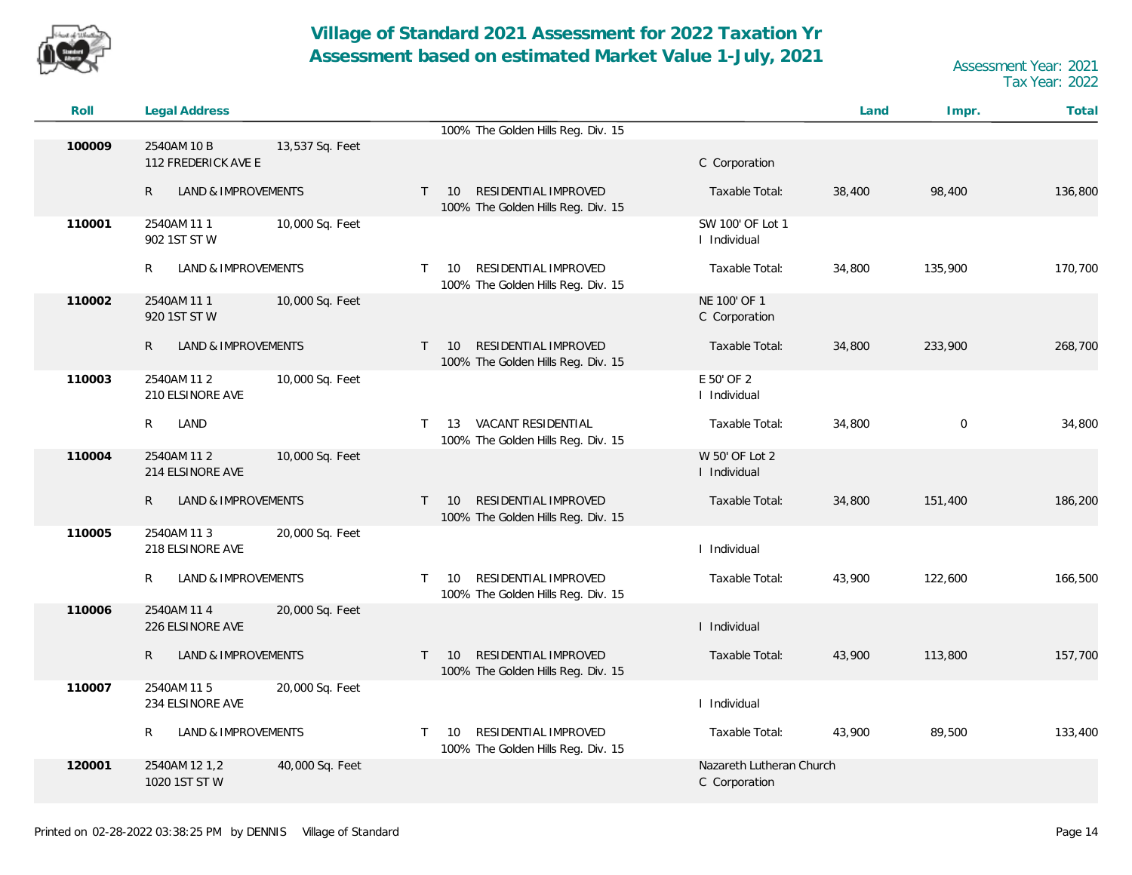![](_page_13_Picture_0.jpeg)

| Roll   | <b>Legal Address</b>                |                 |              |                                                                        |                                           | Land   | Impr.       | Total   |
|--------|-------------------------------------|-----------------|--------------|------------------------------------------------------------------------|-------------------------------------------|--------|-------------|---------|
|        |                                     |                 |              | 100% The Golden Hills Reg. Div. 15                                     |                                           |        |             |         |
| 100009 | 2540AM 10 B<br>112 FREDERICK AVE E  | 13,537 Sq. Feet |              |                                                                        | C Corporation                             |        |             |         |
|        | LAND & IMPROVEMENTS<br>$\mathsf{R}$ |                 | $\top$       | RESIDENTIAL IMPROVED<br>10<br>100% The Golden Hills Reg. Div. 15       | Taxable Total:                            | 38,400 | 98,400      | 136,800 |
| 110001 | 2540AM 111<br>902 1ST ST W          | 10,000 Sq. Feet |              |                                                                        | SW 100' OF Lot 1<br>I Individual          |        |             |         |
|        | LAND & IMPROVEMENTS<br>R            |                 | $\top$       | RESIDENTIAL IMPROVED<br>10<br>100% The Golden Hills Reg. Div. 15       | Taxable Total:                            | 34,800 | 135,900     | 170,700 |
| 110002 | 2540AM 11 1<br>920 1ST ST W         | 10,000 Sq. Feet |              |                                                                        | NE 100' OF 1<br>C Corporation             |        |             |         |
|        | LAND & IMPROVEMENTS<br>R            |                 |              | RESIDENTIAL IMPROVED<br>$T = 10$<br>100% The Golden Hills Reg. Div. 15 | Taxable Total:                            | 34,800 | 233,900     | 268,700 |
| 110003 | 2540AM 11 2<br>210 ELSINORE AVE     | 10,000 Sq. Feet |              |                                                                        | E 50' OF 2<br>I Individual                |        |             |         |
|        |                                     |                 |              |                                                                        |                                           |        |             |         |
|        | R<br>LAND                           |                 | $\mathsf{T}$ | VACANT RESIDENTIAL<br>13<br>100% The Golden Hills Reg. Div. 15         | Taxable Total:                            | 34,800 | $\mathbf 0$ | 34,800  |
| 110004 | 2540AM 11 2<br>214 ELSINORE AVE     | 10,000 Sq. Feet |              |                                                                        | W 50' OF Lot 2<br>I Individual            |        |             |         |
|        | LAND & IMPROVEMENTS<br>R            |                 | $\top$       | RESIDENTIAL IMPROVED<br>10<br>100% The Golden Hills Reg. Div. 15       | Taxable Total:                            | 34,800 | 151,400     | 186,200 |
| 110005 | 2540AM 11 3<br>218 ELSINORE AVE     | 20,000 Sq. Feet |              |                                                                        | I Individual                              |        |             |         |
|        | LAND & IMPROVEMENTS<br>R            |                 | $\top$       | RESIDENTIAL IMPROVED<br>10<br>100% The Golden Hills Reg. Div. 15       | Taxable Total:                            | 43,900 | 122,600     | 166,500 |
| 110006 | 2540AM 11 4<br>226 ELSINORE AVE     | 20,000 Sq. Feet |              |                                                                        | I Individual                              |        |             |         |
|        | LAND & IMPROVEMENTS<br>R            |                 | $\mathsf{T}$ | RESIDENTIAL IMPROVED<br>10<br>100% The Golden Hills Reg. Div. 15       | Taxable Total:                            | 43,900 | 113,800     | 157,700 |
| 110007 | 2540AM 11 5<br>234 ELSINORE AVE     | 20,000 Sq. Feet |              |                                                                        | I Individual                              |        |             |         |
|        | R<br>LAND & IMPROVEMENTS            |                 | $\top$       | RESIDENTIAL IMPROVED<br>10<br>100% The Golden Hills Reg. Div. 15       | Taxable Total:                            | 43,900 | 89,500      | 133,400 |
| 120001 | 2540AM 12 1,2<br>1020 1ST ST W      | 40,000 Sq. Feet |              |                                                                        | Nazareth Lutheran Church<br>C Corporation |        |             |         |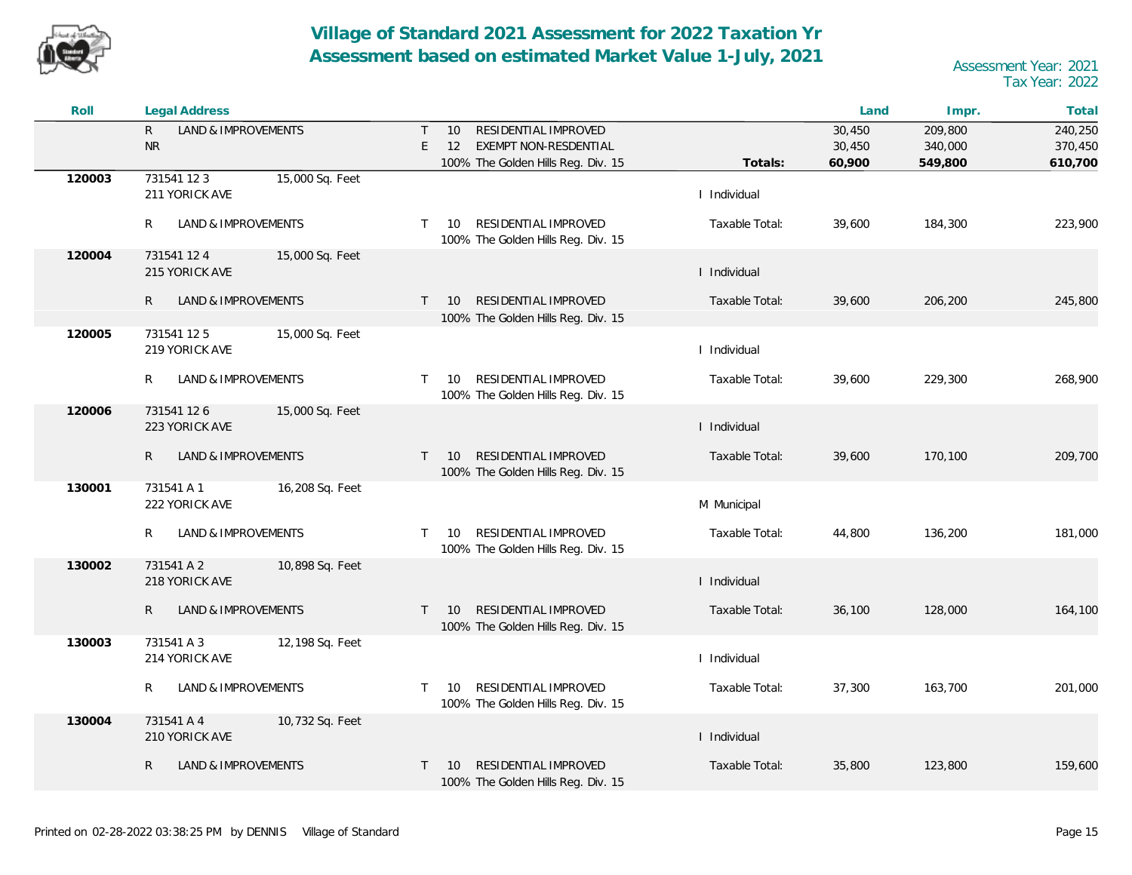![](_page_14_Picture_0.jpeg)

| Roll   | <b>Legal Address</b>                             |                                                                                                                |                | Land                       | Impr.                         | Total                         |
|--------|--------------------------------------------------|----------------------------------------------------------------------------------------------------------------|----------------|----------------------------|-------------------------------|-------------------------------|
|        | LAND & IMPROVEMENTS<br>$\mathsf{R}$<br><b>NR</b> | RESIDENTIAL IMPROVED<br>$\top$<br>10<br>EXEMPT NON-RESDENTIAL<br>E<br>12<br>100% The Golden Hills Reg. Div. 15 | Totals:        | 30,450<br>30,450<br>60,900 | 209,800<br>340,000<br>549,800 | 240,250<br>370,450<br>610,700 |
| 120003 | 15,000 Sq. Feet<br>731541 12 3<br>211 YORICK AVE |                                                                                                                | I Individual   |                            |                               |                               |
|        | R<br>LAND & IMPROVEMENTS                         | RESIDENTIAL IMPROVED<br>$\mathsf{T}$<br>10<br>100% The Golden Hills Reg. Div. 15                               | Taxable Total: | 39,600                     | 184,300                       | 223,900                       |
| 120004 | 731541 12 4<br>15,000 Sq. Feet<br>215 YORICK AVE |                                                                                                                | I Individual   |                            |                               |                               |
|        | $\mathsf{R}$<br>LAND & IMPROVEMENTS              | RESIDENTIAL IMPROVED<br>$\top$<br><b>10</b><br>100% The Golden Hills Reg. Div. 15                              | Taxable Total: | 39,600                     | 206,200                       | 245,800                       |
| 120005 | 15,000 Sq. Feet<br>731541 125<br>219 YORICK AVE  |                                                                                                                | I Individual   |                            |                               |                               |
|        | R<br>LAND & IMPROVEMENTS                         | RESIDENTIAL IMPROVED<br>$\top$<br>- 10<br>100% The Golden Hills Reg. Div. 15                                   | Taxable Total: | 39,600                     | 229,300                       | 268,900                       |
| 120006 | 731541 126<br>15,000 Sq. Feet<br>223 YORICK AVE  |                                                                                                                | I Individual   |                            |                               |                               |
|        | $\mathsf{R}$<br>LAND & IMPROVEMENTS              | RESIDENTIAL IMPROVED<br>$T = 10$<br>100% The Golden Hills Reg. Div. 15                                         | Taxable Total: | 39,600                     | 170,100                       | 209,700                       |
| 130001 | 731541 A 1<br>16,208 Sq. Feet<br>222 YORICK AVE  |                                                                                                                | M Municipal    |                            |                               |                               |
|        | R<br>LAND & IMPROVEMENTS                         | RESIDENTIAL IMPROVED<br>$\top$<br>10<br>100% The Golden Hills Reg. Div. 15                                     | Taxable Total: | 44,800                     | 136,200                       | 181,000                       |
| 130002 | 731541 A 2<br>10,898 Sq. Feet<br>218 YORICK AVE  |                                                                                                                | I Individual   |                            |                               |                               |
|        | $\mathsf{R}$<br>LAND & IMPROVEMENTS              | RESIDENTIAL IMPROVED<br>10<br>$\top$<br>100% The Golden Hills Reg. Div. 15                                     | Taxable Total: | 36,100                     | 128,000                       | 164,100                       |
| 130003 | 731541 A 3<br>12,198 Sq. Feet<br>214 YORICK AVE  |                                                                                                                | I Individual   |                            |                               |                               |
|        | R<br>LAND & IMPROVEMENTS                         | RESIDENTIAL IMPROVED<br>$\top$<br>10<br>100% The Golden Hills Reg. Div. 15                                     | Taxable Total: | 37,300                     | 163,700                       | 201,000                       |
| 130004 | 731541 A 4<br>10,732 Sq. Feet<br>210 YORICK AVE  |                                                                                                                | I Individual   |                            |                               |                               |
|        | $\mathsf{R}$<br>LAND & IMPROVEMENTS              | RESIDENTIAL IMPROVED<br>$\top$<br>10<br>100% The Golden Hills Reg. Div. 15                                     | Taxable Total: | 35,800                     | 123,800                       | 159,600                       |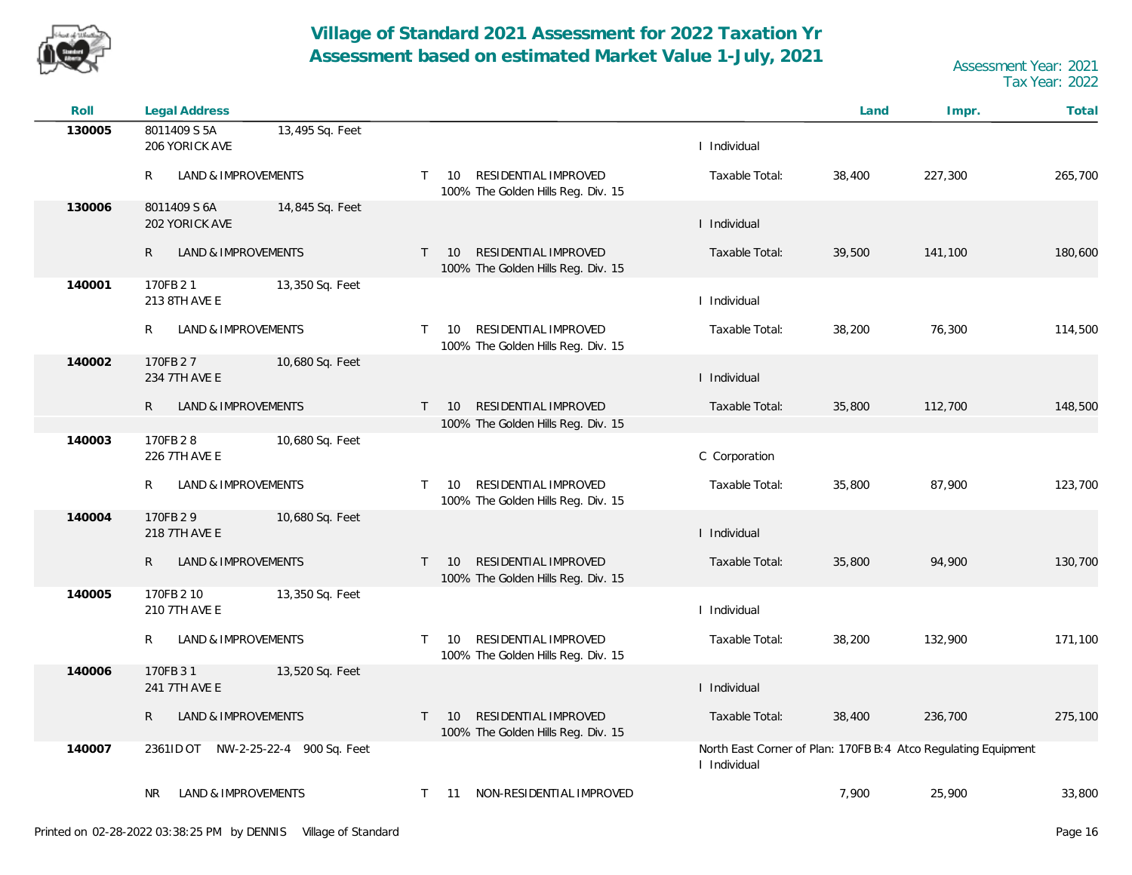![](_page_15_Picture_0.jpeg)

| Roll   | <b>Legal Address</b>                              |                                                                                  |                | Land   | Impr.                                                          | Total   |
|--------|---------------------------------------------------|----------------------------------------------------------------------------------|----------------|--------|----------------------------------------------------------------|---------|
| 130005 | 8011409 S 5A<br>13,495 Sq. Feet<br>206 YORICK AVE |                                                                                  | I Individual   |        |                                                                |         |
|        | LAND & IMPROVEMENTS<br>R                          | RESIDENTIAL IMPROVED<br>10<br>$\top$<br>100% The Golden Hills Reg. Div. 15       | Taxable Total: | 38,400 | 227,300                                                        | 265,700 |
| 130006 | 8011409 S 6A<br>14,845 Sq. Feet<br>202 YORICK AVE |                                                                                  | I Individual   |        |                                                                |         |
|        | LAND & IMPROVEMENTS<br>R                          | RESIDENTIAL IMPROVED<br>10<br>$\mathsf{T}$<br>100% The Golden Hills Reg. Div. 15 | Taxable Total: | 39,500 | 141,100                                                        | 180,600 |
| 140001 | 170FB 21<br>13,350 Sq. Feet<br>213 8TH AVE E      |                                                                                  | I Individual   |        |                                                                |         |
|        | LAND & IMPROVEMENTS<br>R                          | RESIDENTIAL IMPROVED<br>$\top$<br>10<br>100% The Golden Hills Reg. Div. 15       | Taxable Total: | 38,200 | 76,300                                                         | 114,500 |
| 140002 | 170FB 27<br>10,680 Sq. Feet<br>234 7TH AVE E      |                                                                                  | I Individual   |        |                                                                |         |
|        | $\mathsf{R}$<br>LAND & IMPROVEMENTS               | RESIDENTIAL IMPROVED<br>10<br>$\mathsf{T}$<br>100% The Golden Hills Reg. Div. 15 | Taxable Total: | 35,800 | 112,700                                                        | 148,500 |
| 140003 | 170FB 28<br>10,680 Sq. Feet<br>226 7TH AVE E      |                                                                                  | C Corporation  |        |                                                                |         |
|        | LAND & IMPROVEMENTS<br>R                          | RESIDENTIAL IMPROVED<br>10<br>$\mathsf{T}$<br>100% The Golden Hills Reg. Div. 15 | Taxable Total: | 35,800 | 87,900                                                         | 123,700 |
| 140004 | 170FB 29<br>10,680 Sq. Feet<br>218 7TH AVE E      |                                                                                  | I Individual   |        |                                                                |         |
|        | LAND & IMPROVEMENTS<br>R                          | RESIDENTIAL IMPROVED<br>$\top$<br>10<br>100% The Golden Hills Reg. Div. 15       | Taxable Total: | 35,800 | 94,900                                                         | 130,700 |
| 140005 | 170FB 2 10<br>13,350 Sq. Feet<br>210 7TH AVE E    |                                                                                  | I Individual   |        |                                                                |         |
|        | LAND & IMPROVEMENTS<br>R                          | RESIDENTIAL IMPROVED<br>$\top$<br>10<br>100% The Golden Hills Reg. Div. 15       | Taxable Total: | 38,200 | 132,900                                                        | 171,100 |
| 140006 | 170FB 31<br>13,520 Sq. Feet<br>241 7TH AVE E      |                                                                                  | I Individual   |        |                                                                |         |
|        | LAND & IMPROVEMENTS<br>R                          | RESIDENTIAL IMPROVED<br>10<br>$\mathsf{T}$<br>100% The Golden Hills Reg. Div. 15 | Taxable Total: | 38,400 | 236,700                                                        | 275,100 |
| 140007 | 2361ID OT NW-2-25-22-4 900 Sq. Feet               |                                                                                  | I Individual   |        | North East Corner of Plan: 170FB B:4 Atco Regulating Equipment |         |
|        | <b>LAND &amp; IMPROVEMENTS</b><br>NR.             | 11 NON-RESIDENTIAL IMPROVED<br>$\mathsf{T}$                                      |                | 7,900  | 25,900                                                         | 33,800  |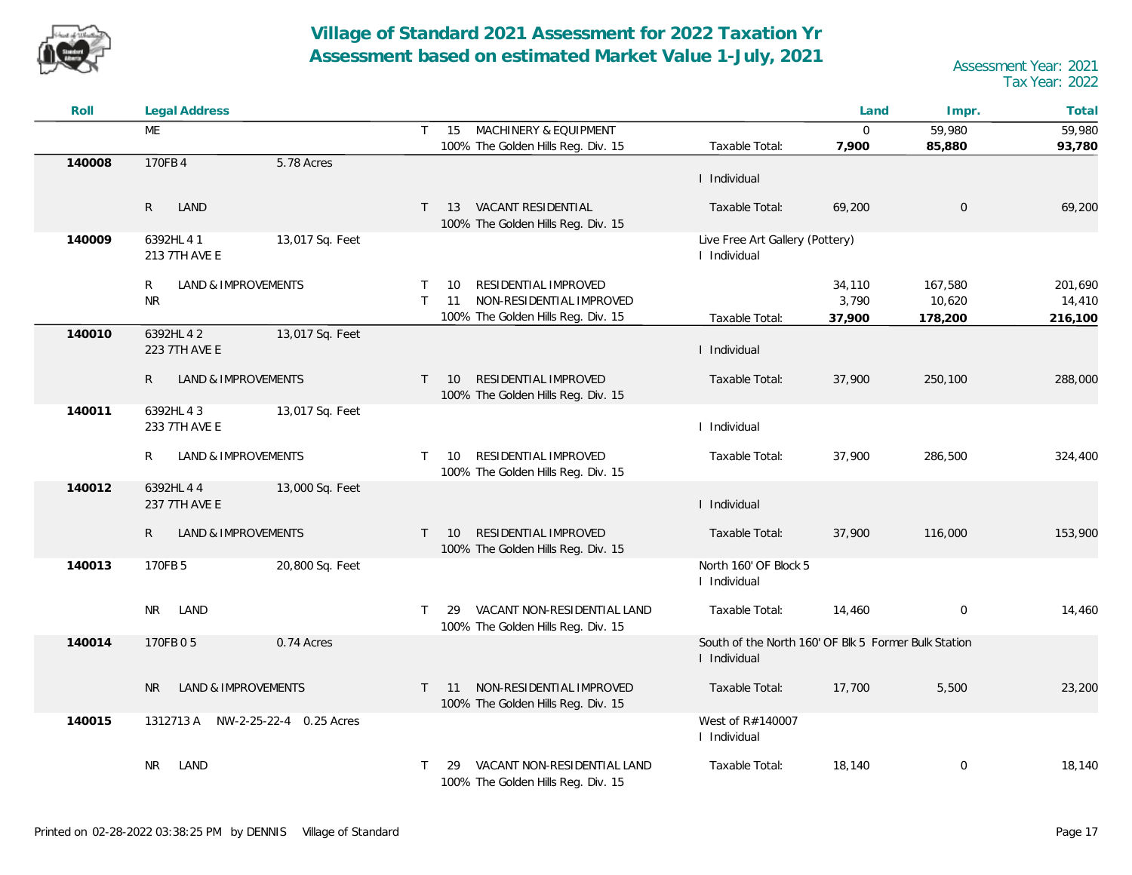![](_page_16_Picture_0.jpeg)

| Roll   | <b>Legal Address</b>                           |                                                                                                                                     | Land                                                 | Impr.                        | Total                        |
|--------|------------------------------------------------|-------------------------------------------------------------------------------------------------------------------------------------|------------------------------------------------------|------------------------------|------------------------------|
|        | ME                                             | MACHINERY & EQUIPMENT<br>$\mathsf{T}$<br>15                                                                                         | $\mathbf{0}$                                         | 59,980                       | 59,980                       |
|        |                                                | 100% The Golden Hills Reg. Div. 15<br>Taxable Total:                                                                                | 7,900                                                | 85,880                       | 93,780                       |
| 140008 | 170FB 4<br>5.78 Acres                          | I Individual                                                                                                                        |                                                      |                              |                              |
|        | $\mathsf{R}$<br>LAND                           | T 13 VACANT RESIDENTIAL<br>Taxable Total:<br>100% The Golden Hills Reg. Div. 15                                                     | 69,200                                               | $\overline{0}$               | 69,200                       |
| 140009 | 6392HL 4 1<br>13,017 Sq. Feet<br>213 7TH AVE E | I Individual                                                                                                                        | Live Free Art Gallery (Pottery)                      |                              |                              |
|        | R<br>LAND & IMPROVEMENTS<br><b>NR</b>          | RESIDENTIAL IMPROVED<br>10<br>T<br>NON-RESIDENTIAL IMPROVED<br>$\top$<br>11<br>100% The Golden Hills Reg. Div. 15<br>Taxable Total: | 34,110<br>3,790<br>37,900                            | 167,580<br>10,620<br>178,200 | 201,690<br>14,410<br>216,100 |
| 140010 | 13,017 Sq. Feet<br>6392HL 4 2<br>223 7TH AVE E | I Individual                                                                                                                        |                                                      |                              |                              |
|        | R.<br>LAND & IMPROVEMENTS                      | RESIDENTIAL IMPROVED<br>Taxable Total:<br>10<br>$\top$<br>100% The Golden Hills Reg. Div. 15                                        | 37,900                                               | 250,100                      | 288,000                      |
| 140011 | 6392HL 43<br>13,017 Sq. Feet<br>233 7TH AVE E  | I Individual                                                                                                                        |                                                      |                              |                              |
|        | R<br>LAND & IMPROVEMENTS                       | RESIDENTIAL IMPROVED<br>Taxable Total:<br>T 10<br>100% The Golden Hills Reg. Div. 15                                                | 37,900                                               | 286,500                      | 324,400                      |
| 140012 | 6392HL 4 4<br>13,000 Sq. Feet<br>237 7TH AVE E | I Individual                                                                                                                        |                                                      |                              |                              |
|        | R.<br>LAND & IMPROVEMENTS                      | RESIDENTIAL IMPROVED<br>10<br>Taxable Total:<br>$\mathsf{T}$<br>100% The Golden Hills Reg. Div. 15                                  | 37,900                                               | 116,000                      | 153,900                      |
| 140013 | 170FB 5<br>20,800 Sq. Feet                     | I Individual                                                                                                                        | North 160' OF Block 5                                |                              |                              |
|        | <b>NR</b><br>LAND                              | VACANT NON-RESIDENTIAL LAND<br>Taxable Total:<br>T.<br>29<br>100% The Golden Hills Reg. Div. 15                                     | 14,460                                               | $\mathbf 0$                  | 14,460                       |
| 140014 | 170FB 0 5<br>0.74 Acres                        | I Individual                                                                                                                        | South of the North 160' OF Blk 5 Former Bulk Station |                              |                              |
|        | LAND & IMPROVEMENTS<br><b>NR</b>               | 11 NON-RESIDENTIAL IMPROVED<br>Taxable Total:<br>T.<br>100% The Golden Hills Reg. Div. 15                                           | 17,700                                               | 5,500                        | 23,200                       |
| 140015 | 1312713 A NW-2-25-22-4 0.25 Acres              | West of R#140007<br>I Individual                                                                                                    |                                                      |                              |                              |
|        | NR<br>LAND                                     | VACANT NON-RESIDENTIAL LAND<br>Taxable Total:<br>29<br>100% The Golden Hills Reg. Div. 15                                           | 18,140                                               | $\mathbf 0$                  | 18,140                       |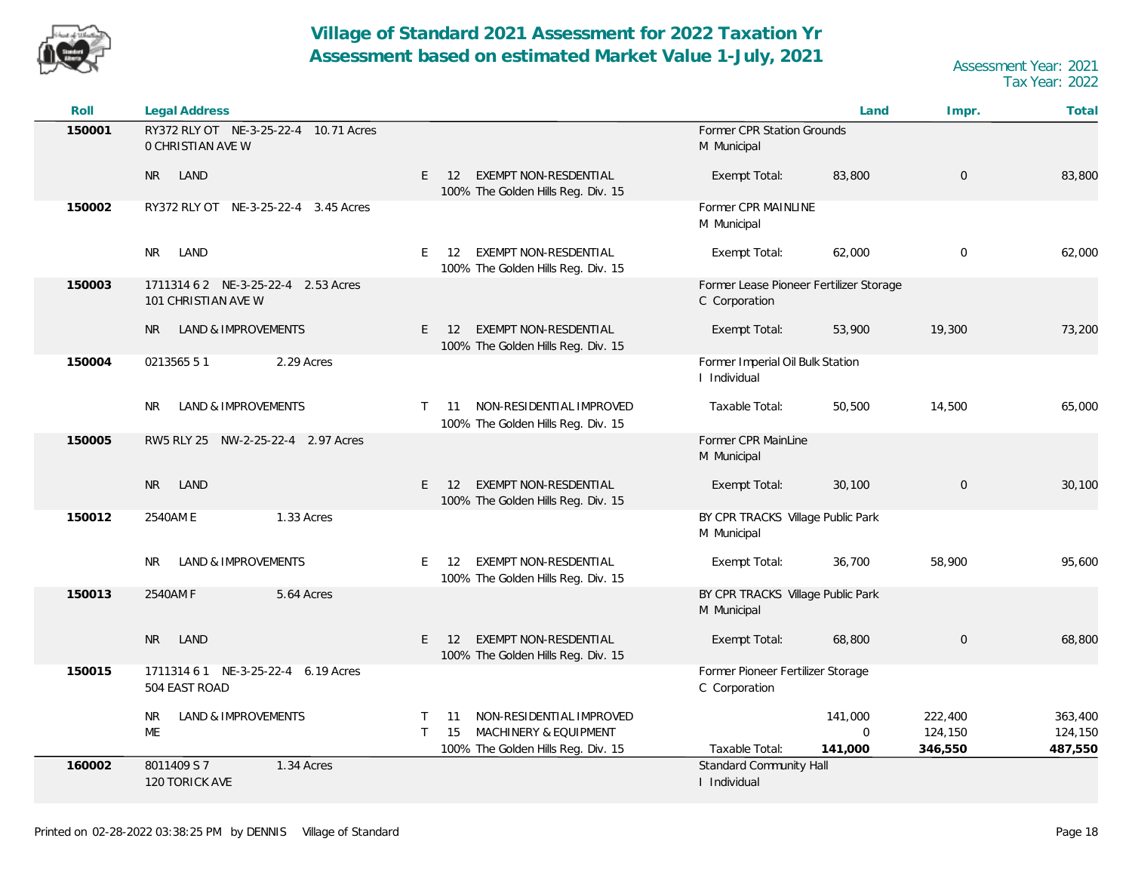![](_page_17_Picture_0.jpeg)

| Roll   | <b>Legal Address</b>                                              |                                                                                                                           |                                                          | Land                               | Impr.                         | Total                         |
|--------|-------------------------------------------------------------------|---------------------------------------------------------------------------------------------------------------------------|----------------------------------------------------------|------------------------------------|-------------------------------|-------------------------------|
| 150001 | RY372 RLY OT NE-3-25-22-4 10.71 Acres<br><b>O CHRISTIAN AVE W</b> |                                                                                                                           | Former CPR Station Grounds<br>M Municipal                |                                    |                               |                               |
|        | LAND<br>NR.                                                       | EXEMPT NON-RESDENTIAL<br>E<br>12<br>100% The Golden Hills Reg. Div. 15                                                    | Exempt Total:                                            | 83,800                             | $\overline{0}$                | 83,800                        |
| 150002 | RY372 RLY OT NE-3-25-22-4 3.45 Acres                              |                                                                                                                           | Former CPR MAINLINE<br>M Municipal                       |                                    |                               |                               |
|        | <b>NR</b><br>LAND                                                 | EXEMPT NON-RESDENTIAL<br>E.<br>12<br>100% The Golden Hills Reg. Div. 15                                                   | Exempt Total:                                            | 62,000                             | $\mathbf 0$                   | 62,000                        |
| 150003 | 1711314 6 2 NE-3-25-22-4 2.53 Acres<br>101 CHRISTIAN AVE W        |                                                                                                                           | Former Lease Pioneer Fertilizer Storage<br>C Corporation |                                    |                               |                               |
|        | LAND & IMPROVEMENTS<br><b>NR</b>                                  | EXEMPT NON-RESDENTIAL<br>$E = 12$<br>100% The Golden Hills Reg. Div. 15                                                   | Exempt Total:                                            | 53,900                             | 19,300                        | 73,200                        |
| 150004 | 0213565 51<br>2.29 Acres                                          |                                                                                                                           | Former Imperial Oil Bulk Station<br>I Individual         |                                    |                               |                               |
|        | LAND & IMPROVEMENTS<br>NR.                                        | NON-RESIDENTIAL IMPROVED<br>$\mathsf{T}$<br>11<br>100% The Golden Hills Reg. Div. 15                                      | Taxable Total:                                           | 50,500                             | 14,500                        | 65,000                        |
| 150005 | RW5 RLY 25 NW-2-25-22-4 2.97 Acres                                |                                                                                                                           | Former CPR MainLine<br>M Municipal                       |                                    |                               |                               |
|        | <b>NR</b><br>LAND                                                 | <b>EXEMPT NON-RESDENTIAL</b><br>E.<br>-12<br>100% The Golden Hills Reg. Div. 15                                           | Exempt Total:                                            | 30,100                             | $\mathbf 0$                   | 30,100                        |
| 150012 | 2540AM E<br>1.33 Acres                                            |                                                                                                                           | BY CPR TRACKS Village Public Park<br>M Municipal         |                                    |                               |                               |
|        | LAND & IMPROVEMENTS<br>NR.                                        | EXEMPT NON-RESDENTIAL<br>E.<br>12<br>100% The Golden Hills Reg. Div. 15                                                   | Exempt Total:                                            | 36,700                             | 58,900                        | 95,600                        |
| 150013 | 2540AM F<br>5.64 Acres                                            |                                                                                                                           | BY CPR TRACKS Village Public Park<br>M Municipal         |                                    |                               |                               |
|        | LAND<br><b>NR</b>                                                 | EXEMPT NON-RESDENTIAL<br>E.<br>12<br>100% The Golden Hills Reg. Div. 15                                                   | Exempt Total:                                            | 68,800                             | $\mathbf 0$                   | 68,800                        |
| 150015 | 1711314 6 1 NE-3-25-22-4 6.19 Acres<br>504 EAST ROAD              |                                                                                                                           | Former Pioneer Fertilizer Storage<br>C Corporation       |                                    |                               |                               |
|        | LAND & IMPROVEMENTS<br>NR.<br>ME                                  | NON-RESIDENTIAL IMPROVED<br>T.<br>11<br>$\mathsf{T}$<br>MACHINERY & EQUIPMENT<br>15<br>100% The Golden Hills Reg. Div. 15 | Taxable Total:                                           | 141,000<br>$\mathbf{0}$<br>141,000 | 222,400<br>124,150<br>346,550 | 363,400<br>124,150<br>487,550 |
| 160002 | 8011409 S 7<br>1.34 Acres<br>120 TORICK AVE                       |                                                                                                                           | Standard Community Hall<br>I Individual                  |                                    |                               |                               |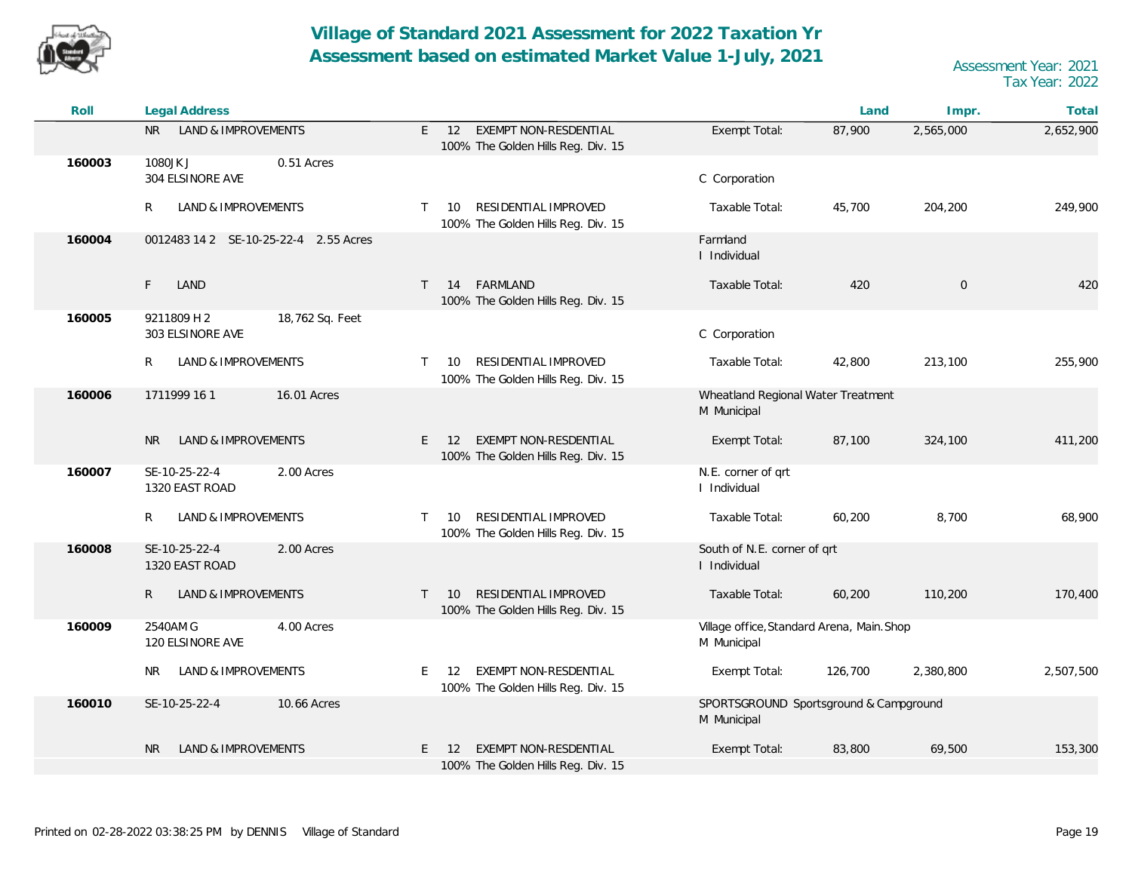![](_page_18_Picture_0.jpeg)

| Roll   | <b>Legal Address</b>                               |                                                                                  |                                                           | Land    | Impr.          | Total     |
|--------|----------------------------------------------------|----------------------------------------------------------------------------------|-----------------------------------------------------------|---------|----------------|-----------|
|        | <b>LAND &amp; IMPROVEMENTS</b><br>NR.              | EXEMPT NON-RESDENTIAL<br>$E = 12$<br>100% The Golden Hills Reg. Div. 15          | Exempt Total:                                             | 87,900  | 2,565,000      | 2,652,900 |
| 160003 | 1080JK J<br>0.51 Acres<br>304 ELSINORE AVE         |                                                                                  | C Corporation                                             |         |                |           |
|        | LAND & IMPROVEMENTS<br>R                           | RESIDENTIAL IMPROVED<br>10<br>T.<br>100% The Golden Hills Reg. Div. 15           | Taxable Total:                                            | 45,700  | 204,200        | 249,900   |
| 160004 | 0012483 14 2 SE-10-25-22-4 2.55 Acres              |                                                                                  | Farmland<br>I Individual                                  |         |                |           |
|        | LAND<br>F.                                         | FARMLAND<br>14<br>$\mathsf{T}$<br>100% The Golden Hills Reg. Div. 15             | Taxable Total:                                            | 420     | $\overline{0}$ | 420       |
| 160005 | 18,762 Sq. Feet<br>9211809 H 2<br>303 ELSINORE AVE |                                                                                  | C Corporation                                             |         |                |           |
|        | LAND & IMPROVEMENTS<br>R                           | RESIDENTIAL IMPROVED<br>10<br>$\mathsf{T}$<br>100% The Golden Hills Reg. Div. 15 | Taxable Total:                                            | 42,800  | 213,100        | 255,900   |
| 160006 | 16.01 Acres<br>1711999 16 1                        |                                                                                  | Wheatland Regional Water Treatment<br>M Municipal         |         |                |           |
|        | <b>LAND &amp; IMPROVEMENTS</b><br>NR.              | EXEMPT NON-RESDENTIAL<br>E.<br>12<br>100% The Golden Hills Reg. Div. 15          | Exempt Total:                                             | 87,100  | 324,100        | 411,200   |
| 160007 | SE-10-25-22-4<br>2.00 Acres<br>1320 EAST ROAD      |                                                                                  | N.E. corner of qrt<br>I Individual                        |         |                |           |
|        | LAND & IMPROVEMENTS<br>R                           | RESIDENTIAL IMPROVED<br>$\top$<br>10<br>100% The Golden Hills Reg. Div. 15       | Taxable Total:                                            | 60,200  | 8,700          | 68,900    |
| 160008 | SE-10-25-22-4<br>2.00 Acres<br>1320 EAST ROAD      |                                                                                  | South of N.E. corner of qrt<br>I Individual               |         |                |           |
|        | LAND & IMPROVEMENTS<br>R                           | RESIDENTIAL IMPROVED<br>$\top$<br>10<br>100% The Golden Hills Reg. Div. 15       | Taxable Total:                                            | 60,200  | 110,200        | 170,400   |
| 160009 | 2540AM G<br>4.00 Acres<br>120 ELSINORE AVE         |                                                                                  | Village office, Standard Arena, Main. Shop<br>M Municipal |         |                |           |
|        | <b>LAND &amp; IMPROVEMENTS</b><br>NR.              | EXEMPT NON-RESDENTIAL<br>E.<br>12<br>100% The Golden Hills Reg. Div. 15          | Exempt Total:                                             | 126,700 | 2,380,800      | 2,507,500 |
| 160010 | SE-10-25-22-4<br>10.66 Acres                       |                                                                                  | SPORTSGROUND Sportsground & Campground<br>M Municipal     |         |                |           |
|        | LAND & IMPROVEMENTS<br>N <sub>R</sub>              | EXEMPT NON-RESDENTIAL<br>E.<br>12<br>100% The Golden Hills Reg. Div. 15          | Exempt Total:                                             | 83,800  | 69,500         | 153,300   |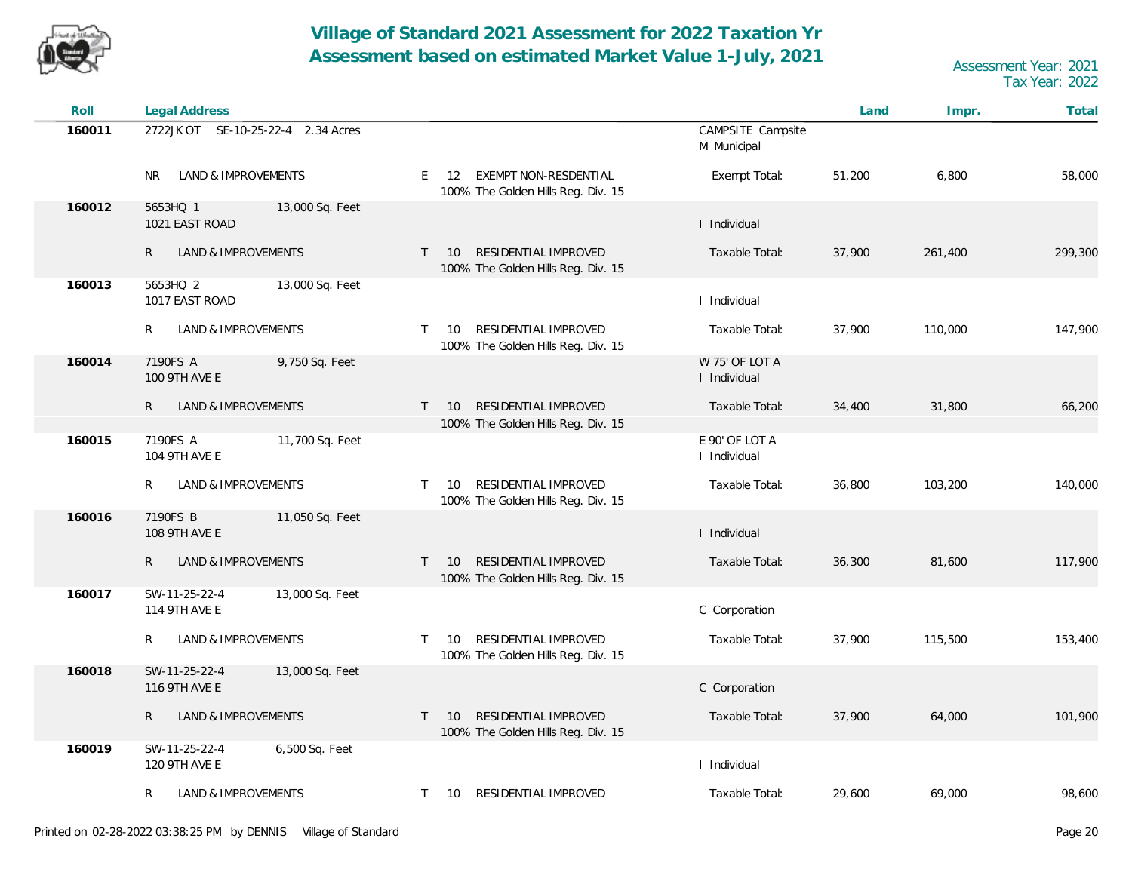![](_page_19_Picture_0.jpeg)

| Roll   | <b>Legal Address</b>                             |                 |              |                                                                   |                                  | Land   | Impr.   | Total   |
|--------|--------------------------------------------------|-----------------|--------------|-------------------------------------------------------------------|----------------------------------|--------|---------|---------|
| 160011 | 2722JK OT SE-10-25-22-4 2.34 Acres               |                 |              |                                                                   | CAMPSITE Campsite<br>M Municipal |        |         |         |
|        | LAND & IMPROVEMENTS<br>NR.                       |                 | E.           | EXEMPT NON-RESDENTIAL<br>12<br>100% The Golden Hills Reg. Div. 15 | Exempt Total:                    | 51,200 | 6,800   | 58,000  |
| 160012 | 5653HQ 1<br>1021 EAST ROAD                       | 13,000 Sq. Feet |              |                                                                   | I Individual                     |        |         |         |
|        | R<br>LAND & IMPROVEMENTS                         |                 | $\top$       | RESIDENTIAL IMPROVED<br>10<br>100% The Golden Hills Reg. Div. 15  | Taxable Total:                   | 37,900 | 261,400 | 299,300 |
| 160013 | 5653HQ 2<br>1017 EAST ROAD                       | 13,000 Sq. Feet |              |                                                                   | I Individual                     |        |         |         |
|        | LAND & IMPROVEMENTS<br>R                         |                 | $\top$       | RESIDENTIAL IMPROVED<br>10<br>100% The Golden Hills Reg. Div. 15  | Taxable Total:                   | 37,900 | 110,000 | 147,900 |
| 160014 | 7190FS A<br>100 9TH AVE E                        | 9,750 Sq. Feet  |              |                                                                   | W 75' OF LOT A<br>I Individual   |        |         |         |
|        | $\mathsf{R}$<br>LAND & IMPROVEMENTS              |                 | $\top$       | RESIDENTIAL IMPROVED<br>10<br>100% The Golden Hills Reg. Div. 15  | Taxable Total:                   | 34,400 | 31,800  | 66,200  |
| 160015 | 7190FS A<br>104 9TH AVE E                        | 11,700 Sq. Feet |              |                                                                   | E 90' OF LOT A<br>I Individual   |        |         |         |
|        | LAND & IMPROVEMENTS<br>R                         |                 | $\top$       | RESIDENTIAL IMPROVED<br>10<br>100% The Golden Hills Reg. Div. 15  | Taxable Total:                   | 36,800 | 103,200 | 140,000 |
| 160016 | 7190FS B<br>108 9TH AVE E                        | 11,050 Sq. Feet |              |                                                                   | I Individual                     |        |         |         |
|        | LAND & IMPROVEMENTS<br>R                         |                 | $\mathsf{T}$ | RESIDENTIAL IMPROVED<br>10<br>100% The Golden Hills Reg. Div. 15  | Taxable Total:                   | 36,300 | 81,600  | 117,900 |
| 160017 | SW-11-25-22-4<br><b>114 9TH AVE E</b>            | 13,000 Sq. Feet |              |                                                                   | C Corporation                    |        |         |         |
|        | LAND & IMPROVEMENTS<br>R                         |                 | T.           | RESIDENTIAL IMPROVED<br>10<br>100% The Golden Hills Reg. Div. 15  | Taxable Total:                   | 37,900 | 115,500 | 153,400 |
| 160018 | SW-11-25-22-4<br>116 9TH AVE E                   | 13,000 Sq. Feet |              |                                                                   | C Corporation                    |        |         |         |
|        | R<br>LAND & IMPROVEMENTS                         |                 | T.           | RESIDENTIAL IMPROVED<br>10<br>100% The Golden Hills Reg. Div. 15  | Taxable Total:                   | 37,900 | 64,000  | 101,900 |
| 160019 | SW-11-25-22-4<br>6,500 Sq. Feet<br>120 9TH AVE E |                 |              |                                                                   | I Individual                     |        |         |         |
|        | LAND & IMPROVEMENTS<br>R                         |                 | $\top$       | RESIDENTIAL IMPROVED<br>10                                        | Taxable Total:                   | 29,600 | 69,000  | 98,600  |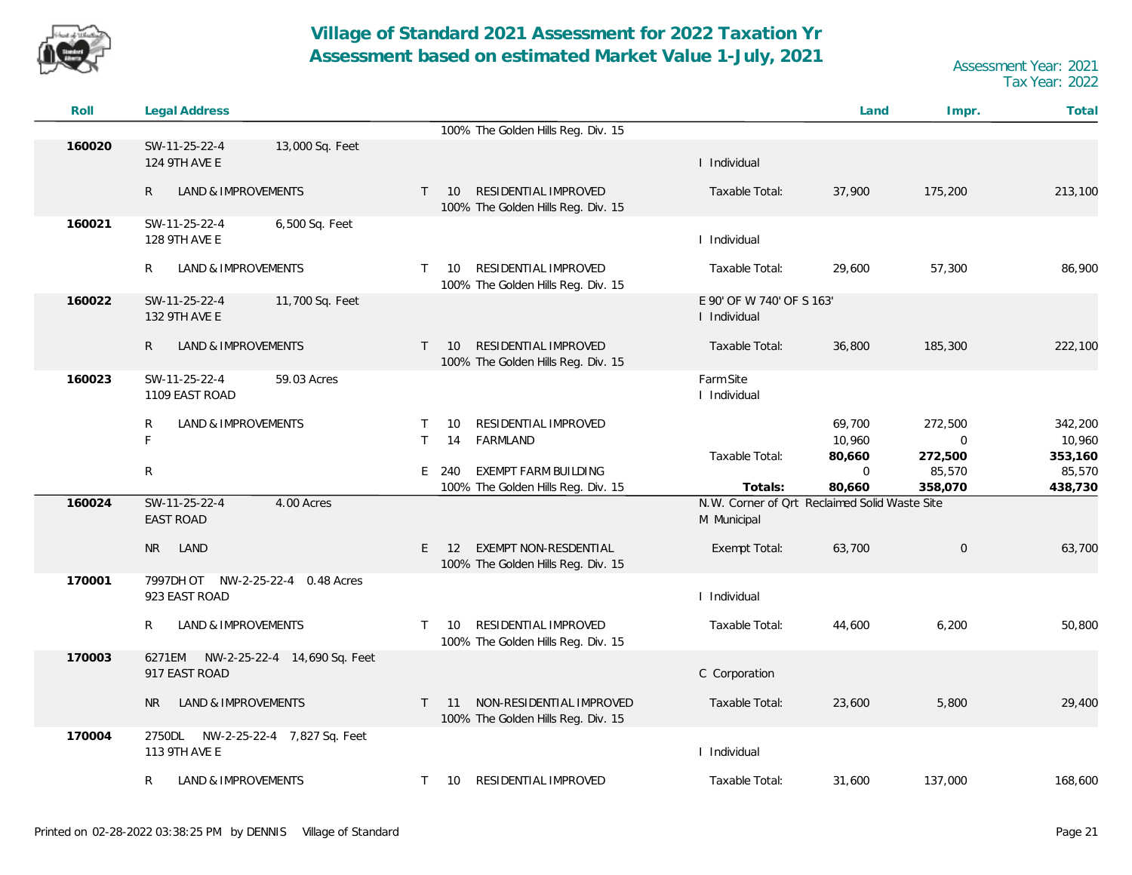![](_page_20_Picture_0.jpeg)

| Roll   | Legal Address                                           |                                                                                  |                                                              | Land                            | Impr.                        | Total                        |
|--------|---------------------------------------------------------|----------------------------------------------------------------------------------|--------------------------------------------------------------|---------------------------------|------------------------------|------------------------------|
|        |                                                         | 100% The Golden Hills Reg. Div. 15                                               |                                                              |                                 |                              |                              |
| 160020 | SW-11-25-22-4<br>13,000 Sq. Feet<br>124 9TH AVE E       |                                                                                  | I Individual                                                 |                                 |                              |                              |
|        | LAND & IMPROVEMENTS<br>R                                | RESIDENTIAL IMPROVED<br>10<br>$\mathsf{T}$<br>100% The Golden Hills Reg. Div. 15 | Taxable Total:                                               | 37,900                          | 175,200                      | 213,100                      |
| 160021 | SW-11-25-22-4<br>6,500 Sq. Feet<br>128 9TH AVE E        |                                                                                  | I Individual                                                 |                                 |                              |                              |
|        | LAND & IMPROVEMENTS<br>R                                | RESIDENTIAL IMPROVED<br>10<br>$\top$<br>100% The Golden Hills Reg. Div. 15       | Taxable Total:                                               | 29,600                          | 57,300                       | 86,900                       |
| 160022 | SW-11-25-22-4<br>11,700 Sq. Feet<br>132 9TH AVE E       |                                                                                  | E 90' OF W 740' OF S 163'<br>I Individual                    |                                 |                              |                              |
|        | $\mathsf{R}$<br>LAND & IMPROVEMENTS                     | RESIDENTIAL IMPROVED<br>$\mathsf{T}$<br>10<br>100% The Golden Hills Reg. Div. 15 | Taxable Total:                                               | 36,800                          | 185,300                      | 222,100                      |
| 160023 | SW-11-25-22-4<br>59.03 Acres<br>1109 EAST ROAD          |                                                                                  | Farm Site<br>I Individual                                    |                                 |                              |                              |
|        | LAND & IMPROVEMENTS<br>R<br>F                           | RESIDENTIAL IMPROVED<br>10<br>$\top$<br>$\mathsf{T}$<br>FARMLAND<br>14           |                                                              | 69,700<br>10,960                | 272,500<br>$\mathbf 0$       | 342,200<br>10,960            |
|        | R                                                       | <b>EXEMPT FARM BUILDING</b><br>$E$ 240<br>100% The Golden Hills Reg. Div. 15     | Taxable Total:<br>Totals:                                    | 80,660<br>$\mathbf 0$<br>80,660 | 272,500<br>85,570<br>358,070 | 353,160<br>85,570<br>438,730 |
| 160024 | 4.00 Acres<br>SW-11-25-22-4<br><b>EAST ROAD</b>         |                                                                                  | N.W. Corner of Qrt Reclaimed Solid Waste Site<br>M Municipal |                                 |                              |                              |
|        | N <sub>R</sub><br>LAND                                  | EXEMPT NON-RESDENTIAL<br>$E = 12$<br>100% The Golden Hills Reg. Div. 15          | Exempt Total:                                                | 63,700                          | $\mathbf 0$                  | 63,700                       |
| 170001 | 7997DH OT NW-2-25-22-4 0.48 Acres<br>923 EAST ROAD      |                                                                                  | I Individual                                                 |                                 |                              |                              |
|        | R.<br>LAND & IMPROVEMENTS                               | RESIDENTIAL IMPROVED<br>$\top$<br>10<br>100% The Golden Hills Reg. Div. 15       | Taxable Total:                                               | 44,600                          | 6,200                        | 50,800                       |
| 170003 | 6271EM<br>NW-2-25-22-4 14,690 Sq. Feet<br>917 EAST ROAD |                                                                                  | C Corporation                                                |                                 |                              |                              |
|        | LAND & IMPROVEMENTS<br>NR.                              | NON-RESIDENTIAL IMPROVED<br>11<br>$\top$<br>100% The Golden Hills Reg. Div. 15   | Taxable Total:                                               | 23,600                          | 5,800                        | 29,400                       |
| 170004 | 2750DL<br>NW-2-25-22-4 7,827 Sq. Feet<br>113 9TH AVE E  |                                                                                  | I Individual                                                 |                                 |                              |                              |
|        | LAND & IMPROVEMENTS<br>R                                | RESIDENTIAL IMPROVED<br>$\mathsf{T}$<br>10                                       | Taxable Total:                                               | 31,600                          | 137,000                      | 168,600                      |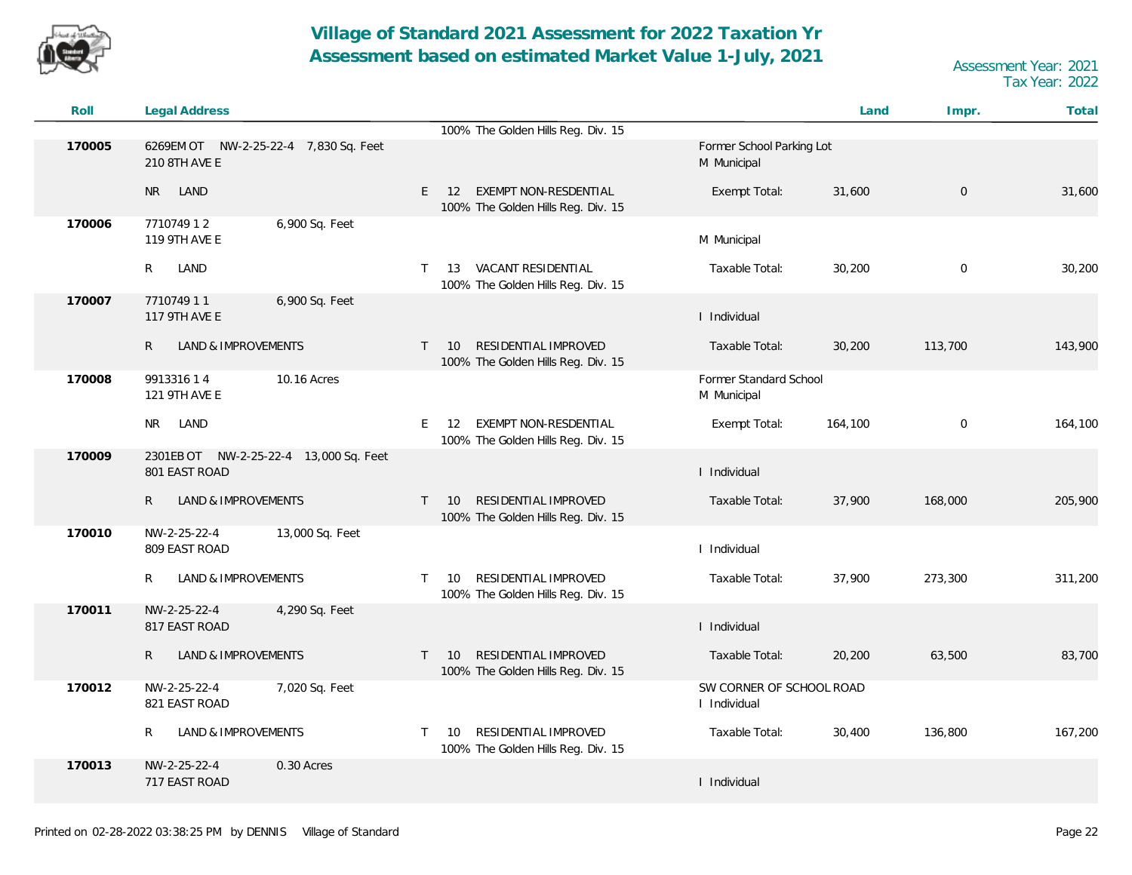![](_page_21_Picture_0.jpeg)

| Roll   | <b>Legal Address</b>                                    |                                                                                  |                                          | Land    | Impr.       | Total   |
|--------|---------------------------------------------------------|----------------------------------------------------------------------------------|------------------------------------------|---------|-------------|---------|
| 170005 | 6269EM OT NW-2-25-22-4 7,830 Sq. Feet<br>210 8TH AVE E  | 100% The Golden Hills Reg. Div. 15                                               | Former School Parking Lot<br>M Municipal |         |             |         |
|        | LAND<br><b>NR</b>                                       | EXEMPT NON-RESDENTIAL<br>E<br>12<br>100% The Golden Hills Reg. Div. 15           | Exempt Total:                            | 31,600  | $\mathbf 0$ | 31,600  |
| 170006 | 6,900 Sq. Feet<br>771074912<br>119 9TH AVE E            |                                                                                  | M Municipal                              |         |             |         |
|        | R<br>LAND                                               | 13 VACANT RESIDENTIAL<br>T.<br>100% The Golden Hills Reg. Div. 15                | Taxable Total:                           | 30,200  | $\mathbf 0$ | 30,200  |
| 170007 | 771074911<br>6,900 Sq. Feet<br>117 9TH AVE E            |                                                                                  | I Individual                             |         |             |         |
|        | $\mathsf{R}$<br>LAND & IMPROVEMENTS                     | RESIDENTIAL IMPROVED<br>10<br>$\mathsf{T}$<br>100% The Golden Hills Reg. Div. 15 | Taxable Total:                           | 30,200  | 113,700     | 143,900 |
| 170008 | 10.16 Acres<br>991331614<br>121 9TH AVE E               |                                                                                  | Former Standard School<br>M Municipal    |         |             |         |
|        | LAND<br><b>NR</b>                                       | EXEMPT NON-RESDENTIAL<br>E.<br>12<br>100% The Golden Hills Reg. Div. 15          | Exempt Total:                            | 164,100 | $\mathbf 0$ | 164,100 |
| 170009 | 2301EB OT NW-2-25-22-4 13,000 Sq. Feet<br>801 EAST ROAD |                                                                                  | I Individual                             |         |             |         |
|        | LAND & IMPROVEMENTS<br>R                                | RESIDENTIAL IMPROVED<br>10<br>$\mathsf{T}$<br>100% The Golden Hills Reg. Div. 15 | Taxable Total:                           | 37,900  | 168,000     | 205,900 |
| 170010 | 13,000 Sq. Feet<br>NW-2-25-22-4<br>809 EAST ROAD        |                                                                                  | I Individual                             |         |             |         |
|        | LAND & IMPROVEMENTS<br>R                                | RESIDENTIAL IMPROVED<br>$\mathsf{T}$<br>10<br>100% The Golden Hills Reg. Div. 15 | Taxable Total:                           | 37,900  | 273,300     | 311,200 |
| 170011 | NW-2-25-22-4<br>4,290 Sq. Feet<br>817 EAST ROAD         |                                                                                  | I Individual                             |         |             |         |
|        | LAND & IMPROVEMENTS<br>R                                | RESIDENTIAL IMPROVED<br>10<br>$\mathsf{T}$<br>100% The Golden Hills Reg. Div. 15 | Taxable Total:                           | 20,200  | 63,500      | 83,700  |
| 170012 | NW-2-25-22-4<br>7,020 Sq. Feet<br>821 EAST ROAD         |                                                                                  | SW CORNER OF SCHOOL ROAD<br>I Individual |         |             |         |
|        | LAND & IMPROVEMENTS<br>R                                | RESIDENTIAL IMPROVED<br>10<br>T.<br>100% The Golden Hills Reg. Div. 15           | Taxable Total:                           | 30,400  | 136,800     | 167,200 |
| 170013 | NW-2-25-22-4<br>0.30 Acres<br>717 EAST ROAD             |                                                                                  | I Individual                             |         |             |         |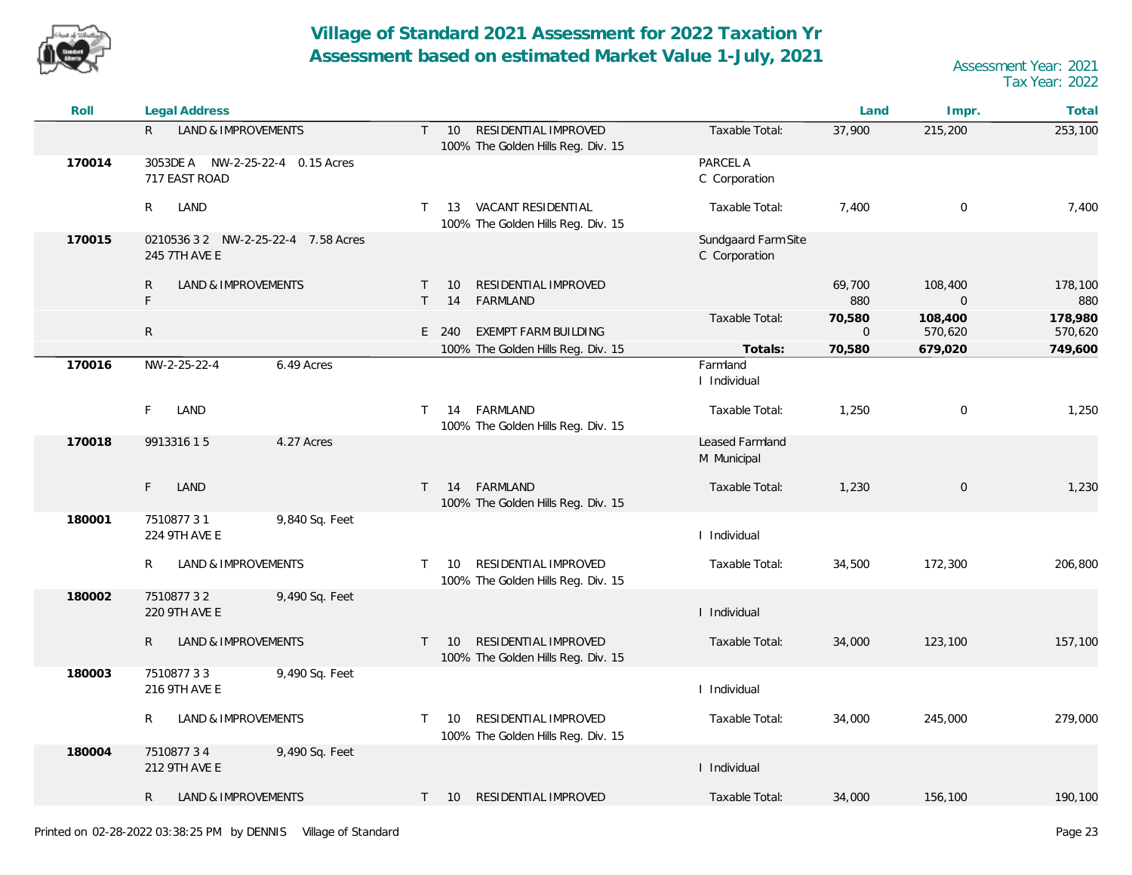![](_page_22_Picture_0.jpeg)

| Roll   | <b>Legal Address</b>                                 |                                                                                  |                                      | Land                  | Impr.                     | Total              |
|--------|------------------------------------------------------|----------------------------------------------------------------------------------|--------------------------------------|-----------------------|---------------------------|--------------------|
|        | $\mathsf{R}$<br>LAND & IMPROVEMENTS                  | RESIDENTIAL IMPROVED<br>10<br>$\mathsf{T}$<br>100% The Golden Hills Reg. Div. 15 | Taxable Total:                       | 37,900                | 215,200                   | 253,100            |
| 170014 | 3053DE A NW-2-25-22-4 0.15 Acres<br>717 EAST ROAD    |                                                                                  | PARCEL A<br>C Corporation            |                       |                           |                    |
|        | R<br>LAND                                            | VACANT RESIDENTIAL<br>13<br>$\top$<br>100% The Golden Hills Reg. Div. 15         | Taxable Total:                       | 7,400                 | $\mathbf 0$               | 7,400              |
| 170015 | 0210536 3 2 NW-2-25-22-4 7.58 Acres<br>245 7TH AVE E |                                                                                  | Sundgaard Farm Site<br>C Corporation |                       |                           |                    |
|        | LAND & IMPROVEMENTS<br>R.<br>F                       | RESIDENTIAL IMPROVED<br>10<br>T.<br>FARMLAND<br>14                               |                                      | 69,700<br>880         | 108,400<br>$\overline{0}$ | 178,100<br>880     |
|        | $\mathsf{R}$                                         | EXEMPT FARM BUILDING<br>E 240                                                    | Taxable Total:                       | 70,580<br>$\mathbf 0$ | 108,400<br>570,620        | 178,980<br>570,620 |
| 170016 | NW-2-25-22-4<br>6.49 Acres                           | 100% The Golden Hills Reg. Div. 15                                               | Totals:<br>Farmland<br>I Individual  | 70,580                | 679,020                   | 749,600            |
|        | F.<br>LAND                                           | FARMLAND<br>14<br>$\mathsf{T}$<br>100% The Golden Hills Reg. Div. 15             | Taxable Total:                       | 1,250                 | $\mathbf 0$               | 1,250              |
| 170018 | 991331615<br>4.27 Acres                              |                                                                                  | Leased Farmland<br>M Municipal       |                       |                           |                    |
|        | F<br>LAND                                            | FARMLAND<br>$\top$<br>14<br>100% The Golden Hills Reg. Div. 15                   | Taxable Total:                       | 1,230                 | $\mathsf{O}\xspace$       | 1,230              |
| 180001 | 9,840 Sq. Feet<br>751087731<br>224 9TH AVE E         |                                                                                  | I Individual                         |                       |                           |                    |
|        | LAND & IMPROVEMENTS<br>R                             | RESIDENTIAL IMPROVED<br>10<br>$\mathsf{T}$<br>100% The Golden Hills Reg. Div. 15 | Taxable Total:                       | 34,500                | 172,300                   | 206,800            |
| 180002 | 751087732<br>9,490 Sq. Feet<br>220 9TH AVE E         |                                                                                  | I Individual                         |                       |                           |                    |
|        | LAND & IMPROVEMENTS<br>R                             | RESIDENTIAL IMPROVED<br>10<br>$\top$<br>100% The Golden Hills Reg. Div. 15       | Taxable Total:                       | 34,000                | 123,100                   | 157,100            |
| 180003 | 751087733<br>9,490 Sq. Feet<br>216 9TH AVE E         |                                                                                  | I Individual                         |                       |                           |                    |
|        | LAND & IMPROVEMENTS<br>R                             | RESIDENTIAL IMPROVED<br>10<br>T.<br>100% The Golden Hills Reg. Div. 15           | Taxable Total:                       | 34,000                | 245,000                   | 279,000            |
| 180004 | 751087734<br>9,490 Sq. Feet<br>212 9TH AVE E         |                                                                                  | I Individual                         |                       |                           |                    |
|        | LAND & IMPROVEMENTS<br>R                             | T 10 RESIDENTIAL IMPROVED                                                        | Taxable Total:                       | 34,000                | 156,100                   | 190,100            |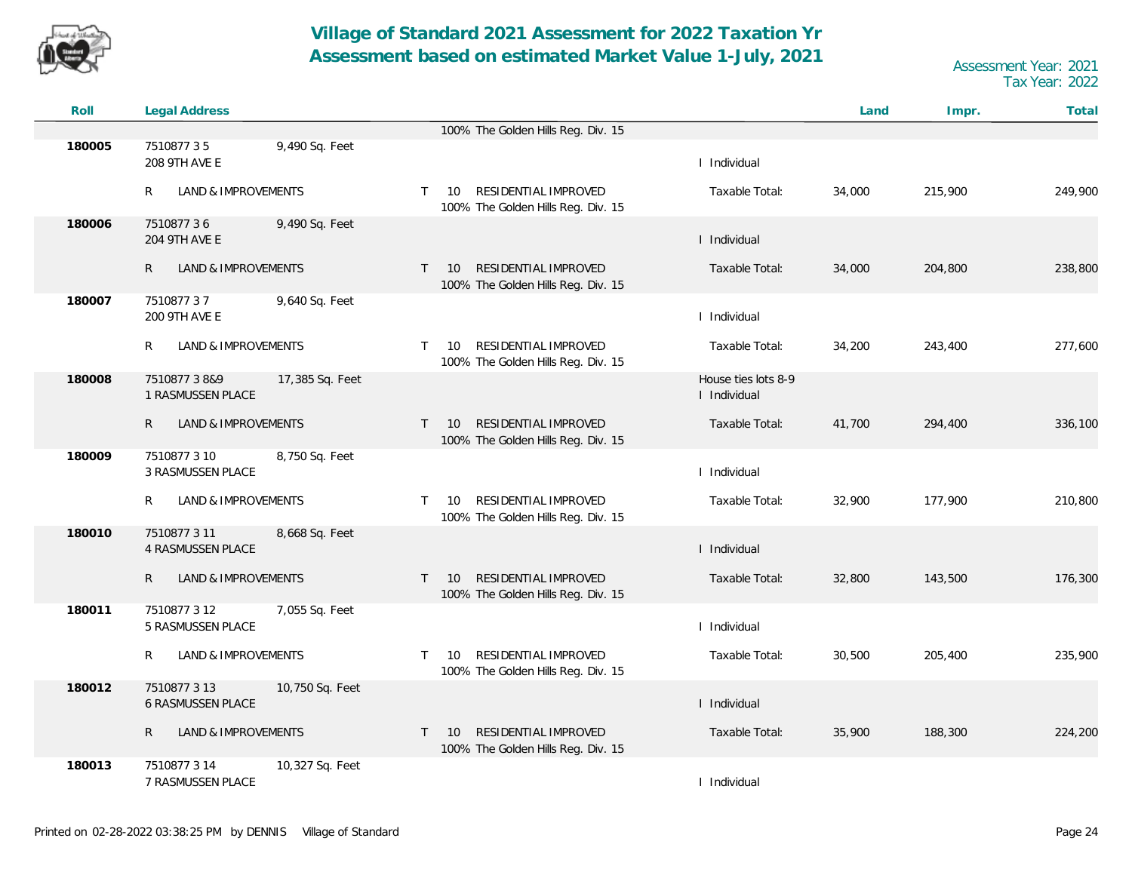![](_page_23_Picture_0.jpeg)

| Roll   | Legal Address                            |                 |              |                                                                  |                                     | Land   | Impr.   | Total   |
|--------|------------------------------------------|-----------------|--------------|------------------------------------------------------------------|-------------------------------------|--------|---------|---------|
|        |                                          |                 |              | 100% The Golden Hills Reg. Div. 15                               |                                     |        |         |         |
| 180005 | 751087735<br>208 9TH AVE E               | 9,490 Sq. Feet  |              |                                                                  | I Individual                        |        |         |         |
|        | R<br>LAND & IMPROVEMENTS                 |                 | $\mathsf{T}$ | RESIDENTIAL IMPROVED<br>10<br>100% The Golden Hills Reg. Div. 15 | Taxable Total:                      | 34,000 | 215,900 | 249,900 |
| 180006 | 751087736<br>204 9TH AVE E               | 9,490 Sq. Feet  |              |                                                                  | I Individual                        |        |         |         |
|        | $\mathsf{R}$<br>LAND & IMPROVEMENTS      |                 | $\mathsf{T}$ | RESIDENTIAL IMPROVED<br>10<br>100% The Golden Hills Reg. Div. 15 | Taxable Total:                      | 34,000 | 204,800 | 238,800 |
| 180007 | 751087737<br>200 9TH AVE E               | 9,640 Sq. Feet  |              |                                                                  | I Individual                        |        |         |         |
|        | R<br>LAND & IMPROVEMENTS                 |                 | $\mathsf{T}$ | RESIDENTIAL IMPROVED<br>10<br>100% The Golden Hills Reg. Div. 15 | Taxable Total:                      | 34,200 | 243,400 | 277,600 |
| 180008 | 7510877 3 8&9<br>1 RASMUSSEN PLACE       | 17,385 Sq. Feet |              |                                                                  | House ties lots 8-9<br>I Individual |        |         |         |
|        | LAND & IMPROVEMENTS<br>R.                |                 | $\mathsf{T}$ | RESIDENTIAL IMPROVED<br>10<br>100% The Golden Hills Reg. Div. 15 | Taxable Total:                      | 41,700 | 294,400 | 336,100 |
| 180009 | 7510877 3 10<br><b>3 RASMUSSEN PLACE</b> | 8,750 Sq. Feet  |              |                                                                  | I Individual                        |        |         |         |
|        | LAND & IMPROVEMENTS<br>R.                |                 | T.           | RESIDENTIAL IMPROVED<br>10<br>100% The Golden Hills Reg. Div. 15 | Taxable Total:                      | 32,900 | 177,900 | 210,800 |
| 180010 | 7510877311<br><b>4 RASMUSSEN PLACE</b>   | 8,668 Sq. Feet  |              |                                                                  | I Individual                        |        |         |         |
|        | LAND & IMPROVEMENTS<br>R                 |                 | $\mathsf{T}$ | RESIDENTIAL IMPROVED<br>10<br>100% The Golden Hills Reg. Div. 15 | Taxable Total:                      | 32,800 | 143,500 | 176,300 |
| 180011 | 7510877312<br>5 RASMUSSEN PLACE          | 7,055 Sq. Feet  |              |                                                                  | I Individual                        |        |         |         |
|        | R<br>LAND & IMPROVEMENTS                 |                 | T.           | RESIDENTIAL IMPROVED<br>10<br>100% The Golden Hills Reg. Div. 15 | Taxable Total:                      | 30,500 | 205,400 | 235,900 |
| 180012 | 7510877 3 13<br>6 RASMUSSEN PLACE        | 10,750 Sq. Feet |              |                                                                  | I Individual                        |        |         |         |
|        | LAND & IMPROVEMENTS<br>R                 |                 | T.           | RESIDENTIAL IMPROVED<br>10<br>100% The Golden Hills Reg. Div. 15 | Taxable Total:                      | 35,900 | 188,300 | 224,200 |
| 180013 | 7510877 3 14<br>7 RASMUSSEN PLACE        | 10,327 Sq. Feet |              |                                                                  | I Individual                        |        |         |         |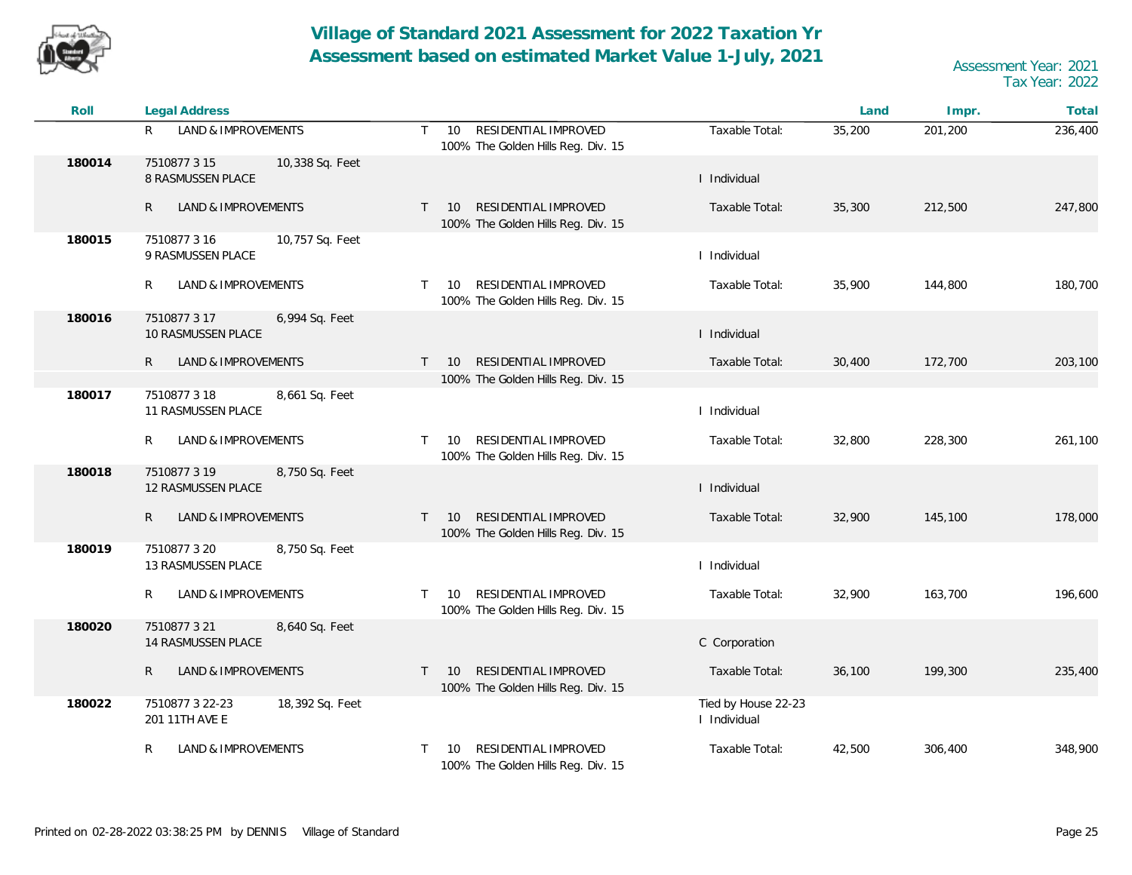![](_page_24_Picture_0.jpeg)

| Roll   | <b>Legal Address</b>                                        |                                                                                  |                                     | Land   | Impr.   | Total   |
|--------|-------------------------------------------------------------|----------------------------------------------------------------------------------|-------------------------------------|--------|---------|---------|
|        | <b>LAND &amp; IMPROVEMENTS</b><br>R                         | RESIDENTIAL IMPROVED<br>$\mathsf{T}$<br>10<br>100% The Golden Hills Reg. Div. 15 | Taxable Total:                      | 35,200 | 201,200 | 236,400 |
| 180014 | 7510877 3 15<br>10,338 Sq. Feet<br>8 RASMUSSEN PLACE        |                                                                                  | I Individual                        |        |         |         |
|        | <b>LAND &amp; IMPROVEMENTS</b><br>$\mathsf{R}$              | RESIDENTIAL IMPROVED<br>10<br>$\top$<br>100% The Golden Hills Reg. Div. 15       | Taxable Total:                      | 35,300 | 212,500 | 247,800 |
| 180015 | 7510877316<br>10,757 Sq. Feet<br>9 RASMUSSEN PLACE          |                                                                                  | I Individual                        |        |         |         |
|        | R<br>LAND & IMPROVEMENTS                                    | RESIDENTIAL IMPROVED<br>T.<br>10<br>100% The Golden Hills Reg. Div. 15           | Taxable Total:                      | 35,900 | 144,800 | 180,700 |
| 180016 | 7510877 3 17<br>6,994 Sq. Feet<br>10 RASMUSSEN PLACE        |                                                                                  | I Individual                        |        |         |         |
|        | <b>LAND &amp; IMPROVEMENTS</b><br>R                         | RESIDENTIAL IMPROVED<br>$\top$<br>10                                             | Taxable Total:                      | 30,400 | 172,700 | 203,100 |
|        |                                                             | 100% The Golden Hills Reg. Div. 15                                               |                                     |        |         |         |
| 180017 | 7510877 3 18<br>8,661 Sq. Feet<br>11 RASMUSSEN PLACE        |                                                                                  | I Individual                        |        |         |         |
|        | R<br>LAND & IMPROVEMENTS                                    | RESIDENTIAL IMPROVED<br>T.<br>10<br>100% The Golden Hills Reg. Div. 15           | Taxable Total:                      | 32,800 | 228,300 | 261,100 |
| 180018 | 7510877 3 19<br>8,750 Sq. Feet<br><b>12 RASMUSSEN PLACE</b> |                                                                                  | I Individual                        |        |         |         |
|        | LAND & IMPROVEMENTS<br>R                                    | RESIDENTIAL IMPROVED<br>10<br>T.<br>100% The Golden Hills Reg. Div. 15           | Taxable Total:                      | 32,900 | 145,100 | 178,000 |
| 180019 | 7510877 3 20<br>8,750 Sq. Feet<br>13 RASMUSSEN PLACE        |                                                                                  | I Individual                        |        |         |         |
|        | LAND & IMPROVEMENTS<br>R                                    | RESIDENTIAL IMPROVED<br>T.<br>10<br>100% The Golden Hills Reg. Div. 15           | Taxable Total:                      | 32,900 | 163,700 | 196,600 |
| 180020 | 7510877321<br>8,640 Sq. Feet<br>14 RASMUSSEN PLACE          |                                                                                  | C Corporation                       |        |         |         |
|        | LAND & IMPROVEMENTS<br>R                                    | RESIDENTIAL IMPROVED<br>10<br>T.<br>100% The Golden Hills Reg. Div. 15           | Taxable Total:                      | 36,100 | 199,300 | 235,400 |
| 180022 | 18,392 Sq. Feet<br>7510877 3 22-23<br>201 11TH AVE E        |                                                                                  | Tied by House 22-23<br>I Individual |        |         |         |
|        | LAND & IMPROVEMENTS<br>R                                    | RESIDENTIAL IMPROVED<br>10<br>T<br>100% The Golden Hills Reg. Div. 15            | Taxable Total:                      | 42,500 | 306,400 | 348,900 |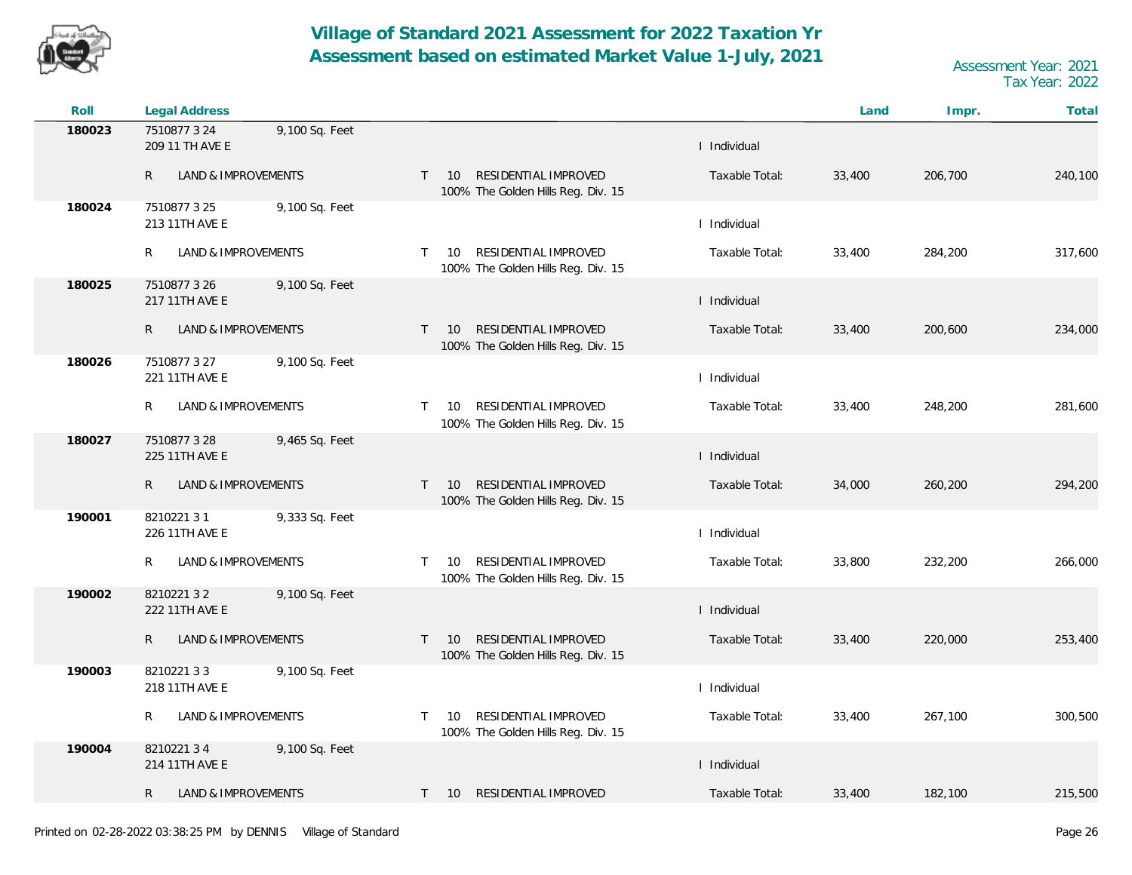![](_page_25_Picture_0.jpeg)

| Roll   | <b>Legal Address</b>                              |                                                                                  |                | Land   | Impr.   | Total   |
|--------|---------------------------------------------------|----------------------------------------------------------------------------------|----------------|--------|---------|---------|
| 180023 | 7510877 3 24<br>9,100 Sq. Feet<br>209 11 TH AVE E |                                                                                  | I Individual   |        |         |         |
|        | R<br>LAND & IMPROVEMENTS                          | RESIDENTIAL IMPROVED<br>$T = 10$<br>100% The Golden Hills Reg. Div. 15           | Taxable Total: | 33,400 | 206,700 | 240,100 |
| 180024 | 9,100 Sq. Feet<br>7510877 3 25<br>213 11TH AVE E  |                                                                                  | I Individual   |        |         |         |
|        | R<br>LAND & IMPROVEMENTS                          | RESIDENTIAL IMPROVED<br>10<br>$\mathsf{T}$<br>100% The Golden Hills Reg. Div. 15 | Taxable Total: | 33,400 | 284,200 | 317,600 |
| 180025 | 9,100 Sq. Feet<br>7510877326<br>217 11TH AVE E    |                                                                                  | I Individual   |        |         |         |
|        | $\mathsf R$<br>LAND & IMPROVEMENTS                | RESIDENTIAL IMPROVED<br>10<br>$\mathsf{T}$<br>100% The Golden Hills Reg. Div. 15 | Taxable Total: | 33,400 | 200,600 | 234,000 |
| 180026 | 7510877 3 27<br>9,100 Sq. Feet<br>221 11TH AVE E  |                                                                                  | I Individual   |        |         |         |
|        | LAND & IMPROVEMENTS<br>R                          | RESIDENTIAL IMPROVED<br>10<br>$\mathsf{T}$<br>100% The Golden Hills Reg. Div. 15 | Taxable Total: | 33,400 | 248,200 | 281,600 |
| 180027 | 7510877328<br>9,465 Sq. Feet<br>225 11TH AVE E    |                                                                                  | I Individual   |        |         |         |
|        | R<br>LAND & IMPROVEMENTS                          | RESIDENTIAL IMPROVED<br>10<br>$\mathsf{T}$<br>100% The Golden Hills Reg. Div. 15 | Taxable Total: | 34,000 | 260,200 | 294,200 |
| 190001 | 821022131<br>9,333 Sq. Feet<br>226 11TH AVE E     |                                                                                  | I Individual   |        |         |         |
|        | LAND & IMPROVEMENTS<br>R                          | RESIDENTIAL IMPROVED<br>10<br>T.<br>100% The Golden Hills Reg. Div. 15           | Taxable Total: | 33,800 | 232,200 | 266,000 |
| 190002 | 821022132<br>9,100 Sq. Feet<br>222 11TH AVE E     |                                                                                  | I Individual   |        |         |         |
|        | R<br>LAND & IMPROVEMENTS                          | RESIDENTIAL IMPROVED<br>10<br>$\mathsf{T}$<br>100% The Golden Hills Reg. Div. 15 | Taxable Total: | 33,400 | 220,000 | 253,400 |
| 190003 | 821022133<br>9,100 Sq. Feet<br>218 11TH AVE E     |                                                                                  | I Individual   |        |         |         |
|        | LAND & IMPROVEMENTS<br>R                          | RESIDENTIAL IMPROVED<br>10<br>T.<br>100% The Golden Hills Reg. Div. 15           | Taxable Total: | 33,400 | 267,100 | 300,500 |
| 190004 | 821022134<br>9,100 Sq. Feet<br>214 11TH AVE E     |                                                                                  | I Individual   |        |         |         |
|        | LAND & IMPROVEMENTS<br>R                          | RESIDENTIAL IMPROVED<br>$T = 10$                                                 | Taxable Total: | 33,400 | 182,100 | 215,500 |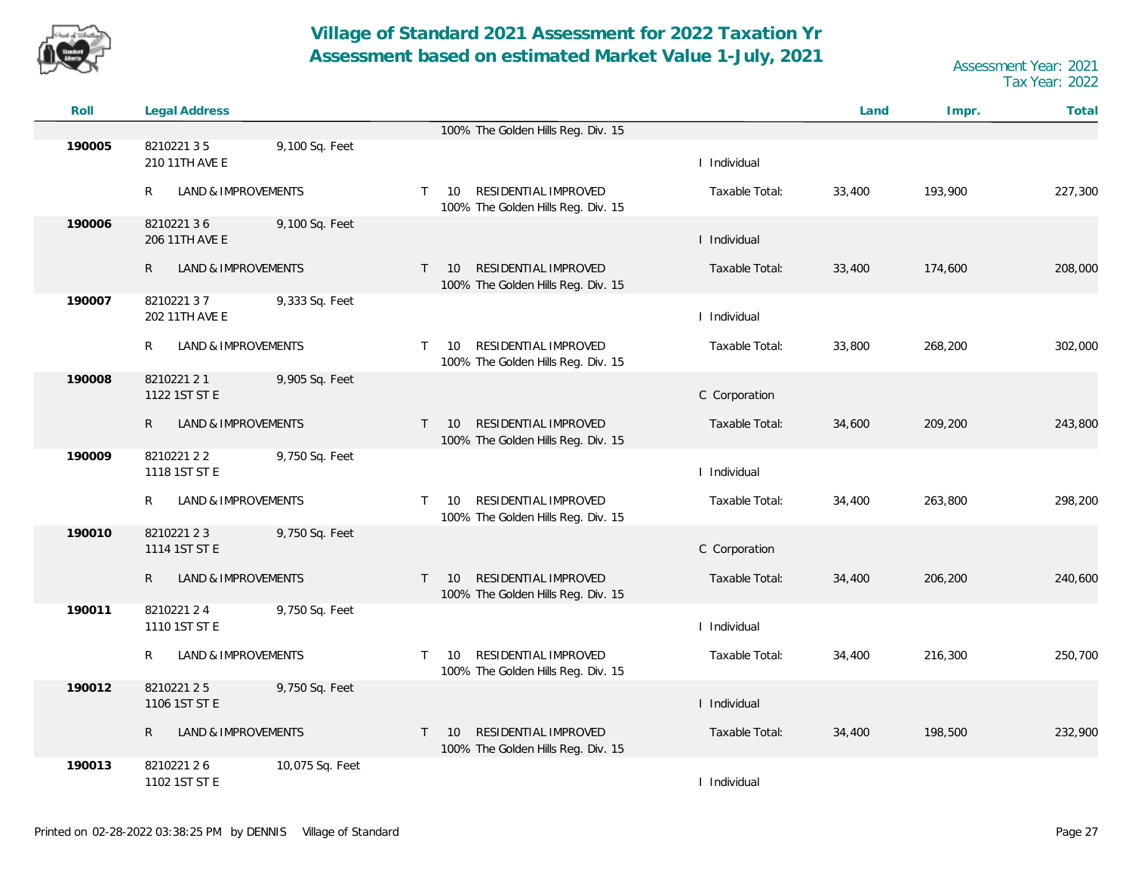![](_page_26_Picture_0.jpeg)

| Roll   | Legal Address                       |                 |                                 |                                                            |                | Land   | Impr.   | Total   |
|--------|-------------------------------------|-----------------|---------------------------------|------------------------------------------------------------|----------------|--------|---------|---------|
|        |                                     |                 |                                 | 100% The Golden Hills Reg. Div. 15                         |                |        |         |         |
| 190005 | 821022135<br>210 11TH AVE E         | 9,100 Sq. Feet  |                                 |                                                            | I Individual   |        |         |         |
|        | R<br>LAND & IMPROVEMENTS            |                 | $\mathsf{T}$<br>10              | RESIDENTIAL IMPROVED<br>100% The Golden Hills Reg. Div. 15 | Taxable Total: | 33,400 | 193,900 | 227,300 |
| 190006 | 821022136<br>206 11TH AVE E         | 9,100 Sq. Feet  |                                 |                                                            | I Individual   |        |         |         |
|        | $\mathsf{R}$<br>LAND & IMPROVEMENTS |                 | 10<br>$\mathsf{T}$              | RESIDENTIAL IMPROVED<br>100% The Golden Hills Reg. Div. 15 | Taxable Total: | 33,400 | 174,600 | 208,000 |
| 190007 | 821022137<br>202 11TH AVE E         | 9,333 Sq. Feet  |                                 |                                                            | I Individual   |        |         |         |
|        | R<br>LAND & IMPROVEMENTS            |                 | 10<br>$\mathsf{T}$              | RESIDENTIAL IMPROVED<br>100% The Golden Hills Reg. Div. 15 | Taxable Total: | 33,800 | 268,200 | 302,000 |
| 190008 | 8210221 2 1<br>1122 1ST ST E        | 9,905 Sq. Feet  |                                 |                                                            | C Corporation  |        |         |         |
|        | LAND & IMPROVEMENTS<br>R            |                 | 10<br>$\top$                    | RESIDENTIAL IMPROVED<br>100% The Golden Hills Reg. Div. 15 | Taxable Total: | 34,600 | 209,200 | 243,800 |
| 190009 | 821022122<br>1118 1ST ST E          | 9,750 Sq. Feet  |                                 |                                                            | I Individual   |        |         |         |
|        | LAND & IMPROVEMENTS<br>R.           |                 | 10<br>T.                        | RESIDENTIAL IMPROVED<br>100% The Golden Hills Reg. Div. 15 | Taxable Total: | 34,400 | 263,800 | 298,200 |
| 190010 | 821022123<br>1114 1ST ST E          | 9,750 Sq. Feet  |                                 |                                                            | C Corporation  |        |         |         |
|        | LAND & IMPROVEMENTS<br>R            |                 | 10 <sup>°</sup><br>$\mathsf{T}$ | RESIDENTIAL IMPROVED<br>100% The Golden Hills Reg. Div. 15 | Taxable Total: | 34,400 | 206,200 | 240,600 |
| 190011 | 821022124<br>1110 1ST ST E          | 9,750 Sq. Feet  |                                 |                                                            | I Individual   |        |         |         |
|        | LAND & IMPROVEMENTS<br>R            |                 | 10<br>T.                        | RESIDENTIAL IMPROVED<br>100% The Golden Hills Reg. Div. 15 | Taxable Total: | 34,400 | 216,300 | 250,700 |
| 190012 | 821022125<br>1106 1ST ST E          | 9,750 Sq. Feet  |                                 |                                                            | I Individual   |        |         |         |
|        | LAND & IMPROVEMENTS<br>R            |                 | 10<br>$\top$                    | RESIDENTIAL IMPROVED<br>100% The Golden Hills Reg. Div. 15 | Taxable Total: | 34,400 | 198,500 | 232,900 |
| 190013 | 821022126<br>1102 1ST ST E          | 10,075 Sq. Feet |                                 |                                                            | I Individual   |        |         |         |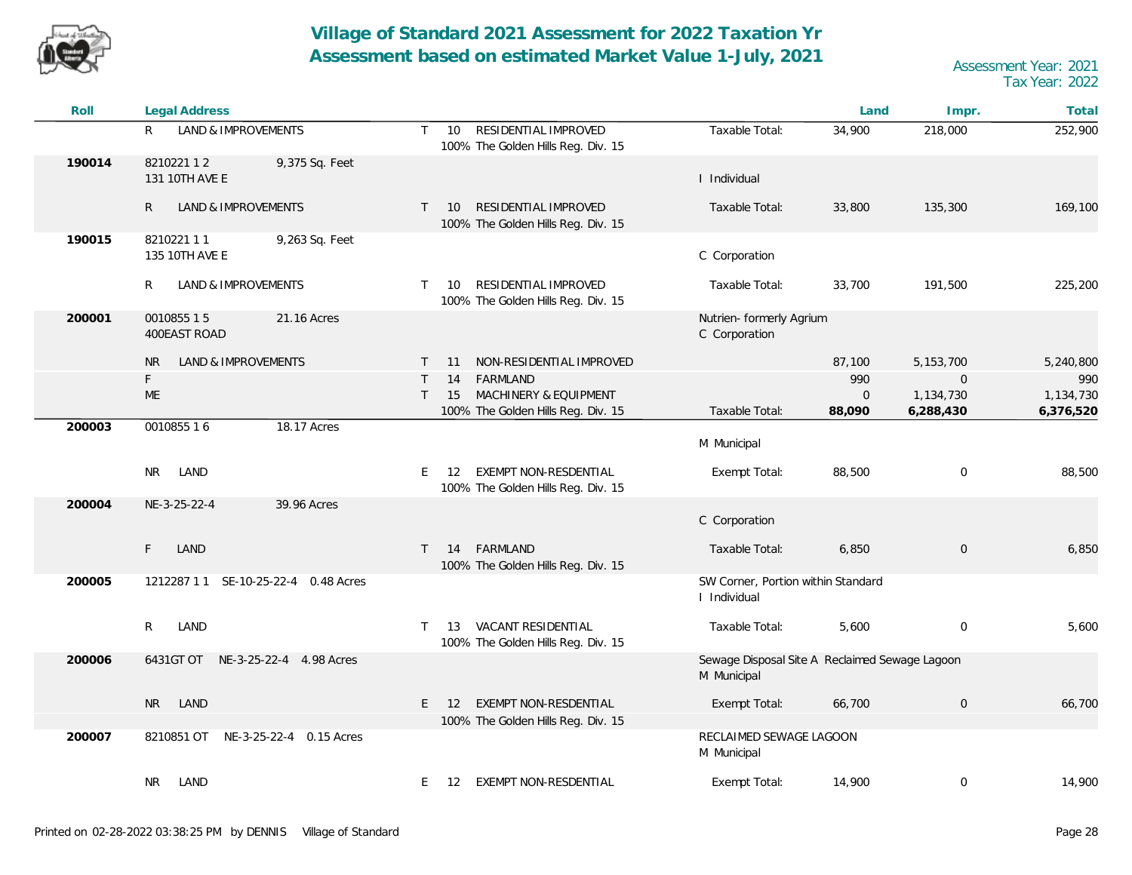![](_page_27_Picture_0.jpeg)

| Roll   | <b>Legal Address</b>                          |                                                                                  |                                                               | Land        | Impr.          | Total     |
|--------|-----------------------------------------------|----------------------------------------------------------------------------------|---------------------------------------------------------------|-------------|----------------|-----------|
|        | R<br>LAND & IMPROVEMENTS                      | RESIDENTIAL IMPROVED<br>$\mathsf{T}$<br>10<br>100% The Golden Hills Reg. Div. 15 | Taxable Total:                                                | 34,900      | 218,000        | 252,900   |
| 190014 | 821022112<br>9,375 Sq. Feet<br>131 10TH AVE E |                                                                                  | I Individual                                                  |             |                |           |
|        | $\mathsf{R}$<br>LAND & IMPROVEMENTS           | RESIDENTIAL IMPROVED<br>$T = 10$<br>100% The Golden Hills Reg. Div. 15           | Taxable Total:                                                | 33,800      | 135,300        | 169,100   |
| 190015 | 821022111<br>9,263 Sq. Feet<br>135 10TH AVE E |                                                                                  | C Corporation                                                 |             |                |           |
|        | R<br>LAND & IMPROVEMENTS                      | RESIDENTIAL IMPROVED<br>10<br>$\top$<br>100% The Golden Hills Reg. Div. 15       | Taxable Total:                                                | 33,700      | 191,500        | 225,200   |
| 200001 | 001085515<br>21.16 Acres<br>400EAST ROAD      |                                                                                  | Nutrien- formerly Agrium<br>C Corporation                     |             |                |           |
|        | <b>NR</b><br><b>LAND &amp; IMPROVEMENTS</b>   | NON-RESIDENTIAL IMPROVED<br>11<br>T.                                             |                                                               | 87,100      | 5, 153, 700    | 5,240,800 |
|        | $\mathsf F$                                   | FARMLAND<br>14<br>T                                                              |                                                               | 990         | $\overline{0}$ | 990       |
|        | ME                                            | MACHINERY & EQUIPMENT<br>15<br>T                                                 |                                                               | $\mathbf 0$ | 1,134,730      | 1,134,730 |
| 200003 | 0010855 16<br>18.17 Acres                     | 100% The Golden Hills Reg. Div. 15                                               | Taxable Total:                                                | 88,090      | 6,288,430      | 6,376,520 |
|        |                                               |                                                                                  | M Municipal                                                   |             |                |           |
|        | <b>NR</b><br>LAND                             | <b>EXEMPT NON-RESDENTIAL</b><br>E<br>12<br>100% The Golden Hills Reg. Div. 15    | Exempt Total:                                                 | 88,500      | $\mathbf 0$    | 88,500    |
| 200004 | 39.96 Acres<br>NE-3-25-22-4                   |                                                                                  | C Corporation                                                 |             |                |           |
|        | F<br>LAND                                     | FARMLAND<br>$T = 14$<br>100% The Golden Hills Reg. Div. 15                       | Taxable Total:                                                | 6,850       | $\overline{0}$ | 6,850     |
| 200005 | 1212287 1 1 SE-10-25-22-4 0.48 Acres          |                                                                                  | SW Corner, Portion within Standard<br>I Individual            |             |                |           |
|        | R<br>LAND                                     | VACANT RESIDENTIAL<br>T<br>13<br>100% The Golden Hills Reg. Div. 15              | Taxable Total:                                                | 5,600       | $\mathbf 0$    | 5,600     |
| 200006 | 6431GT OT NE-3-25-22-4 4.98 Acres             |                                                                                  | Sewage Disposal Site A Reclaimed Sewage Lagoon<br>M Municipal |             |                |           |
|        | <b>NR</b><br>LAND                             | EXEMPT NON-RESDENTIAL<br>E.<br><b>12</b>                                         | Exempt Total:                                                 | 66,700      | $\,0\,$        | 66,700    |
|        |                                               | 100% The Golden Hills Reg. Div. 15                                               |                                                               |             |                |           |
| 200007 | 8210851 OT NE-3-25-22-4 0.15 Acres            |                                                                                  | RECLAIMED SEWAGE LAGOON<br>M Municipal                        |             |                |           |
|        | LAND<br>NR.                                   | 12 EXEMPT NON-RESDENTIAL<br>E.                                                   | Exempt Total:                                                 | 14,900      | $\mathbf 0$    | 14,900    |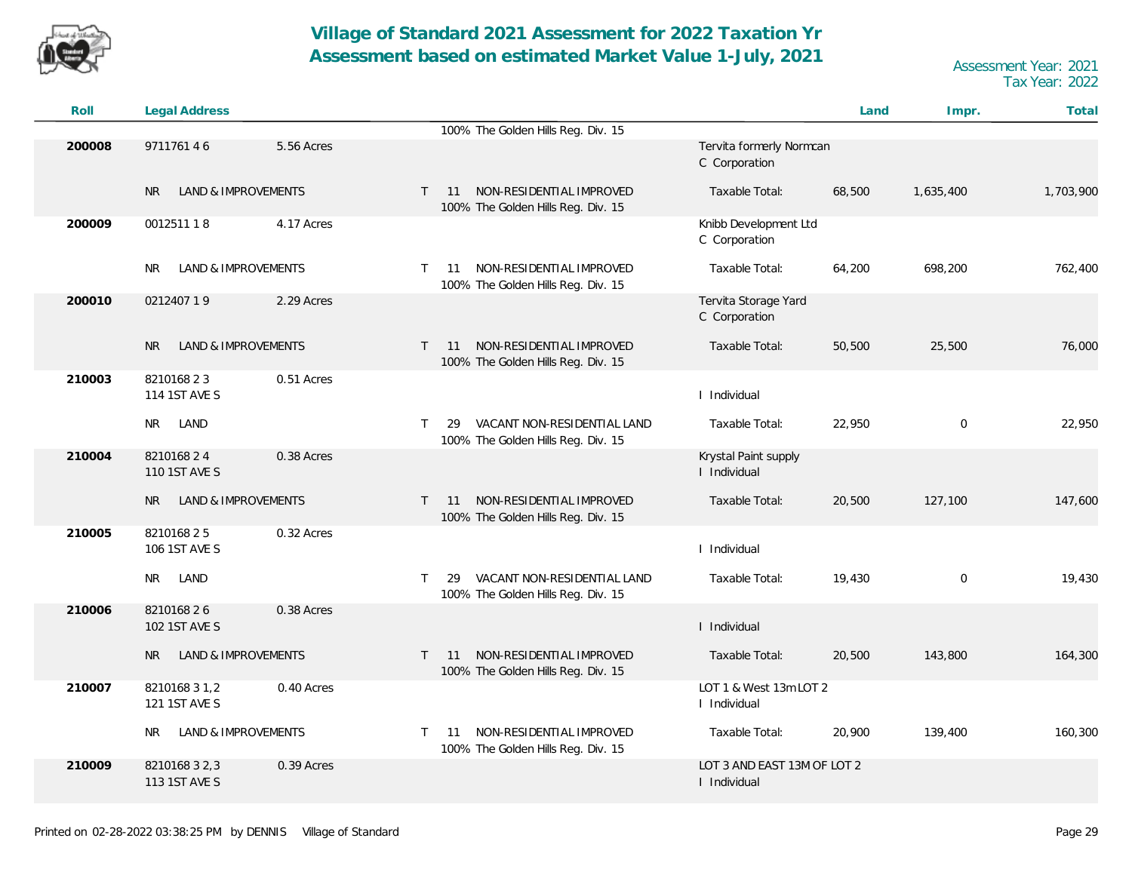![](_page_28_Picture_0.jpeg)

| Roll   | <b>Legal Address</b>                        |            |              |                                                                         |                                             | Land   | Impr.       | Total     |
|--------|---------------------------------------------|------------|--------------|-------------------------------------------------------------------------|---------------------------------------------|--------|-------------|-----------|
|        |                                             |            |              | 100% The Golden Hills Reg. Div. 15                                      |                                             |        |             |           |
| 200008 | 971176146                                   | 5.56 Acres |              |                                                                         | Tervita formerly Normcan<br>C Corporation   |        |             |           |
|        | <b>LAND &amp; IMPROVEMENTS</b><br><b>NR</b> |            | $\mathsf{T}$ | NON-RESIDENTIAL IMPROVED<br>11<br>100% The Golden Hills Reg. Div. 15    | Taxable Total:                              | 68,500 | 1,635,400   | 1,703,900 |
| 200009 | 001251118                                   | 4.17 Acres |              |                                                                         | Knibb Development Ltd<br>C Corporation      |        |             |           |
|        | LAND & IMPROVEMENTS<br>NR.                  |            | T.           | NON-RESIDENTIAL IMPROVED<br>11<br>100% The Golden Hills Reg. Div. 15    | Taxable Total:                              | 64,200 | 698,200     | 762,400   |
| 200010 | 021240719                                   | 2.29 Acres |              |                                                                         | Tervita Storage Yard<br>C Corporation       |        |             |           |
|        | LAND & IMPROVEMENTS<br><b>NR</b>            |            | $\mathsf{T}$ | NON-RESIDENTIAL IMPROVED<br>11<br>100% The Golden Hills Reg. Div. 15    | Taxable Total:                              | 50,500 | 25,500      | 76,000    |
| 210003 | 821016823<br>114 1ST AVE S                  | 0.51 Acres |              |                                                                         | I Individual                                |        |             |           |
|        | LAND<br><b>NR</b>                           |            | T.           | VACANT NON-RESIDENTIAL LAND<br>29<br>100% The Golden Hills Reg. Div. 15 | Taxable Total:                              | 22,950 | $\mathbf 0$ | 22,950    |
| 210004 | 821016824<br>110 1ST AVE S                  | 0.38 Acres |              |                                                                         | Krystal Paint supply<br>I Individual        |        |             |           |
|        | LAND & IMPROVEMENTS<br>NR.                  |            | T.           | NON-RESIDENTIAL IMPROVED<br>11<br>100% The Golden Hills Reg. Div. 15    | Taxable Total:                              | 20,500 | 127,100     | 147,600   |
| 210005 | 821016825<br>106 1ST AVE S                  | 0.32 Acres |              |                                                                         | I Individual                                |        |             |           |
|        | NR.<br>LAND                                 |            | T.           | VACANT NON-RESIDENTIAL LAND<br>29<br>100% The Golden Hills Reg. Div. 15 | Taxable Total:                              | 19,430 | $\mathbf 0$ | 19,430    |
| 210006 | 821016826<br>102 1ST AVE S                  | 0.38 Acres |              |                                                                         | I Individual                                |        |             |           |
|        | LAND & IMPROVEMENTS<br><b>NR</b>            |            | $\mathsf{T}$ | NON-RESIDENTIAL IMPROVED<br>11<br>100% The Golden Hills Reg. Div. 15    | Taxable Total:                              | 20,500 | 143,800     | 164,300   |
| 210007 | 8210168 3 1,2<br>121 1ST AVE S              | 0.40 Acres |              |                                                                         | LOT 1 & West 13m LOT 2<br>I Individual      |        |             |           |
|        | LAND & IMPROVEMENTS<br>NR.                  |            | T.           | NON-RESIDENTIAL IMPROVED<br>11<br>100% The Golden Hills Reg. Div. 15    | Taxable Total:                              | 20,900 | 139,400     | 160,300   |
| 210009 | 8210168 3 2,3<br>113 1ST AVE S              | 0.39 Acres |              |                                                                         | LOT 3 AND EAST 13M OF LOT 2<br>I Individual |        |             |           |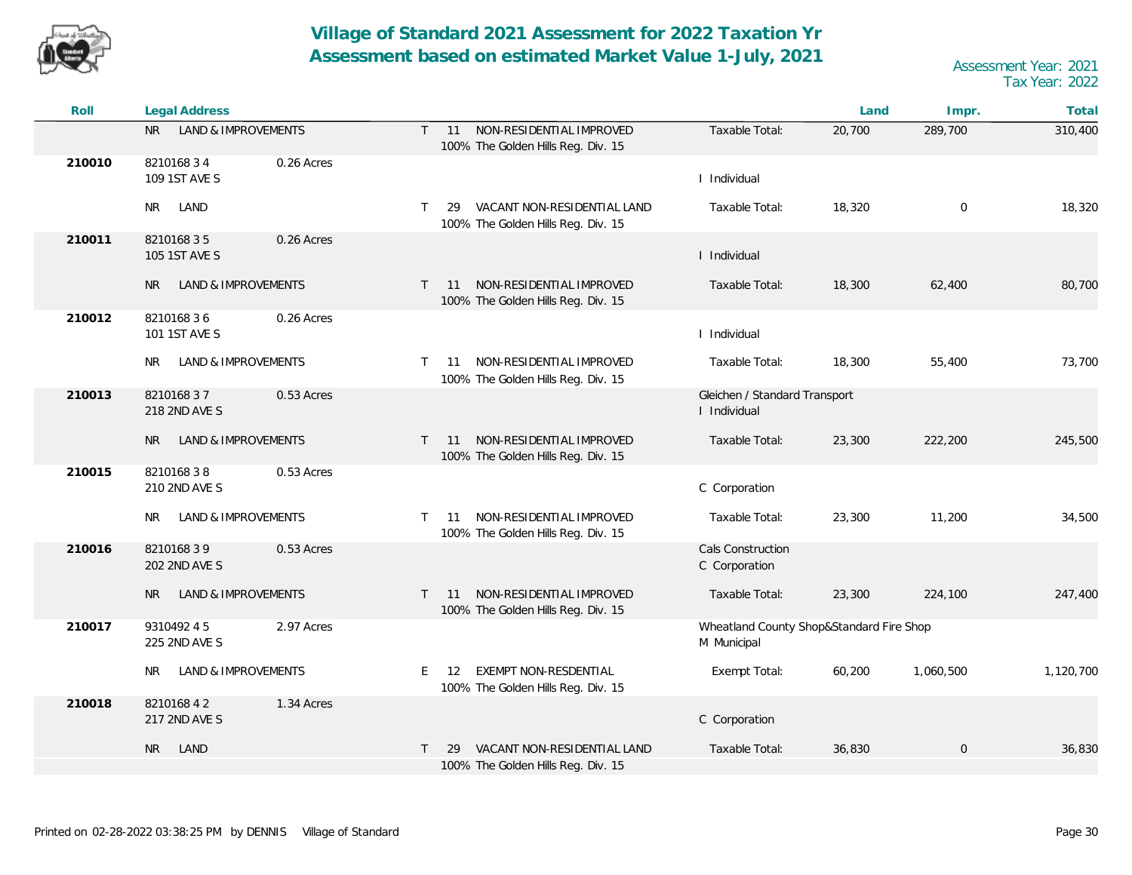![](_page_29_Picture_0.jpeg)

| Roll   | Legal Address                             |                                                                                      |                                                         | Land   | Impr.               | Total     |
|--------|-------------------------------------------|--------------------------------------------------------------------------------------|---------------------------------------------------------|--------|---------------------|-----------|
|        | LAND & IMPROVEMENTS<br>NR I               | NON-RESIDENTIAL IMPROVED<br>$T = 11$<br>100% The Golden Hills Reg. Div. 15           | Taxable Total:                                          | 20,700 | 289,700             | 310,400   |
| 210010 | 821016834<br>0.26 Acres<br>109 1ST AVE S  |                                                                                      | I Individual                                            |        |                     |           |
|        | LAND<br>NR I                              | VACANT NON-RESIDENTIAL LAND<br>$\top$<br>29<br>100% The Golden Hills Reg. Div. 15    | Taxable Total:                                          | 18,320 | $\mathbf 0$         | 18,320    |
| 210011 | 821016835<br>0.26 Acres<br>105 1ST AVE S  |                                                                                      | I Individual                                            |        |                     |           |
|        | <b>LAND &amp; IMPROVEMENTS</b><br>NR.     | T 11 NON-RESIDENTIAL IMPROVED<br>100% The Golden Hills Reg. Div. 15                  | Taxable Total:                                          | 18,300 | 62,400              | 80,700    |
| 210012 | 821016836<br>0.26 Acres<br>101 1ST AVE S  |                                                                                      | I Individual                                            |        |                     |           |
|        | <b>LAND &amp; IMPROVEMENTS</b><br>NR.     | NON-RESIDENTIAL IMPROVED<br>11<br>$\top$<br>100% The Golden Hills Reg. Div. 15       | Taxable Total:                                          | 18,300 | 55,400              | 73,700    |
| 210013 | 821016837<br>0.53 Acres<br>218 2ND AVE S  |                                                                                      | Gleichen / Standard Transport<br>I Individual           |        |                     |           |
|        | <b>LAND &amp; IMPROVEMENTS</b><br>NR.     | NON-RESIDENTIAL IMPROVED<br>$\top$<br>11<br>100% The Golden Hills Reg. Div. 15       | Taxable Total:                                          | 23,300 | 222,200             | 245,500   |
| 210015 | 0.53 Acres<br>821016838<br>210 2ND AVE S  |                                                                                      | C Corporation                                           |        |                     |           |
|        | LAND & IMPROVEMENTS<br>NR                 | NON-RESIDENTIAL IMPROVED<br>11<br>$\top$<br>100% The Golden Hills Reg. Div. 15       | Taxable Total:                                          | 23,300 | 11,200              | 34,500    |
| 210016 | 821016839<br>0.53 Acres<br>202 2ND AVE S  |                                                                                      | Cals Construction<br>C Corporation                      |        |                     |           |
|        | LAND & IMPROVEMENTS<br>NR.                | NON-RESIDENTIAL IMPROVED<br>$\mathsf{T}$<br>11<br>100% The Golden Hills Reg. Div. 15 | Taxable Total:                                          | 23,300 | 224,100             | 247,400   |
| 210017 | 9310492 45<br>2.97 Acres<br>225 2ND AVE S |                                                                                      | Wheatland County Shop&Standard Fire Shop<br>M Municipal |        |                     |           |
|        | LAND & IMPROVEMENTS<br>NR                 | <b>EXEMPT NON-RESDENTIAL</b><br>E.<br>12<br>100% The Golden Hills Reg. Div. 15       | Exempt Total:                                           | 60,200 | 1,060,500           | 1,120,700 |
| 210018 | 821016842<br>1.34 Acres<br>217 2ND AVE S  |                                                                                      | C Corporation                                           |        |                     |           |
|        | NR<br>LAND                                | VACANT NON-RESIDENTIAL LAND<br>29<br>$\top$<br>100% The Golden Hills Reg. Div. 15    | Taxable Total:                                          | 36,830 | $\mathsf{O}\xspace$ | 36,830    |
|        |                                           |                                                                                      |                                                         |        |                     |           |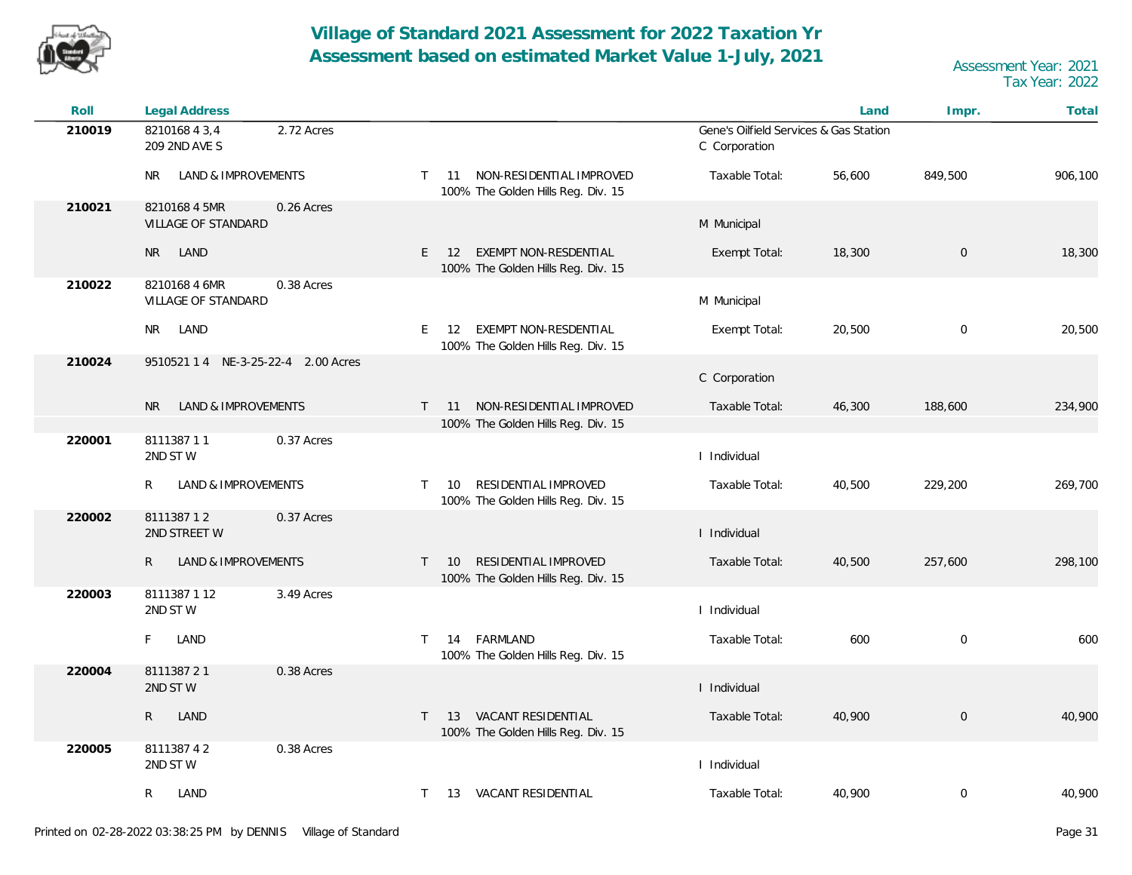![](_page_30_Picture_0.jpeg)

| Roll   | Legal Address                                      |                                                                                      |                                                         | Land   | Impr.            | Total   |
|--------|----------------------------------------------------|--------------------------------------------------------------------------------------|---------------------------------------------------------|--------|------------------|---------|
| 210019 | 821016843,4<br>2.72 Acres<br>209 2ND AVE S         |                                                                                      | Gene's Oilfield Services & Gas Station<br>C Corporation |        |                  |         |
|        | <b>NR</b><br>LAND & IMPROVEMENTS                   | 11 NON-RESIDENTIAL IMPROVED<br>$\top$<br>100% The Golden Hills Reg. Div. 15          | Taxable Total:                                          | 56,600 | 849,500          | 906,100 |
| 210021 | 8210168 4 5MR<br>0.26 Acres<br>VILLAGE OF STANDARD |                                                                                      | M Municipal                                             |        |                  |         |
|        | LAND<br>NR I                                       | EXEMPT NON-RESDENTIAL<br>$E = 12$<br>100% The Golden Hills Reg. Div. 15              | Exempt Total:                                           | 18,300 | $\boldsymbol{0}$ | 18,300  |
| 210022 | 0.38 Acres<br>8210168 4 6MR<br>VILLAGE OF STANDARD |                                                                                      | M Municipal                                             |        |                  |         |
|        | LAND<br>NR.                                        | EXEMPT NON-RESDENTIAL<br>E 12<br>100% The Golden Hills Reg. Div. 15                  | Exempt Total:                                           | 20,500 | $\mathbf 0$      | 20,500  |
| 210024 | 9510521 1 4 NE-3-25-22-4 2.00 Acres                |                                                                                      | C Corporation                                           |        |                  |         |
|        | LAND & IMPROVEMENTS<br>N <sub>R</sub>              | NON-RESIDENTIAL IMPROVED<br>$\mathsf{T}$<br>11<br>100% The Golden Hills Reg. Div. 15 | Taxable Total:                                          | 46,300 | 188,600          | 234,900 |
| 220001 | 811138711<br>0.37 Acres<br>2ND STW                 |                                                                                      | I Individual                                            |        |                  |         |
|        | LAND & IMPROVEMENTS<br>R                           | RESIDENTIAL IMPROVED<br>$\top$<br>10<br>100% The Golden Hills Reg. Div. 15           | Taxable Total:                                          | 40,500 | 229,200          | 269,700 |
| 220002 | 811138712<br>0.37 Acres<br>2ND STREET W            |                                                                                      | I Individual                                            |        |                  |         |
|        | LAND & IMPROVEMENTS<br>R                           | RESIDENTIAL IMPROVED<br>10<br>$\top$<br>100% The Golden Hills Reg. Div. 15           | Taxable Total:                                          | 40,500 | 257,600          | 298,100 |
| 220003 | 8111387 1 12<br>3.49 Acres<br>2ND STW              |                                                                                      | I Individual                                            |        |                  |         |
|        | LAND<br>F.                                         | 14 FARMLAND<br>$\top$<br>100% The Golden Hills Reg. Div. 15                          | Taxable Total:                                          | 600    | $\mathbf 0$      | 600     |
| 220004 | 811138721<br>0.38 Acres<br>2ND STW                 |                                                                                      | I Individual                                            |        |                  |         |
|        | $\mathsf{R}$<br>LAND                               | VACANT RESIDENTIAL<br>$\top$<br>13<br>100% The Golden Hills Reg. Div. 15             | Taxable Total:                                          | 40,900 | $\boldsymbol{0}$ | 40,900  |
| 220005 | 811138742<br>0.38 Acres<br>2ND STW                 |                                                                                      | I Individual                                            |        |                  |         |
|        | LAND<br>R                                          | $\top$<br>13 VACANT RESIDENTIAL                                                      | Taxable Total:                                          | 40,900 | 0                | 40,900  |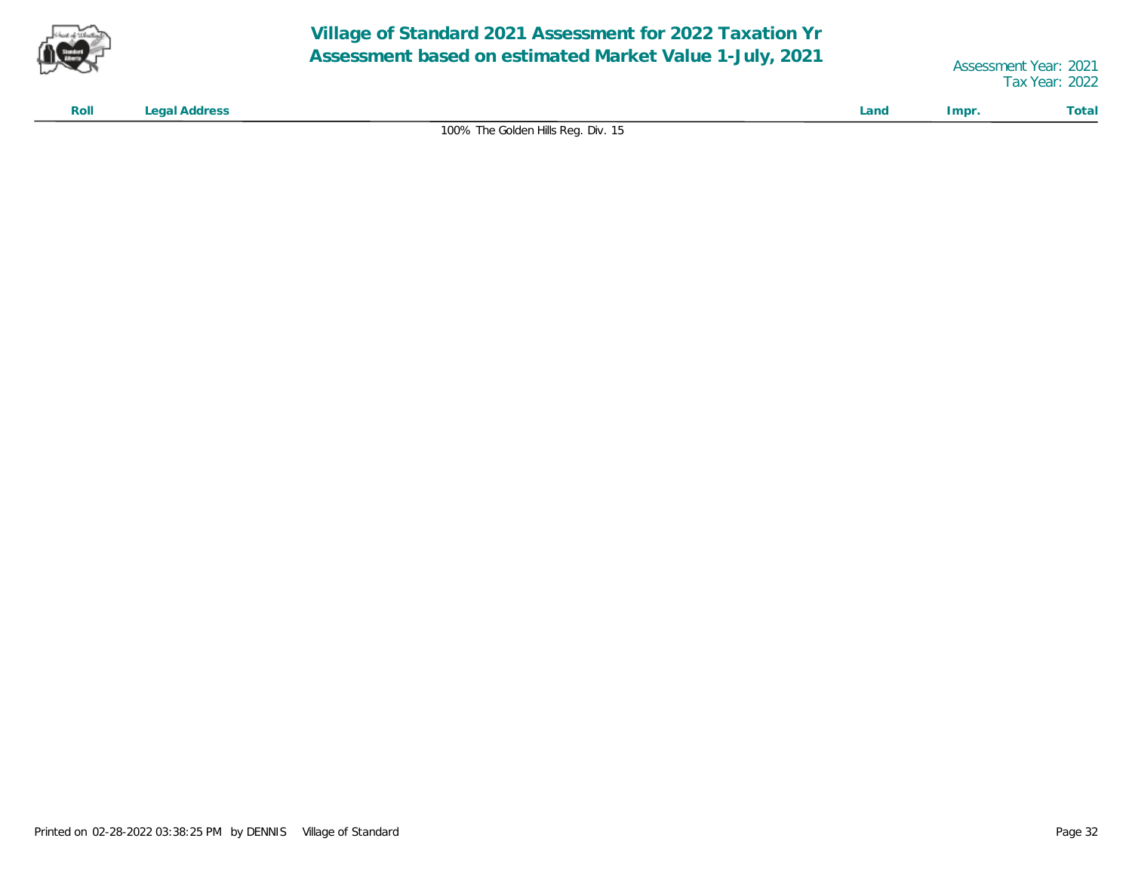![](_page_31_Picture_0.jpeg)

Tax Year: 2022

**Roll Legal Address Land Impr. Total**

100% The Golden Hills Reg. Div. 15